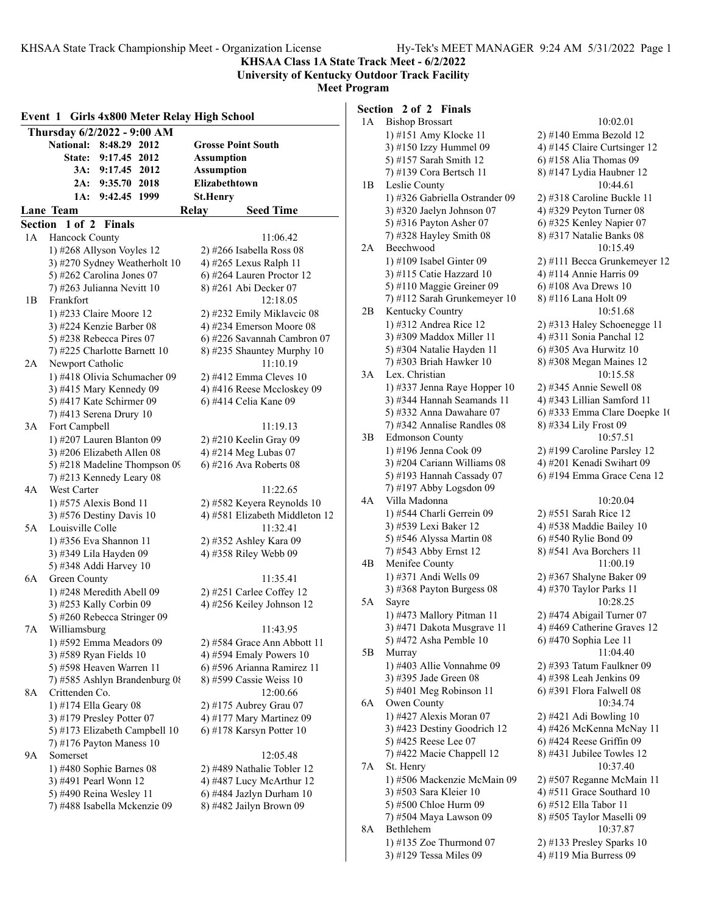**KHSAA Class 1A State Track Meet - 6/2/2022 University of Kentucky Outdoor Track Facility**

**Meet Program**

| Girls 4x800 Meter Relay High School<br>Event 1 |                                                      |  |                   |                                                         |  |  |
|------------------------------------------------|------------------------------------------------------|--|-------------------|---------------------------------------------------------|--|--|
|                                                | Thursday 6/2/2022 - 9:00 AM                          |  |                   |                                                         |  |  |
|                                                | <b>National:</b><br>8:48.29 2012                     |  |                   | <b>Grosse Point South</b>                               |  |  |
|                                                | 9:17.45 2012<br><b>State:</b>                        |  | <b>Assumption</b> |                                                         |  |  |
|                                                | 3A:<br>9:17.45 2012                                  |  | <b>Assumption</b> |                                                         |  |  |
|                                                | 2A:<br>9:35.70 2018                                  |  | Elizabethtown     |                                                         |  |  |
|                                                | 9:42.45 1999<br>1A:                                  |  | <b>St.Henry</b>   |                                                         |  |  |
|                                                | Lane Team                                            |  | Relay             | <b>Seed Time</b>                                        |  |  |
| Section                                        | $1$ of $2$<br><b>Finals</b>                          |  |                   |                                                         |  |  |
| 1A                                             | Hancock County                                       |  |                   | 11:06.42                                                |  |  |
|                                                | 1) #268 Allyson Voyles 12                            |  |                   | $2)$ #266 Isabella Ross 08                              |  |  |
|                                                | 3) #270 Sydney Weatherholt 10                        |  |                   | 4) #265 Lexus Ralph 11                                  |  |  |
|                                                | 5) #262 Carolina Jones 07                            |  |                   | 6) #264 Lauren Proctor 12                               |  |  |
|                                                | 7) #263 Julianna Nevitt 10                           |  |                   | 8) #261 Abi Decker 07                                   |  |  |
| 1В                                             | Frankfort                                            |  |                   | 12:18.05                                                |  |  |
|                                                | 1) #233 Claire Moore 12                              |  |                   | 2) #232 Emily Miklavcic 08                              |  |  |
|                                                | 3) #224 Kenzie Barber 08<br>5) #238 Rebecca Pires 07 |  |                   | 4) #234 Emerson Moore 08<br>6) #226 Savannah Cambron 07 |  |  |
|                                                | 7) #225 Charlotte Barnett 10                         |  |                   | 8) #235 Shauntey Murphy 10                              |  |  |
| 2Α                                             | Newport Catholic                                     |  |                   | 11:10.19                                                |  |  |
|                                                | 1) #418 Olivia Schumacher 09                         |  |                   | 2) #412 Emma Cleves 10                                  |  |  |
|                                                | 3) #415 Mary Kennedy 09                              |  |                   | 4) #416 Reese Mccloskey 09                              |  |  |
|                                                | 5) #417 Kate Schirmer 09                             |  |                   | 6) #414 Celia Kane 09                                   |  |  |
|                                                | 7) #413 Serena Drury 10                              |  |                   |                                                         |  |  |
| 3A                                             | Fort Campbell                                        |  |                   | 11:19.13                                                |  |  |
|                                                | 1) #207 Lauren Blanton 09                            |  |                   | 2) #210 Keelin Gray 09                                  |  |  |
|                                                | 3) #206 Elizabeth Allen 08                           |  |                   | 4) #214 Meg Lubas 07                                    |  |  |
|                                                | 5) #218 Madeline Thompson 09                         |  |                   | $6)$ #216 Ava Roberts 08                                |  |  |
| 4Α                                             | 7) #213 Kennedy Leary 08<br>West Carter              |  |                   | 11:22.65                                                |  |  |
|                                                | 1) #575 Alexis Bond 11                               |  |                   | 2) #582 Keyera Reynolds 10                              |  |  |
|                                                | 3) #576 Destiny Davis 10                             |  |                   | 4) #581 Elizabeth Middleton 12                          |  |  |
| 5A                                             | Louisville Colle                                     |  |                   | 11:32.41                                                |  |  |
|                                                | 1) #356 Eva Shannon 11                               |  |                   | 2) #352 Ashley Kara 09                                  |  |  |
|                                                | 3) #349 Lila Hayden 09                               |  |                   | 4) #358 Riley Webb 09                                   |  |  |
|                                                | 5) #348 Addi Harvey 10                               |  |                   |                                                         |  |  |
| 6A                                             | Green County                                         |  |                   | 11:35.41                                                |  |  |
|                                                | 1) #248 Meredith Abell 09                            |  |                   | 2) #251 Carlee Coffey 12                                |  |  |
|                                                | 3) #253 Kally Corbin 09                              |  |                   | 4) #256 Keiley Johnson 12                               |  |  |
|                                                | 5) #260 Rebecca Stringer 09                          |  |                   |                                                         |  |  |
| 7A                                             | Williamsburg                                         |  |                   | 11:43.95                                                |  |  |
|                                                | 1) #592 Emma Meadors 09                              |  |                   | 2) #584 Grace Ann Abbott 11<br>4) #594 Emaly Powers 10  |  |  |
|                                                | 3) #589 Ryan Fields 10<br>5) #598 Heaven Warren 11   |  |                   | 6) #596 Arianna Ramirez 11                              |  |  |
|                                                | 7) #585 Ashlyn Brandenburg 08                        |  |                   | 8) #599 Cassie Weiss 10                                 |  |  |
| 8Α                                             | Crittenden Co.                                       |  |                   | 12:00.66                                                |  |  |
|                                                | 1) #174 Ella Geary 08                                |  |                   | 2) #175 Aubrey Grau 07                                  |  |  |
|                                                | 3) #179 Presley Potter 07                            |  |                   | 4) #177 Mary Martinez 09                                |  |  |
|                                                | 5) #173 Elizabeth Campbell 10                        |  |                   | $(6)$ #178 Karsyn Potter 10                             |  |  |
|                                                | 7) #176 Payton Maness 10                             |  |                   |                                                         |  |  |
| 9A                                             | Somerset                                             |  |                   | 12:05.48                                                |  |  |
|                                                | 1) #480 Sophie Barnes 08                             |  |                   | 2) #489 Nathalie Tobler 12                              |  |  |
|                                                | 3) #491 Pearl Wonn 12                                |  |                   | 4) #487 Lucy McArthur 12                                |  |  |
|                                                | 5) #490 Reina Wesley 11                              |  |                   | 6) #484 Jazlyn Durham 10                                |  |  |
|                                                | 7) #488 Isabella Mckenzie 09                         |  |                   | 8) #482 Jailyn Brown 09                                 |  |  |
|                                                |                                                      |  |                   |                                                         |  |  |

# **Section 2 of 2 Finals**

| 1A | <b>Bishop Brossart</b>                                 | 10:02.01                                              |
|----|--------------------------------------------------------|-------------------------------------------------------|
|    | 1) #151 Amy Klocke 11                                  | 2) #140 Emma Bezold 12                                |
|    | 3) #150 Izzy Hummel 09                                 | 4) #145 Claire Curtsinger 12                          |
|    | 5) #157 Sarah Smith 12                                 | 6) #158 Alia Thomas 09                                |
|    | 7) #139 Cora Bertsch 11                                | 8) #147 Lydia Haubner 12                              |
| 1В | Leslie County                                          | 10:44.61                                              |
|    | 1) #326 Gabriella Ostrander 09                         | 2) #318 Caroline Buckle 11                            |
|    | 3) #320 Jaelyn Johnson 07                              | 4) #329 Peyton Turner 08                              |
|    | 5) #316 Payton Asher 07                                | 6) #325 Kenley Napier 07                              |
|    | 7) #328 Hayley Smith 08                                | 8) #317 Natalie Banks 08                              |
| 2A | Beechwood                                              | 10:15.49                                              |
|    | 1) #109 Isabel Ginter $09$                             | 2) #111 Becca Grunkemeyer 12                          |
|    | 3) #115 Catie Hazzard 10                               | 4) #114 Annie Harris 09                               |
|    | 5) #110 Maggie Greiner 09                              | 6) #108 Ava Drews 10                                  |
|    | 7) #112 Sarah Grunkemeyer 10                           | 8) #116 Lana Holt 09                                  |
| 2В | Kentucky Country                                       | 10:51.68                                              |
|    | 1) #312 Andrea Rice 12                                 | 2) #313 Haley Schoenegge 11                           |
|    | 3) #309 Maddox Miller 11                               | 4) #311 Sonia Panchal 12                              |
|    | 5) #304 Natalie Hayden 11                              | 6) #305 Ava Hurwitz 10                                |
|    | 7) #303 Briah Hawker 10<br>Lex. Christian              | 8) #308 Megan Maines 12                               |
| 3А |                                                        | 10:15.58                                              |
|    | 1) #337 Jenna Raye Hopper 10                           | 2) #345 Annie Sewell 08<br>4) #343 Lillian Samford 11 |
|    | 3) #344 Hannah Seamands 11<br>5) #332 Anna Dawahare 07 | 6) #333 Emma Clare Doepke 10                          |
|    | 7) #342 Annalise Randles 08                            | 8) #334 Lily Frost 09                                 |
| 3B | <b>Edmonson County</b>                                 | 10:57.51                                              |
|    | 1) #196 Jenna Cook 09                                  | 2) #199 Caroline Parsley 12                           |
|    | 3) #204 Cariann Williams 08                            | 4) #201 Kenadi Swihart 09                             |
|    | 5) #193 Hannah Cassady 07                              | 6) #194 Emma Grace Cena 12                            |
|    | 7) #197 Abby Logsdon 09                                |                                                       |
| 4Α | Villa Madonna                                          | 10:20.04                                              |
|    | 1) #544 Charli Gerrein 09                              | 2) #551 Sarah Rice 12                                 |
|    | 3) #539 Lexi Baker 12                                  | 4) #538 Maddie Bailey 10                              |
|    | 5) #546 Alyssa Martin 08                               | 6) #540 Rylie Bond 09                                 |
|    | 7) #543 Abby Ernst 12                                  | 8) #541 Ava Borchers 11                               |
| 4Β | Menifee County                                         | 11:00.19                                              |
|    | 1) #371 Andi Wells 09                                  | 2) #367 Shalyne Baker 09                              |
|    | 3) #368 Payton Burgess 08                              | 4) #370 Taylor Parks 11                               |
| 5A | Sayre                                                  | 10:28.25                                              |
|    | 1) #473 Mallory Pitman 11                              | 2) #474 Abigail Turner 07                             |
|    | 3) #471 Dakota Musgrave 11                             | 4) #469 Catherine Graves 12                           |
|    | 5) #472 Asha Pemble 10                                 | 6) #470 Sophia Lee 11                                 |
| 5B | Murray                                                 | 11:04.40                                              |
|    | 1) #403 Allie Vonnahme 09                              | 2) #393 Tatum Faulkner 09                             |
|    | 3) #395 Jade Green 08                                  | 4) #398 Leah Jenkins 09                               |
| 6A | 5) #401 Meg Robinson 11<br>Owen County                 | 6) #391 Flora Falwell 08<br>10:34.74                  |
|    | 1) #427 Alexis Moran 07                                | 2) #421 Adi Bowling 10                                |
|    | 3) #423 Destiny Goodrich 12                            | 4) #426 McKenna McNay 11                              |
|    | 5) #425 Reese Lee 07                                   | $6)$ #424 Reese Griffin 09                            |
|    | 7) #422 Macie Chappell 12                              | 8) #431 Jubilee Towles 12                             |
| 7Α | St. Henry                                              | 10:37.40                                              |
|    | 1) #506 Mackenzie McMain 09                            | 2) #507 Reganne McMain 11                             |
|    | 3) #503 Sara Kleier 10                                 | 4) #511 Grace Southard 10                             |
|    | 5) #500 Chloe Hurm 09                                  | 6) #512 Ella Tabor 11                                 |
|    | 7) #504 Maya Lawson 09                                 | 8) #505 Taylor Maselli 09                             |
| 8A | Bethlehem                                              | 10:37.87                                              |
|    | 1) #135 Zoe Thurmond $07$                              | 2) #133 Presley Sparks 10                             |
|    | 3) #129 Tessa Miles 09                                 | 4) #119 Mia Burress 09                                |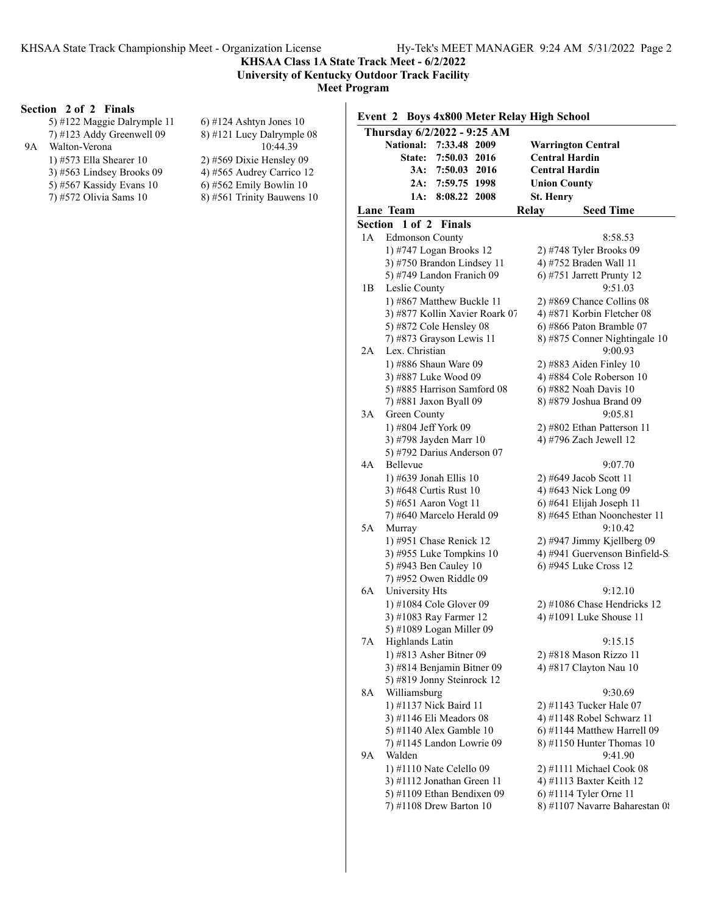**Warrington Central** 

# **KHSAA Class 1A State Track Meet - 6/2/2022 University of Kentucky Outdoor Track Facility**

**Meet Program**

### **Section 2 of 2 Finals**

|    | Section 2 of 2 Finals                                                                                             |                                                                                                                       | Event 2 Boys 4x800 Meter Relay High School                                             |                                                                                       |
|----|-------------------------------------------------------------------------------------------------------------------|-----------------------------------------------------------------------------------------------------------------------|----------------------------------------------------------------------------------------|---------------------------------------------------------------------------------------|
| 9A | 5) #122 Maggie Dalrymple 11<br>$(7)$ #123 Addy Greenwell 09<br>Walton-Verona                                      | $(6)$ #124 Ashtyn Jones 10<br>$8)$ #121 Lucy Dalrymple 08<br>10:44.39                                                 | Thursday 6/2/2022 - 9:25 AM<br>National: 7:33.48 2009                                  | <b>Warrington C</b>                                                                   |
|    | 1) $#573$ Ella Shearer 10<br>$(3)$ #563 Lindsey Brooks 09<br>5) #567 Kassidy Evans $10$<br>7) #572 Olivia Sams 10 | $2)$ #569 Dixie Hensley 09<br>4) #565 Audrey Carrico 12<br>$(6)$ #562 Emily Bowlin 10<br>$8)$ #561 Trinity Bauwens 10 | State: 7:50.03 2016<br>3A: 7:50.03 2016<br>2A: 7:59.75 1998<br>1A: 8:08.22 2008        | <b>Central Hard</b><br><b>Central Hard</b><br><b>Union County</b><br><b>St. Henry</b> |
|    |                                                                                                                   |                                                                                                                       | Lane Team                                                                              | Relay<br>S <sub>t</sub>                                                               |
|    |                                                                                                                   |                                                                                                                       | Section 1 of 2 Finals<br><b>Edmonson County</b><br>1А<br>$1)$ $#747$ Logan Brooks $12$ | $2)$ $H748$ Tyles                                                                     |

|    | State:                                     | 7:50.03       | 2016 |              | <b>Central Hardin</b>                             |
|----|--------------------------------------------|---------------|------|--------------|---------------------------------------------------|
|    | 3A:                                        | 7:50.03       | 2016 |              | <b>Central Hardin</b>                             |
|    | 2A:                                        | 7:59.75 1998  |      |              | <b>Union County</b>                               |
|    | 1A:                                        | 8:08.22       | 2008 |              | <b>St. Henry</b>                                  |
|    | Lane Team                                  |               |      | <b>Relay</b> | <b>Seed Time</b>                                  |
|    | Section 1 of 2                             | <b>Finals</b> |      |              |                                                   |
| 1A | <b>Edmonson County</b>                     |               |      |              | 8:58.53                                           |
|    | 1) #747 Logan Brooks 12                    |               |      |              |                                                   |
|    | 3) #750 Brandon Lindsey 11                 |               |      |              | 2) #748 Tyler Brooks 09<br>4) #752 Braden Wall 11 |
|    | 5) #749 Landon Franich 09                  |               |      |              | 6) #751 Jarrett Prunty $12$                       |
| 1B | Leslie County                              |               |      |              | 9:51.03                                           |
|    | 1) #867 Matthew Buckle 11                  |               |      |              | 2) #869 Chance Collins 08                         |
|    | 3) #877 Kollin Xavier Roark 07             |               |      |              | 4) #871 Korbin Fletcher 08                        |
|    |                                            |               |      |              |                                                   |
|    | 5) #872 Cole Hensley 08                    |               |      |              | 6) #866 Paton Bramble 07                          |
| 2A | 7) #873 Grayson Lewis 11<br>Lex. Christian |               |      |              | 8) #875 Conner Nightingale 10<br>9:00.93          |
|    | 1) #886 Shaun Ware 09                      |               |      |              | 2) #883 Aiden Finley 10                           |
|    | 3) #887 Luke Wood 09                       |               |      |              | 4) #884 Cole Roberson 10                          |
|    | 5) #885 Harrison Samford 08                |               |      |              | 6) #882 Noah Davis 10                             |
|    | 7) #881 Jaxon Byall 09                     |               |      |              | 8) #879 Joshua Brand 09                           |
| 3А | Green County                               |               |      |              | 9:05.81                                           |
|    | 1) #804 Jeff York 09                       |               |      |              | 2) #802 Ethan Patterson 11                        |
|    | 3) #798 Jayden Marr 10                     |               |      |              | 4) #796 Zach Jewell 12                            |
|    | 5) #792 Darius Anderson 07                 |               |      |              |                                                   |
| 4А | Bellevue                                   |               |      |              | 9:07.70                                           |
|    | 1) #639 Jonah Ellis 10                     |               |      |              | 2) #649 Jacob Scott 11                            |
|    | 3) #648 Curtis Rust 10                     |               |      |              | 4) #643 Nick Long 09                              |
|    | 5) #651 Aaron Vogt 11                      |               |      |              | 6) #641 Elijah Joseph 11                          |
|    | 7) #640 Marcelo Herald 09                  |               |      |              | 8) #645 Ethan Noonchester 11                      |
| 5A | Murray                                     |               |      |              | 9:10.42                                           |
|    | 1) #951 Chase Renick 12                    |               |      |              | 2) #947 Jimmy Kjellberg 09                        |
|    | 3) #955 Luke Tompkins 10                   |               |      |              | 4) #941 Guervenson Binfield-S:                    |
|    | 5) #943 Ben Cauley 10                      |               |      |              | 6) #945 Luke Cross 12                             |
|    | 7) #952 Owen Riddle 09                     |               |      |              |                                                   |
| 6A | University Hts                             |               |      |              | 9:12.10                                           |
|    | 1) #1084 Cole Glover 09                    |               |      |              | 2) #1086 Chase Hendricks 12                       |
|    | 3) #1083 Ray Farmer 12                     |               |      |              | 4) #1091 Luke Shouse 11                           |
|    | 5) #1089 Logan Miller 09                   |               |      |              |                                                   |
| 7Α | Highlands Latin                            |               |      |              | 9:15.15                                           |
|    | 1) #813 Asher Bitner 09                    |               |      |              | 2) #818 Mason Rizzo 11                            |
|    | 3) #814 Benjamin Bitner 09                 |               |      |              | 4) #817 Clayton Nau 10                            |
|    | 5) #819 Jonny Steinrock 12                 |               |      |              |                                                   |
| 8A | Williamsburg                               |               |      |              | 9:30.69                                           |
|    | 1) #1137 Nick Baird 11                     |               |      |              | 2) #1143 Tucker Hale 07                           |
|    | 3) #1146 Eli Meadors 08                    |               |      |              | 4) #1148 Robel Schwarz 11                         |
|    | 5) #1140 Alex Gamble 10                    |               |      |              | 6) #1144 Matthew Harrell 09                       |
|    | 7) #1145 Landon Lowrie 09                  |               |      |              | $(8)$ #1150 Hunter Thomas 10                      |
| 9Α | Walden                                     |               |      |              | 9:41.90                                           |
|    | 1) #1110 Nate Celello 09                   |               |      |              | 2) #1111 Michael Cook 08                          |
|    | 3) #1112 Jonathan Green 11                 |               |      |              | 4) #1113 Baxter Keith 12                          |
|    | 5) #1109 Ethan Bendixen 09                 |               |      |              | 6) #1114 Tyler Orne 11                            |
|    | 7) #1108 Drew Barton 10                    |               |      |              | 8) #1107 Navarre Baharestan 08                    |
|    |                                            |               |      |              |                                                   |
|    |                                            |               |      |              |                                                   |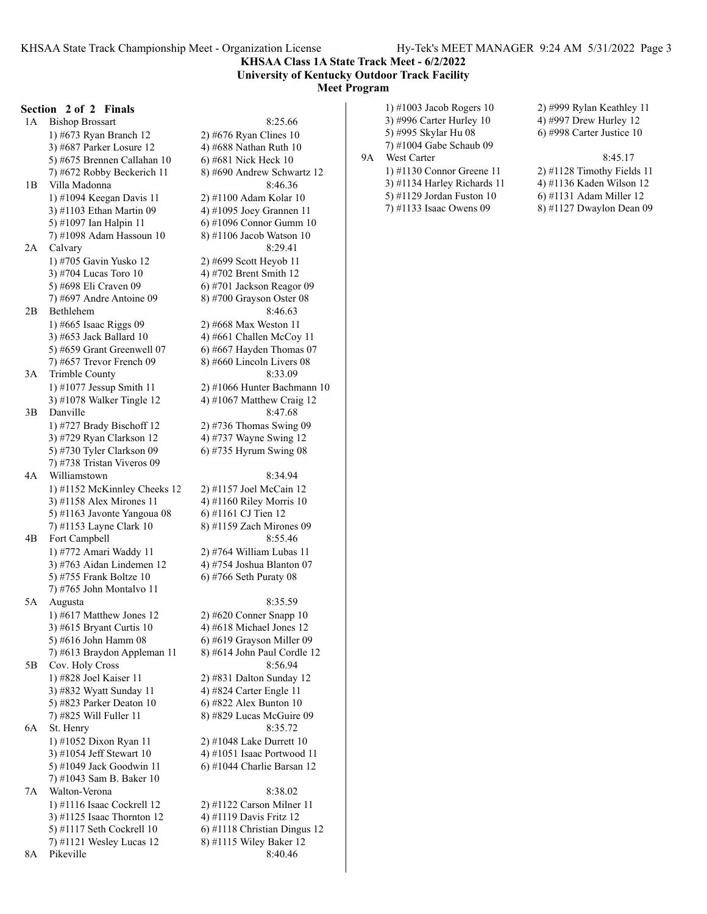#### **KHSAA Class 1A State Track Meet - 6/2/2022 University of Kentucky Outdoor Track Facility Meet Program**

#### **Section 2 of 2 Finals**

1A Bishop Brossart 8:25.66 1) #673 Ryan Branch 12 2) #676 Ryan Clines 10 3) #687 Parker Losure 12  $\qquad \qquad$  4) #688 Nathan Ruth 10 5) #675 Brennen Callahan 10 6) #681 Nick Heck 10 7) #672 Robby Beckerich 11 8) #690 Andrew Schwartz 12 1B Villa Madonna 8:46.36 1) #1094 Keegan Davis 11 2) #1100 Adam Kolar 10 3) #1103 Ethan Martin 09 4) #1095 Joey Grannen 11 5) #1097 Ian Halpin 11 6) #1096 Connor Gumm 10 7) #1098 Adam Hassoun 10 8) #1106 Jacob Watson 10 2A Calvary 8:29.41 1) #705 Gavin Yusko 12 2) #699 Scott Heyob 11 3) #704 Lucas Toro 10 4) #702 Brent Smith 12 5) #698 Eli Craven 09 6) #701 Jackson Reagor 09 7) #697 Andre Antoine 09 8) #700 Grayson Oster 08 2B Bethlehem 8:46.63 1) #665 Isaac Riggs 09 2) #668 Max Weston 11 3) #653 Jack Ballard 10 4) #661 Challen McCoy 11 5) #659 Grant Greenwell 07  $\qquad$  6) #667 Hayden Thomas 07 7) #657 Trevor French 09 8) #660 Lincoln Livers 08 3A Trimble County 8:33.09 1) #1077 Jessup Smith 11 2) #1066 Hunter Bachmann 10 3) #1078 Walker Tingle 12 4) #1067 Matthew Craig 12 3B Danville 8:47.68 1) #727 Brady Bischoff 12 2) #736 Thomas Swing 09 3) #729 Ryan Clarkson 12 4) #737 Wayne Swing 12 5) #730 Tyler Clarkson 09 6) #735 Hyrum Swing 08 7) #738 Tristan Viveros 09 4A Williamstown 8:34.94 1) #1152 McKinnley Cheeks 12 2) #1157 Joel McCain 12 3) #1158 Alex Mirones 11  $\qquad \qquad$  4) #1160 Riley Morris 10 5) #1163 Javonte Yangoua 08 6) #1161 CJ Tien 12 7) #1153 Layne Clark 10 8) #1159 Zach Mirones 09 4B Fort Campbell 8:55.46 1) #772 Amari Waddy 11 2) #764 William Lubas 11 3) #763 Aidan Lindemen 12 4) #754 Joshua Blanton 07 5) #755 Frank Boltze 10 6) #766 Seth Puraty 08 7) #765 John Montalvo 11 5A Augusta 8:35.59 1) #617 Matthew Jones 12 2) #620 Conner Snapp 10 3)  $#615$  Bryant Curtis 10  $4)$   $#618$  Michael Jones 12 5) #616 John Hamm 08 6) #619 Grayson Miller 09 7) #613 Braydon Appleman 11  $\qquad$  8) #614 John Paul Cordle 12 5B Cov. Holy Cross 8:56.94 1) #828 Joel Kaiser 11 2) #831 Dalton Sunday 12 3) #832 Wyatt Sunday 11 4) #824 Carter Engle 11 5) #823 Parker Deaton 10 6) #822 Alex Bunton 10 7) #825 Will Fuller 11 8) #829 Lucas McGuire 09 6A St. Henry 8:35.72 1) #1052 Dixon Ryan 11 2) #1048 Lake Durrett 10 3) #1054 Jeff Stewart 10 4) #1051 Isaac Portwood 11 5) #1049 Jack Goodwin 11 6) #1044 Charlie Barsan 12 7) #1043 Sam B. Baker 10 7A Walton-Verona 8:38.02 1) #1116 Isaac Cockrell 12 2) #1122 Carson Milner 11 3) #1125 Isaac Thornton 12  $\qquad$  4) #1119 Davis Fritz 12 5) #1117 Seth Cockrell 10 6) #1118 Christian Dingus 12 7) #1121 Wesley Lucas 12 8) #1115 Wiley Baker 12

8A Pikeville 8:40.46

3) #996 Carter Hurley 10 4) #997 Drew Hurley 12 5) #995 Skylar Hu 08 6) #998 Carter Justice 10 7) #1004 Gabe Schaub 09 9A West Carter 8:45.17 1) #1130 Connor Greene 11 2) #1128 Timothy Fields 11 3) #1134 Harley Richards 11 4) #1136 Kaden Wilson 12 5) #1129 Jordan Fuston 10 6) #1131 Adam Miller 12 7) #1133 Isaac Owens 09 8) #1127 Dwaylon Dean 09

1) #1003 Jacob Rogers 10 2) #999 Rylan Keathley 11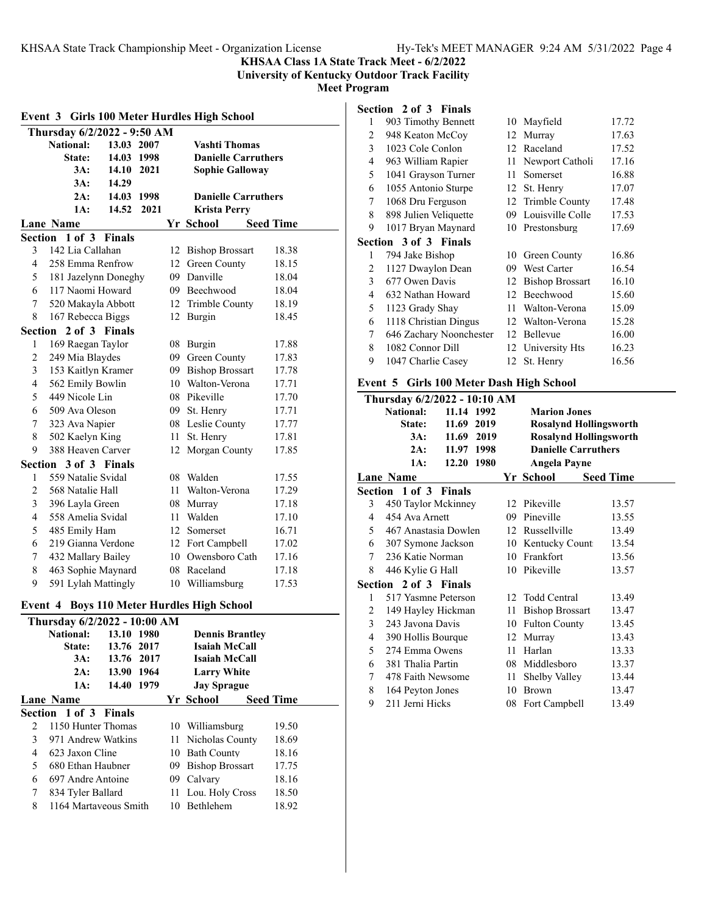#### **KHSAA Class 1A State Track Meet - 6/2/2022 University of Kentucky Outdoor Track Facility**

**Meet Program**

#### **Event 3 Girls 100 Meter Hurdles High School Thursday 6/2/2022 - 9:50 AM National: 13.03 2007 Vashti Thomas State: 14.03 1998 Danielle Carruthers 3A: 14.10 2021 Sophie Galloway 3A: 14.29 2A: 14.03 1998 Danielle Carruthers 1A: 14.52 2021 Krista Perry Lane Name Seed Time Seed Time Section 1 of 3 Finals** 3 142 Lia Callahan 12 Bishop Brossart 18.38 4 258 Emma Renfrow 12 Green County 18.15 5 181 Jazelynn Doneghy 09 Danville 18.04 6 117 Naomi Howard 09 Beechwood 18.04 7 520 Makayla Abbott 12 Trimble County 18.19 8 167 Rebecca Biggs 12 Burgin 18.45 **Section 2 of 3 Finals** 1 169 Raegan Taylor 08 Burgin 17.88 2 249 Mia Blaydes 09 Green County 17.83 3 153 Kaitlyn Kramer 09 Bishop Brossart 17.78 4 562 Emily Bowlin 10 Walton-Verona 17.71 5 449 Nicole Lin 08 Pikeville 17.70 6 509 Ava Oleson 09 St. Henry 17.71 7 323 Ava Napier 08 Leslie County 17.77 8 502 Kaelyn King 11 St. Henry 17.81 9 388 Heaven Carver 12 Morgan County 17.85 **Section 3 of 3 Finals** 1 559 Natalie Svidal 08 Walden 17.55 2 568 Natalie Hall 11 Walton-Verona 17.29 3 396 Layla Green 08 Murray 17.18 4 558 Amelia Svidal 11 Walden 17.10 5 485 Emily Ham 12 Somerset 16.71 6 219 Gianna Verdone 12 Fort Campbell 17.02 7 432 Mallary Bailey 10 Owensboro Cath 17.16 8 463 Sophie Maynard 08 Raceland 17.18 9 591 Lylah Mattingly 10 Williamsburg 17.53

#### **Event 4 Boys 110 Meter Hurdles High School**

| Thursday 6/2/2022 - 10:00 AM |                       |            |  |     |                        |  |                  |  |
|------------------------------|-----------------------|------------|--|-----|------------------------|--|------------------|--|
|                              | <b>National:</b>      | 13.10 1980 |  |     | <b>Dennis Brantley</b> |  |                  |  |
|                              | <b>State:</b>         | 13.76 2017 |  |     | Isaiah McCall          |  |                  |  |
|                              | 3A:                   | 13.76 2017 |  |     | Isaiah McCall          |  |                  |  |
|                              | 2A:                   | 13.90 1964 |  |     | <b>Larry White</b>     |  |                  |  |
|                              | 1A:                   | 14.40 1979 |  |     | <b>Jay Sprague</b>     |  |                  |  |
|                              | Lane Name             |            |  |     | Yr School              |  | <b>Seed Time</b> |  |
|                              | Section 1 of 3 Finals |            |  |     |                        |  |                  |  |
| $\mathcal{L}$                | 1150 Hunter Thomas    |            |  |     | 10 Williamsburg        |  | 19.50            |  |
| 3                            | 971 Andrew Watkins    |            |  |     | 11 Nicholas County     |  | 18.69            |  |
| 4                            | 623 Jaxon Cline       |            |  |     | 10 Bath County         |  | 18.16            |  |
| 5                            | 680 Ethan Haubner     |            |  | 09. | <b>Bishop Brossart</b> |  | 17.75            |  |
| 6                            | 697 Andre Antoine     |            |  |     | 09 Calvary             |  | 18.16            |  |
| 7                            | 834 Tyler Ballard     |            |  |     | 11 Lou. Holy Cross     |  | 18.50            |  |
| 8                            | 1164 Martaveous Smith |            |  |     | 10 Bethlehem           |  | 18.92            |  |

#### **Section 2 of 3 Finals**

| 1 | 903 Timothy Bennett          | 10 | Mayfield               | 17.72 |
|---|------------------------------|----|------------------------|-------|
| 2 | 948 Keaton McCoy             | 12 | Murrav                 | 17.63 |
| 3 | 1023 Cole Conlon             | 12 | Raceland               | 17.52 |
| 4 | 963 William Rapier           | 11 | Newport Catholi        | 17.16 |
| 5 | 1041 Grayson Turner          | 11 | Somerset               | 16.88 |
| 6 | 1055 Antonio Sturpe          | 12 | St. Henry              | 17.07 |
| 7 | 1068 Dru Ferguson            | 12 | Trimble County         | 17.48 |
| 8 | 898 Julien Veliquette        | 09 | Louisville Colle       | 17.53 |
| 9 | 1017 Bryan Maynard           |    | 10 Prestonsburg        | 17.69 |
|   | <b>Section 3 of 3 Finals</b> |    |                        |       |
| 1 | 794 Jake Bishop              | 10 | Green County           | 16.86 |
| 2 | 1127 Dwaylon Dean            | 09 | <b>West Carter</b>     | 16.54 |
| 3 | 677 Owen Davis               | 12 | <b>Bishop Brossart</b> | 16.10 |
| 4 | 632 Nathan Howard            | 12 | Beechwood              | 15.60 |
| 5 | 1123 Grady Shay              | 11 | Walton-Verona          | 15.09 |
| 6 | 1118 Christian Dingus        | 12 | Walton-Verona          | 15.28 |
| 7 | 646 Zachary Noonchester      | 12 | Bellevue               | 16.00 |
|   |                              |    |                        |       |
| 8 | 1082 Connor Dill             |    | 12 University Hts      | 16.23 |
| 9 | 1047 Charlie Casey           |    | 12 St. Henry           | 16.56 |

#### **Event 5 Girls 100 Meter Dash High School**

|   | Thursday 6/2/2022 - 10:10 AM |            |      |    |                               |                  |  |
|---|------------------------------|------------|------|----|-------------------------------|------------------|--|
|   | National:                    | 11.14 1992 |      |    | <b>Marion Jones</b>           |                  |  |
|   | State:                       | 11.69 2019 |      |    | <b>Rosalynd Hollingsworth</b> |                  |  |
|   | 3A:                          | 11.69      | 2019 |    | <b>Rosalynd Hollingsworth</b> |                  |  |
|   | 2A:                          | 11.97 1998 |      |    | <b>Danielle Carruthers</b>    |                  |  |
|   | 1A:                          | 12.20 1980 |      |    | Angela Payne                  |                  |  |
|   | Lane Name                    |            |      |    | Yr School                     | <b>Seed Time</b> |  |
|   | Section 1 of 3 Finals        |            |      |    |                               |                  |  |
| 3 | 450 Taylor Mckinney          |            |      |    | 12 Pikeville                  | 13.57            |  |
| 4 | 454 Ava Arnett               |            |      | 09 | Pineville                     | 13.55            |  |
| 5 | 467 Anastasia Dowlen         |            |      |    | 12 Russellville               | 13.49            |  |
| 6 | 307 Symone Jackson           |            |      |    | 10 Kentucky Count             | 13.54            |  |
| 7 | 236 Katie Norman             |            |      |    | 10 Frankfort                  | 13.56            |  |
| 8 | 446 Kylie G Hall             |            |      |    | 10 Pikeville                  | 13.57            |  |
|   | Section 2 of 3 Finals        |            |      |    |                               |                  |  |
| 1 | 517 Yasmne Peterson          |            |      |    | 12 Todd Central               | 13.49            |  |
| 2 | 149 Hayley Hickman           |            |      | 11 | <b>Bishop Brossart</b>        | 13.47            |  |
| 3 | 243 Javona Davis             |            |      |    | 10 Fulton County              | 13.45            |  |
| 4 | 390 Hollis Bourque           |            |      |    | 12 Murray                     | 13.43            |  |
| 5 | 274 Emma Owens               |            |      | 11 | Harlan                        | 13.33            |  |
| 6 | 381 Thalia Partin            |            |      |    | 08 Middlesboro                | 13.37            |  |
| 7 | 478 Faith Newsome            |            |      | 11 | Shelby Valley                 | 13.44            |  |
| 8 | 164 Peyton Jones             |            |      | 10 | <b>Brown</b>                  | 13.47            |  |
| 9 | 211 Jerni Hicks              |            |      | 08 | Fort Campbell                 | 13.49            |  |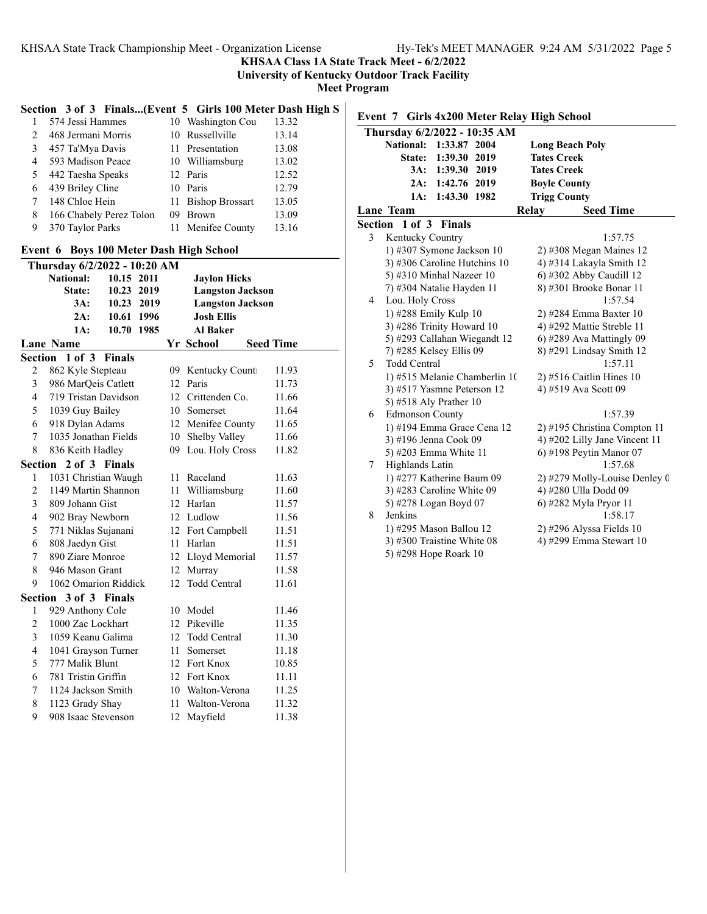**KHSAA Class 1A State Track Meet - 6/2/2022**

**University of Kentucky Outdoor Track Facility**

**Meet Program**

### **Section 3 of 3 Finals...(Event 5 Girls 100 Meter Dash High S**

|               | 574 Jessi Hammes        |    | 10 Washington Cou  | 13.32 |
|---------------|-------------------------|----|--------------------|-------|
| $\mathcal{L}$ | 468 Jermani Morris      |    | 10 Russellville    | 13.14 |
| 3             | 457 Ta'Mya Davis        |    | 11 Presentation    | 13.08 |
| 4             | 593 Madison Peace       |    | 10 Williamsburg    | 13.02 |
| 5             | 442 Taesha Speaks       |    | 12 Paris           | 12.52 |
| 6             | 439 Briley Cline        |    | 10 Paris           | 12.79 |
|               | 148 Chloe Hein          |    | 11 Bishop Brossart | 13.05 |
| 8             | 166 Chabely Perez Tolon | 09 | <b>Brown</b>       | 13.09 |
| 9             | 370 Taylor Parks        |    | 11 Menifee County  | 13.16 |
|               |                         |    |                    |       |

#### **Event 6 Boys 100 Meter Dash High School**

| Thursday 6/2/2022 - 10:20 AM |                       |               |                  |                         |                  |  |
|------------------------------|-----------------------|---------------|------------------|-------------------------|------------------|--|
|                              | <b>National:</b>      | 10.15 2011    |                  | <b>Jaylon Hicks</b>     |                  |  |
|                              | State:                | 10.23 2019    |                  | <b>Langston Jackson</b> |                  |  |
|                              | 3A:                   | 10.23 2019    |                  | <b>Langston Jackson</b> |                  |  |
|                              | 2A:                   | 10.61 1996    |                  | <b>Josh Ellis</b>       |                  |  |
|                              | 1A:                   | 10.70 1985    |                  | <b>Al Baker</b>         |                  |  |
|                              | <b>Lane Name</b>      |               |                  | Yr School               | <b>Seed Time</b> |  |
|                              | Section 1 of 3        | <b>Finals</b> |                  |                         |                  |  |
| $\overline{c}$               | 862 Kyle Stepteau     |               |                  | 09 Kentucky Count       | 11.93            |  |
| 3                            | 986 MarQeis Catlett   |               |                  | 12 Paris                | 11.73            |  |
| $\overline{4}$               | 719 Tristan Davidson  |               | 12               | Crittenden Co.          | 11.66            |  |
| 5                            | 1039 Guy Bailey       |               |                  | 10 Somerset             | 11.64            |  |
| 6                            | 918 Dylan Adams       |               |                  | 12 Menifee County       | 11.65            |  |
| 7                            | 1035 Jonathan Fields  |               |                  | 10 Shelby Valley        | 11.66            |  |
| 8                            | 836 Keith Hadley      |               |                  | 09 Lou. Holy Cross      | 11.82            |  |
|                              | Section 2 of 3 Finals |               |                  |                         |                  |  |
| 1                            | 1031 Christian Waugh  |               |                  | 11 Raceland             | 11.63            |  |
| $\overline{2}$               | 1149 Martin Shannon   |               | 11               | Williamsburg            | 11.60            |  |
| 3                            | 809 Johann Gist       |               |                  | 12 Harlan               | 11.57            |  |
| $\overline{4}$               | 902 Bray Newborn      |               |                  | 12 Ludlow               | 11.56            |  |
| 5                            | 771 Niklas Sujanani   |               |                  | 12 Fort Campbell        | 11.51            |  |
| 6                            | 808 Jaedyn Gist       |               |                  | 11 Harlan               | 11.51            |  |
| 7                            | 890 Ziare Monroe      |               |                  | 12 Lloyd Memorial       | 11.57            |  |
| 8                            | 946 Mason Grant       |               |                  | 12 Murray               | 11.58            |  |
| 9                            | 1062 Omarion Riddick  |               | 12               | <b>Todd Central</b>     | 11.61            |  |
|                              | Section 3 of 3 Finals |               |                  |                         |                  |  |
| $\mathbf{1}$                 | 929 Anthony Cole      |               |                  | 10 Model                | 11.46            |  |
| $\overline{2}$               | 1000 Zac Lockhart     |               |                  | 12 Pikeville            | 11.35            |  |
| 3                            | 1059 Keanu Galima     |               | 12 <sup>12</sup> | <b>Todd Central</b>     | 11.30            |  |
| $\overline{4}$               | 1041 Grayson Turner   |               | 11               | Somerset                | 11.18            |  |
| 5                            | 777 Malik Blunt       |               |                  | 12 Fort Knox            | 10.85            |  |
| 6                            | 781 Tristin Griffin   |               |                  | 12 Fort Knox            | 11.11            |  |
| 7                            | 1124 Jackson Smith    |               |                  | 10 Walton-Verona        | 11.25            |  |
| 8                            | 1123 Grady Shay       |               |                  | 11 Walton-Verona        | 11.32            |  |
| 9                            | 908 Isaac Stevenson   |               | 12               | Mayfield                | 11.38            |  |

**Event 7 Girls 4x200 Meter Relay High School**

|   | Thursday 6/2/2022 - 10:35 AM     |                               |
|---|----------------------------------|-------------------------------|
|   | <b>National:</b><br>1:33.87 2004 | <b>Long Beach Poly</b>        |
|   | State: 1:39.30 2019              | <b>Tates Creek</b>            |
|   | 3A: 1:39.30 2019                 | <b>Tates Creek</b>            |
|   | 2A: 1:42.76 2019                 | <b>Boyle County</b>           |
|   | 1:43.30 1982<br>1A:              | <b>Trigg County</b>           |
|   | Lane Team                        | <b>Seed Time</b><br>Relay     |
|   | Section 1 of 3 Finals            |                               |
| 3 | Kentucky Country                 | 1:57.75                       |
|   | 1) #307 Symone Jackson $10$      | $2)$ #308 Megan Maines 12     |
|   | 3) #306 Caroline Hutchins 10     | 4) #314 Lakayla Smith 12      |
|   | 5) #310 Minhal Nazeer 10         | 6) #302 Abby Caudill 12       |
|   | 7) #304 Natalie Hayden 11        | 8) #301 Brooke Bonar 11       |
| 4 | Lou. Holy Cross                  | 1:57.54                       |
|   | 1) #288 Emily Kulp 10            | 2) #284 Emma Baxter 10        |
|   | 3) #286 Trinity Howard 10        | 4) #292 Mattie Streble 11     |
|   | 5) #293 Callahan Wiegandt 12     | $(6)$ #289 Ava Mattingly 09   |
|   | 7) #285 Kelsey Ellis 09          | 8) #291 Lindsay Smith 12      |
| 5 | <b>Todd Central</b>              | 1:57.11                       |
|   | 1) #515 Melanie Chamberlin 10    | $2)$ #516 Caitlin Hines 10    |
|   | 3) #517 Yasmne Peterson 12       | 4) #519 Ava Scott 09          |
|   | 5) #518 Aly Prather 10           |                               |
| 6 | <b>Edmonson County</b>           | 1:57.39                       |
|   | 1) #194 Emma Grace Cena 12       | 2) #195 Christina Compton 11  |
|   | 3) #196 Jenna Cook 09            | 4) #202 Lilly Jane Vincent 11 |
|   | 5) #203 Emma White 11            | $6)$ #198 Peytin Manor 07     |
| 7 | Highlands Latin                  | 1:57.68                       |
|   | 1) #277 Katherine Baum 09        | 2) #279 Molly-Louise Denley 0 |
|   | 3) #283 Caroline White 09        | 4) #280 Ulla Dodd 09          |
|   | 5) #278 Logan Boyd 07            | 6) #282 Myla Pryor 11         |
| 8 | Jenkins                          | 1:58.17                       |
|   | 1) #295 Mason Ballou 12          | $2)$ #296 Alyssa Fields 10    |
|   | 3) #300 Traistine White 08       | 4) #299 Emma Stewart 10       |
|   | 5) #298 Hope Roark 10            |                               |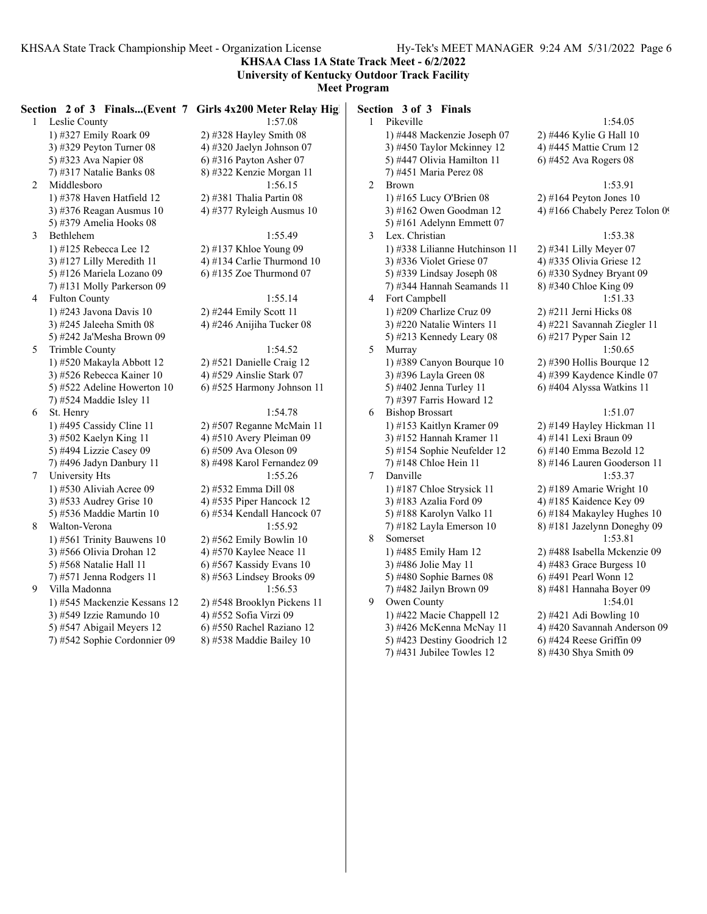**KHSAA Class 1A State Track Meet - 6/2/2022 University of Kentucky Outdoor Track Facility**

**Meet Program**

|    |                                                           | Section 2 of 3 Finals(Event 7 Girls 4x200 Meter Relay High |   | Section 3 of 3 Finals                                   |                                |
|----|-----------------------------------------------------------|------------------------------------------------------------|---|---------------------------------------------------------|--------------------------------|
|    | 1 Leslie County                                           | 1:57.08                                                    |   | 1 Pikeville                                             | 1:54.05                        |
|    | 1) #327 Emily Roark 09                                    | 2) #328 Hayley Smith $08$                                  |   | 1) #448 Mackenzie Joseph 07                             | 2) #446 Kylie G Hall 10        |
|    | 3) #329 Peyton Turner 08                                  | 4) #320 Jaelyn Johnson 07                                  |   | 3) #450 Taylor Mckinney 12                              | 4) #445 Mattie Crum 12         |
|    | 5) #323 Ava Napier 08                                     | $6)$ #316 Payton Asher 07                                  |   | 5) #447 Olivia Hamilton 11                              | $6)$ #452 Ava Rogers 08        |
|    | 7) #317 Natalie Banks 08                                  | 8) #322 Kenzie Morgan 11                                   |   | 7) #451 Maria Perez 08                                  |                                |
| 2  | Middlesboro                                               | 1:56.15                                                    | 2 | Brown                                                   | 1:53.91                        |
|    | 1) #378 Haven Hatfield $12$                               | $2)$ #381 Thalia Partin 08                                 |   | 1) #165 Lucy O'Brien 08                                 | $2)$ #164 Peyton Jones 10      |
|    | 3) #376 Reagan Ausmus $10$                                | 4) #377 Ryleigh Ausmus 10                                  |   | 3) #162 Owen Goodman 12                                 | 4) #166 Chabely Perez Tolon 09 |
|    | 5) #379 Amelia Hooks 08                                   |                                                            |   | 5) #161 Adelynn Emmett 07                               |                                |
| 3  | Bethlehem                                                 | 1:55.49                                                    | 3 | Lex. Christian                                          | 1:53.38                        |
|    | 1) #125 Rebecca Lee 12                                    | 2) #137 Khloe Young 09                                     |   | 1) #338 Lilianne Hutchinson 11                          | 2) #341 Lilly Meyer 07         |
|    | 3) #127 Lilly Meredith 11                                 | 4) #134 Carlie Thurmond 10                                 |   | 3) #336 Violet Griese 07                                | 4) #335 Olivia Griese 12       |
|    | 5) #126 Mariela Lozano 09                                 | 6) #135 Zoe Thurmond $07$                                  |   | 5) #339 Lindsay Joseph 08                               | $6$ ) #330 Sydney Bryant 09    |
|    | 7) #131 Molly Parkerson 09                                |                                                            |   | 7) #344 Hannah Seamands 11                              | 8) #340 Chloe King 09          |
| 4  | <b>Fulton County</b>                                      | 1:55.14                                                    | 4 | Fort Campbell                                           | 1:51.33                        |
|    | 1) #243 Javona Davis 10                                   | 2) #244 Emily Scott 11                                     |   | 1) #209 Charlize Cruz 09                                | 2) #211 Jerni Hicks 08         |
|    | 3) #245 Jaleeha Smith $08$                                | 4) #246 Anijiha Tucker 08                                  |   | 3) #220 Natalie Winters 11                              | 4) #221 Savannah Ziegler 11    |
|    | 5) #242 Ja'Mesha Brown 09                                 |                                                            |   | 5) #213 Kennedy Leary 08                                | 6) #217 Pyper Sain 12          |
| 5. | Trimble County                                            | 1:54.52                                                    | 5 | Murray                                                  | 1:50.65                        |
|    | 1) #520 Makayla Abbott 12                                 | 2) #521 Danielle Craig 12                                  |   | 1) #389 Canyon Bourque 10                               | $2)$ #390 Hollis Bourque 12    |
|    | 3) #526 Rebecca Kainer 10                                 | 4) #529 Ainslie Stark 07                                   |   | 3) #396 Layla Green 08                                  | 4) #399 Kaydence Kindle 07     |
|    | 5) #522 Adeline Howerton 10                               | 6) #525 Harmony Johnson 11                                 |   | 5) #402 Jenna Turley 11                                 | 6) #404 Alyssa Watkins 11      |
|    | 7) #524 Maddie Isley 11                                   |                                                            |   | 7) #397 Farris Howard 12                                |                                |
| 6  | St. Henry                                                 | 1:54.78                                                    | 6 | <b>Bishop Brossart</b>                                  | 1:51.07                        |
|    | 1) #495 Cassidy Cline $11$                                | 2) #507 Reganne McMain 11                                  |   | 1) #153 Kaitlyn Kramer 09                               | 2) #149 Hayley Hickman 11      |
|    | 3) #502 Kaelyn King 11                                    | 4) #510 Avery Pleiman 09                                   |   | 3) #152 Hannah Kramer 11                                | 4) #141 Lexi Braun 09          |
|    | 5) #494 Lizzie Casey 09                                   | 6) #509 Ava Oleson 09                                      |   | 5) #154 Sophie Neufelder 12                             | $6)$ #140 Emma Bezold 12       |
|    | 7) #496 Jadyn Danbury 11                                  | 8) #498 Karol Fernandez 09                                 |   | 7) #148 Chloe Hein 11                                   | 8) #146 Lauren Gooderson 11    |
| 7  | University Hts                                            | 1:55.26                                                    |   | 7 Danville                                              | 1:53.37                        |
|    | 1) #530 Aliviah Acree 09                                  | 2) #532 Emma Dill 08                                       |   | 1) #187 Chloe Strysick 11                               | 2) #189 Amarie Wright 10       |
|    | 3) #533 Audrey Grise 10                                   | 4) #535 Piper Hancock 12                                   |   | 3) #183 Azalia Ford 09                                  | 4) #185 Kaidence Key 09        |
|    | 5) #536 Maddie Martin 10                                  | 6) #534 Kendall Hancock 07                                 |   | 5) #188 Karolyn Valko 11                                | 6) #184 Makayley Hughes 10     |
| 8  | Walton-Verona                                             | 1:55.92                                                    |   | 7) #182 Layla Emerson 10                                | 8) #181 Jazelynn Doneghy 09    |
|    | 1) #561 Trinity Bauwens 10                                | $2)$ #562 Emily Bowlin 10                                  | 8 | Somerset                                                | 1:53.81                        |
|    | 3) #566 Olivia Drohan 12                                  | 4) #570 Kaylee Neace 11                                    |   | 1) #485 Emily Ham 12                                    | 2) #488 Isabella Mckenzie 09   |
|    | 5) #568 Natalie Hall 11                                   | 6) #567 Kassidy Evans 10                                   |   | 3) #486 Jolie May 11                                    | 4) #483 Grace Burgess 10       |
|    | 7) #571 Jenna Rodgers 11                                  | 8) #563 Lindsey Brooks 09                                  |   | 5) #480 Sophie Barnes 08                                | 6) #491 Pearl Wonn 12          |
| 9  | Villa Madonna                                             | 1:56.53                                                    |   | 7) #482 Jailyn Brown 09                                 | 8) #481 Hannaha Boyer 09       |
|    | 1) #545 Mackenzie Kessans 12                              | 2) #548 Brooklyn Pickens 11                                | 9 | Owen County                                             | 1:54.01                        |
|    | 3) #549 Izzie Ramundo 10                                  | 4) #552 Sofia Virzi 09                                     |   | 1) #422 Macie Chappell 12                               | 2) #421 Adi Bowling 10         |
|    | 5) #547 Abigail Meyers 12<br>7) #542 Sophie Cordonnier 09 | 6) #550 Rachel Raziano 12                                  |   | 3) #426 McKenna McNay 11<br>5) #423 Destiny Goodrich 12 | 4) #420 Savannah Anderson 09   |
|    |                                                           | 8) #538 Maddie Bailey 10                                   |   |                                                         | $6)$ #424 Reese Griffin 09     |
|    |                                                           |                                                            |   | 7) #431 Jubilee Towles $12$                             | 8) #430 Shya Smith 09          |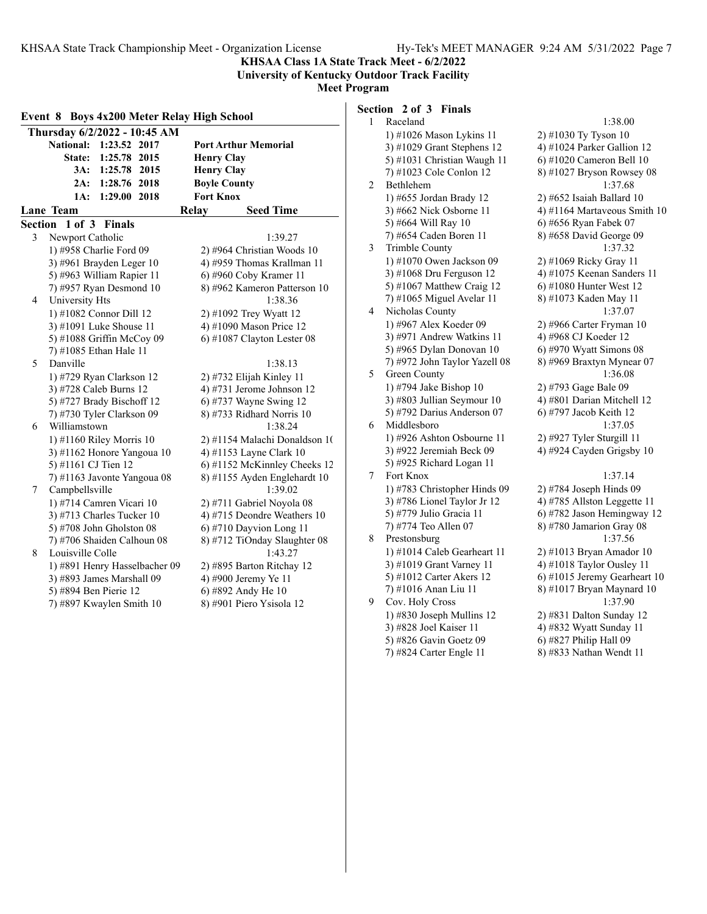**KHSAA Class 1A State Track Meet - 6/2/2022 University of Kentucky Outdoor Track Facility**

**Meet Program**

| Event 8 Boys 4x200 Meter Relay High School |                                  | 1 | Section 2 of 3<br>Raceland  |
|--------------------------------------------|----------------------------------|---|-----------------------------|
| Thursday 6/2/2022 - 10:45 AM               |                                  |   | 1) #1026 M                  |
| 1:23.52 2017<br><b>National:</b>           | <b>Port Arthur Memorial</b>      |   | 3) #1029 G                  |
| 1:25.78 2015<br>State:                     | <b>Henry Clay</b>                |   | 5) #1031 Cl                 |
| 3A:<br>1:25.78 2015                        | <b>Henry Clay</b>                |   | 7) #1023 Co                 |
| 1:28.76 2018<br>2A:                        | <b>Boyle County</b>              | 2 | Bethlehem                   |
| 1:29.00 2018<br>1A:                        | <b>Fort Knox</b>                 |   | 1) #655 Jore                |
| Lane Team                                  | <b>Seed Time</b><br><b>Relay</b> |   | 3) #662 Nic                 |
| Section 1 of 3 Finals                      |                                  |   | 5) #664 Wil                 |
| 3<br>Newport Catholic                      | 1:39.27                          |   | 7) #654 Cao                 |
| 1) #958 Charlie Ford 09                    | 2) #964 Christian Woods 10       | 3 | Trimble Co                  |
| 3) #961 Brayden Leger 10                   | 4) #959 Thomas Krallman 11       |   | 1) #1070 $O1$               |
| 5) #963 William Rapier 11                  | 6) #960 Coby Kramer 11           |   | 3) #1068 $D_1$              |
| 7) #957 Ryan Desmond 10                    | 8) #962 Kameron Patterson 10     |   | 5) #1067 M                  |
| University Hts<br>4                        | 1:38.36                          |   | 7) #1065 M                  |
| 1) #1082 Connor Dill 12                    | 2) #1092 Trey Wyatt 12           | 4 | Nicholas Co                 |
| 3) #1091 Luke Shouse 11                    | 4) #1090 Mason Price 12          |   | 1) #967 Ale                 |
| 5) #1088 Griffin McCoy 09                  | $6)$ #1087 Clayton Lester 08     |   | 3) #971 Ano                 |
| 7) #1085 Ethan Hale 11                     |                                  |   | 5) #965 Dyl                 |
| Danville<br>5                              | 1:38.13                          |   | 7) #972 Joh                 |
| 1) #729 Ryan Clarkson 12                   | 2) #732 Elijah Kinley 11         | 5 | Green Cour                  |
| 3) #728 Caleb Burns 12                     | 4) #731 Jerome Johnson 12        |   | 1) #794 Jak                 |
| 5) #727 Brady Bischoff 12                  | 6) #737 Wayne Swing 12           |   | 3) #803 Jull                |
| 7) #730 Tyler Clarkson 09                  | 8) #733 Ridhard Norris 10        |   | 5) #792 Dai                 |
| Williamstown<br>6                          | 1:38.24                          | 6 | Middlesbor                  |
| 1) #1160 Riley Morris 10                   | 2) #1154 Malachi Donaldson 1(    |   | 1) #926 Asl                 |
| 3) #1162 Honore Yangoua 10                 | 4) #1153 Layne Clark 10          |   | 3) #922 Jero                |
| 5) #1161 CJ Tien 12                        | 6) #1152 McKinnley Cheeks 12     |   | 5) #925 Ric                 |
| 7) #1163 Javonte Yangoua 08                | 8) #1155 Ayden Englehardt 10     | 7 | Fort Knox                   |
| Campbellsville<br>7                        | 1:39.02                          |   | 1) #783 Chi                 |
| 1) #714 Camren Vicari 10                   | 2) #711 Gabriel Noyola 08        |   | 3) #786 Lio                 |
| 3) #713 Charles Tucker 10                  | 4) #715 Deondre Weathers 10      |   | 5) #779 Juli                |
| 5) #708 John Gholston $08$                 | 6) #710 Dayvion Long 11          |   | 7) #774 Tec                 |
| 7) #706 Shaiden Calhoun 08                 | 8) #712 TiOnday Slaughter 08     | 8 | Prestonsbur                 |
| Louisville Colle<br>8                      | 1:43.27                          |   | 1) #1014 $C_8$              |
| 1) #891 Henry Hasselbacher 09              | 2) #895 Barton Ritchay 12        |   | 3) #1019 G                  |
| 3) #893 James Marshall 09                  | 4) #900 Jeremy Ye 11             |   | 5) #1012 Ca                 |
| 5) #894 Ben Pierie 12                      | 6) #892 Andy He 10               |   | $(7)$ #1016 A               |
| 7) #897 Kwaylen Smith 10                   | 8) #901 Piero Ysisola 12         | 9 | Cov. Holy<br>1) $\#$ 20 Los |
|                                            |                                  |   |                             |

**Finals** 

| 1 | Raceland                      | 1:38.00                      |
|---|-------------------------------|------------------------------|
|   | 1) #1026 Mason Lykins 11      | 2) #1030 Ty Tyson 10         |
|   | 3) #1029 Grant Stephens 12    | 4) #1024 Parker Gallion 12   |
|   | 5) #1031 Christian Waugh 11   | 6) #1020 Cameron Bell 10     |
|   | 7) #1023 Cole Conlon 12       | 8) #1027 Bryson Rowsey 08    |
| 2 | Bethlehem                     | 1:37.68                      |
|   | 1) #655 Jordan Brady 12       | $2)$ #652 Isaiah Ballard 10  |
|   | 3) #662 Nick Osborne 11       | 4) #1164 Martaveous Smith 10 |
|   | 5) #664 Will Ray 10           | 6) #656 Ryan Fabek 07        |
|   | 7) #654 Caden Boren 11        | 8) #658 David George 09      |
| 3 | Trimble County                | 1:37.32                      |
|   | 1) #1070 Owen Jackson 09      | 2) #1069 Ricky Gray 11       |
|   | 3) #1068 Dru Ferguson 12      | 4) #1075 Keenan Sanders 11   |
|   | 5) #1067 Matthew Craig 12     | 6) #1080 Hunter West 12      |
|   | 7) #1065 Miguel Avelar 11     | 8) #1073 Kaden May 11        |
| 4 | Nicholas County               | 1:37.07                      |
|   | 1) #967 Alex Koeder 09        | 2) #966 Carter Fryman 10     |
|   | 3) #971 Andrew Watkins 11     | 4) #968 CJ Koeder 12         |
|   | 5) #965 Dylan Donovan 10      | 6) #970 Wyatt Simons 08      |
|   | 7) #972 John Taylor Yazell 08 | 8) #969 Braxtyn Mynear 07    |
| 5 | Green County                  | 1:36.08                      |
|   | 1) #794 Jake Bishop 10        | 2) #793 Gage Bale 09         |
|   | 3) #803 Jullian Seymour 10    | 4) #801 Darian Mitchell 12   |
|   | 5) #792 Darius Anderson 07    | 6) #797 Jacob Keith 12       |
| 6 | Middlesboro                   | 1:37.05                      |
|   | 1) #926 Ashton Osbourne 11    | 2) #927 Tyler Sturgill 11    |
|   | 3) #922 Jeremiah Beck 09      | 4) #924 Cayden Grigsby 10    |
|   | 5) #925 Richard Logan 11      |                              |
| 7 | Fort Knox                     | 1:37.14                      |
|   | 1) #783 Christopher Hinds 09  | 2) #784 Joseph Hinds 09      |
|   | 3) #786 Lionel Taylor Jr 12   | 4) #785 Allston Leggette 11  |
|   | 5) #779 Julio Gracia 11       | 6) #782 Jason Hemingway 12   |
|   | 7) #774 Teo Allen 07          | 8) #780 Jamarion Gray 08     |
| 8 | Prestonsburg                  | 1:37.56                      |
|   | 1) #1014 Caleb Gearheart 11   | 2) #1013 Bryan Amador 10     |
|   |                               |                              |
|   | 3) #1019 Grant Varney 11      | 4) #1018 Taylor Ousley 11    |
|   | 5) #1012 Carter Akers 12      | 6) #1015 Jeremy Gearheart 10 |
|   | 7) #1016 Anan Liu 11          | 8) #1017 Bryan Maynard 10    |
| 9 | Cov. Holy Cross               | 1:37.90                      |
|   | 1) #830 Joseph Mullins 12     | 2) #831 Dalton Sunday 12     |
|   | 3) #828 Joel Kaiser 11        | 4) #832 Wyatt Sunday 11      |
|   | 5) #826 Gavin Goetz 09        | 6) #827 Philip Hall 09       |
|   | 7) #824 Carter Engle 11       | 8) #833 Nathan Wendt 11      |
|   |                               |                              |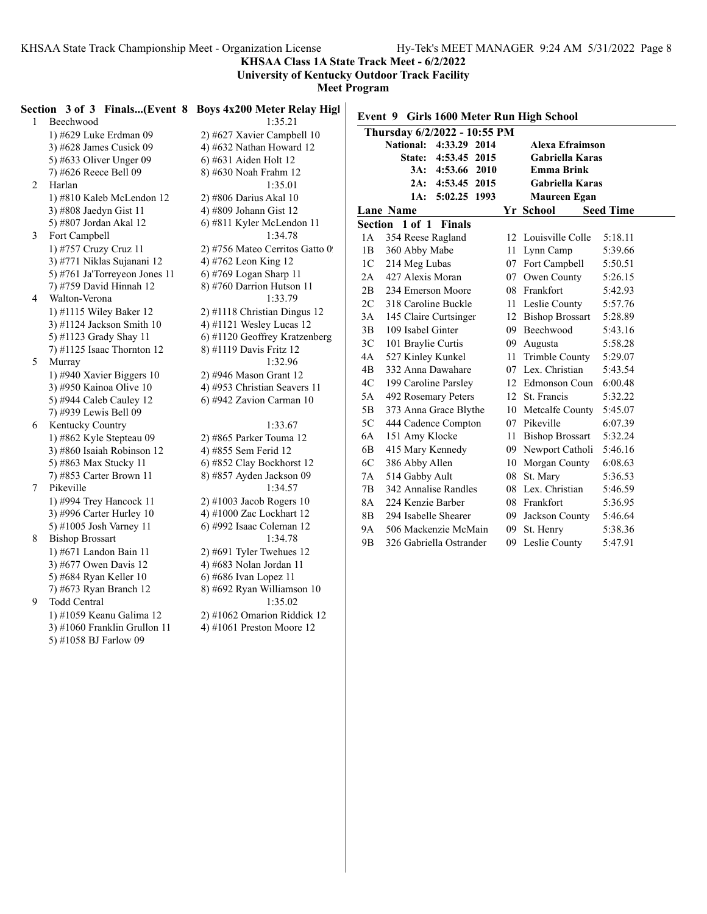3) #1060 Franklin Grullon  $11$ 5) #1058 BJ Farlow 09

**KHSAA Class 1A State Track Meet - 6/2/2022**

**University of Kentucky Outdoor Track Facility**

**Meet Program**

|              |                               | Section 3 of 3 Finals(Event 8 Boys 4x200 Meter Relay High |                |                                          |    |                        |                  |
|--------------|-------------------------------|-----------------------------------------------------------|----------------|------------------------------------------|----|------------------------|------------------|
| $\mathbf{1}$ | Beechwood                     | 1:35.21                                                   |                | Event 9 Girls 1600 Meter Run High School |    |                        |                  |
|              | 1) #629 Luke Erdman 09        | 2) #627 Xavier Campbell 10                                |                | Thursday 6/2/2022 - 10:55 PM             |    |                        |                  |
|              | 3) #628 James Cusick 09       | 4) #632 Nathan Howard $12$                                |                | National: 4:33.29 2014                   |    | <b>Alexa Efraimson</b> |                  |
|              | 5) #633 Oliver Unger 09       | 6) #631 Aiden Holt 12                                     |                | State: 4:53.45 2015                      |    | Gabriella Karas        |                  |
|              | 7) #626 Reece Bell 09         | 8) #630 Noah Frahm 12                                     |                | 3A: 4:53.66 2010                         |    | <b>Emma Brink</b>      |                  |
| 2            | Harlan                        | 1:35.01                                                   |                | 2A: 4:53.45 2015                         |    | <b>Gabriella Karas</b> |                  |
|              | 1) #810 Kaleb McLendon 12     | 2) #806 Darius Akal 10                                    |                | 1A: 5:02.25 1993                         |    | <b>Maureen Egan</b>    |                  |
|              | 3) #808 Jaedyn Gist 11        | 4) #809 Johann Gist 12                                    |                | Lane Name                                |    | Yr School              | <b>Seed Time</b> |
|              | 5) #807 Jordan Akal 12        | 6) #811 Kyler McLendon 11                                 |                | Section 1 of 1 Finals                    |    |                        |                  |
| 3            | Fort Campbell                 | 1:34.78                                                   | 1A             | 354 Reese Ragland                        |    | 12 Louisville Colle    | 5:18.11          |
|              | 1) #757 Cruzy Cruz 11         | 2) #756 Mateo Cerritos Gatto 0                            | 1B             | 360 Abby Mabe                            |    | 11 Lynn Camp           | 5:39.66          |
|              | 3) #771 Niklas Sujanani 12    | 4) #762 Leon King 12                                      | 1 <sup>C</sup> | 214 Meg Lubas                            |    | 07 Fort Campbell       | 5:50.51          |
|              | 5) #761 Ja'Torreyeon Jones 11 | 6) #769 Logan Sharp 11                                    | 2A             | 427 Alexis Moran                         |    | 07 Owen County         | 5:26.15          |
|              | 7) #759 David Hinnah 12       | 8) #760 Darrion Hutson 11                                 | 2B             | 234 Emerson Moore                        |    | 08 Frankfort           | 5:42.93          |
| 4            | Walton-Verona                 | 1:33.79                                                   | 2C             | 318 Caroline Buckle                      |    | 11 Leslie County       | 5:57.76          |
|              | 1) #1115 Wiley Baker 12       | 2) #1118 Christian Dingus 12                              | 3A             | 145 Claire Curtsinger                    |    | 12 Bishop Brossart     | 5:28.89          |
|              | $3)$ #1124 Jackson Smith 10   | 4) #1121 Wesley Lucas 12                                  | 3B             | 109 Isabel Ginter                        |    | 09 Beechwood           | 5:43.16          |
|              | 5) #1123 Grady Shay 11        | 6) #1120 Geoffrey Kratzenberg                             | 3C             | 101 Braylie Curtis                       |    | 09 Augusta             | 5:58.28          |
|              | 7) #1125 Isaac Thornton 12    | 8) #1119 Davis Fritz 12                                   | 4A             | 527 Kinley Kunkel                        |    | 11 Trimble County      | 5:29.07          |
| 5            | Murray                        | 1:32.96                                                   | 4 <sub>B</sub> | 332 Anna Dawahare                        |    | 07 Lex. Christian      | 5:43.54          |
|              | 1) #940 Xavier Biggers 10     | 2) #946 Mason Grant 12                                    | 4C             | 199 Caroline Parsley                     |    | 12 Edmonson Coun       | 6:00.48          |
|              | 3) #950 Kainoa Olive 10       | 4) #953 Christian Seavers 11                              | 5A             | 492 Rosemary Peters                      |    | 12 St. Francis         | 5:32.22          |
|              | 5) #944 Caleb Cauley 12       | 6) #942 Zavion Carman 10                                  | 5B             |                                          |    | 10 Metcalfe County     | 5:45.07          |
|              | 7) #939 Lewis Bell 09         |                                                           |                | 373 Anna Grace Blythe                    |    |                        |                  |
| 6            | Kentucky Country              | 1:33.67                                                   | 5C             | 444 Cadence Compton                      |    | 07 Pikeville           | 6:07.39          |
|              | 1) #862 Kyle Stepteau 09      | 2) #865 Parker Touma 12                                   | 6A             | 151 Amy Klocke                           |    | 11 Bishop Brossart     | 5:32.24          |
|              | 3) #860 Isaiah Robinson 12    | 4) #855 Sem Ferid 12                                      | 6 <sub>B</sub> | 415 Mary Kennedy                         |    | 09 Newport Catholi     | 5:46.16          |
|              | 5) #863 Max Stucky 11         | 6) #852 Clay Bockhorst 12                                 | 6C             | 386 Abby Allen                           |    | 10 Morgan County       | 6:08.63          |
|              | 7) #853 Carter Brown 11       | 8) #857 Ayden Jackson 09                                  | 7A             | 514 Gabby Ault                           |    | 08 St. Mary            | 5:36.53          |
| 7            | Pikeville                     | 1:34.57                                                   | 7B             | 342 Annalise Randles                     |    | 08 Lex. Christian      | 5:46.59          |
|              | 1) #994 Trey Hancock 11       | $2)$ #1003 Jacob Rogers 10                                | <b>8A</b>      | 224 Kenzie Barber                        |    | 08 Frankfort           | 5:36.95          |
|              | 3) #996 Carter Hurley 10      | 4) #1000 Zac Lockhart 12                                  | 8B             | 294 Isabelle Shearer                     | 09 | Jackson County         | 5:46.64          |
|              | 5) #1005 Josh Varney 11       | 6) #992 Isaac Coleman 12                                  | <b>9A</b>      | 506 Mackenzie McMain                     |    | 09 St. Henry           | 5:38.36          |
| 8            | <b>Bishop Brossart</b>        | 1:34.78                                                   | 9 <sub>B</sub> | 326 Gabriella Ostrander                  |    | 09 Leslie County       | 5:47.91          |
|              | 1) #671 Landon Bain 11        | $2)$ #691 Tyler Twehues 12                                |                |                                          |    |                        |                  |
|              | 3) #677 Owen Davis 12         | 4) #683 Nolan Jordan 11                                   |                |                                          |    |                        |                  |
|              | 5) #684 Ryan Keller 10        | 6) #686 Ivan Lopez 11                                     |                |                                          |    |                        |                  |
|              | 7) #673 Ryan Branch 12        | 8) #692 Ryan Williamson 10                                |                |                                          |    |                        |                  |
| 9            | Todd Central                  | 1:35.02                                                   |                |                                          |    |                        |                  |
|              | 1) #1059 Keanu Galima 12      | 2) #1062 Omarion Riddick 12                               |                |                                          |    |                        |                  |
|              | 3) #1060 Franklin Grullon 11  | 4) #1061 Preston Moore 12                                 |                |                                          |    |                        |                  |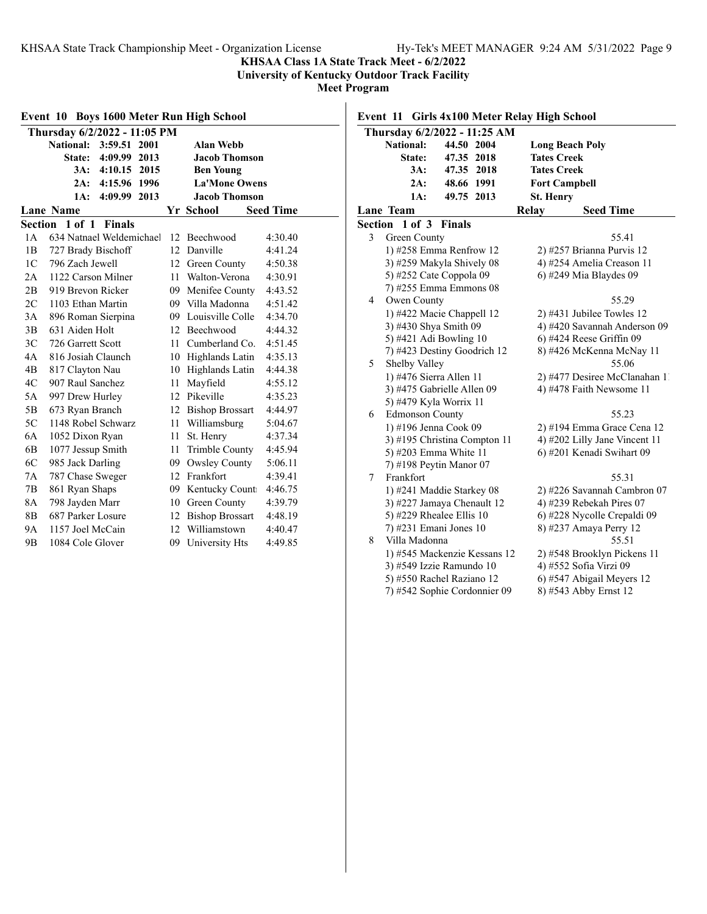### **KHSAA Class 1A State Track Meet - 6/2/2022**

**University of Kentucky Outdoor Track Facility**

**Meet Program**

| <b>Boys 1600 Meter Run High School</b><br>Event 10 |                                  |    |                        |                  |  |  |
|----------------------------------------------------|----------------------------------|----|------------------------|------------------|--|--|
|                                                    | Thursday 6/2/2022 - 11:05 PM     |    |                        |                  |  |  |
|                                                    | <b>National:</b><br>3:59.51 2001 |    | <b>Alan Webb</b>       |                  |  |  |
|                                                    | State:<br>4:09.99 2013           |    | <b>Jacob Thomson</b>   |                  |  |  |
|                                                    | 4:10.15 2015<br>3A:              |    | <b>Ben Young</b>       |                  |  |  |
|                                                    | 4:15.96<br>2A:<br>1996           |    | <b>La'Mone Owens</b>   |                  |  |  |
|                                                    | 4:09.99<br>2013<br>1A:           |    | <b>Jacob Thomson</b>   |                  |  |  |
|                                                    | <b>Lane Name</b>                 |    | Yr School              | <b>Seed Time</b> |  |  |
| Section                                            | 1 of 1<br><b>Finals</b>          |    |                        |                  |  |  |
| 1A                                                 | 634 Natnael Weldemichael         |    | 12 Beechwood           | 4:30.40          |  |  |
| 1B                                                 | 727 Brady Bischoff               |    | 12 Danville            | 4:41.24          |  |  |
| 1C                                                 | 796 Zach Jewell                  | 12 | Green County           | 4:50.38          |  |  |
| 2A                                                 | 1122 Carson Milner               | 11 | Walton-Verona          | 4:30.91          |  |  |
| 2B                                                 | 919 Brevon Ricker                |    | 09 Menifee County      | 4:43.52          |  |  |
| 2C                                                 | 1103 Ethan Martin                |    | 09 Villa Madonna       | 4:51.42          |  |  |
| 3A                                                 | 896 Roman Sierpina               |    | 09 Louisville Colle    | 4:34.70          |  |  |
| 3B                                                 | 631 Aiden Holt                   |    | 12 Beechwood           | 4:44.32          |  |  |
| 3C                                                 | 726 Garrett Scott                |    | 11 Cumberland Co.      | 4:51.45          |  |  |
| 4A                                                 | 816 Josiah Claunch               |    | 10 Highlands Latin     | 4:35.13          |  |  |
| 4B                                                 | 817 Clayton Nau                  | 10 | Highlands Latin        | 4:44.38          |  |  |
| 4C                                                 | 907 Raul Sanchez                 | 11 | Mayfield               | 4:55.12          |  |  |
| 5A                                                 | 997 Drew Hurley                  |    | 12 Pikeville           | 4:35.23          |  |  |
| 5B                                                 | 673 Ryan Branch                  |    | 12 Bishop Brossart     | 4:44.97          |  |  |
| 5C                                                 | 1148 Robel Schwarz               |    | 11 Williamsburg        | 5:04.67          |  |  |
| 6A                                                 | 1052 Dixon Ryan                  | 11 | St. Henry              | 4:37.34          |  |  |
| 6B                                                 | 1077 Jessup Smith                | 11 | Trimble County         | 4:45.94          |  |  |
| 6C                                                 | 985 Jack Darling                 | 09 | Owsley County          | 5:06.11          |  |  |
| 7A                                                 | 787 Chase Sweger                 |    | 12 Frankfort           | 4:39.41          |  |  |
| 7В                                                 | 861 Ryan Shaps                   |    | 09 Kentucky Count      | 4:46.75          |  |  |
| 8A                                                 | 798 Jayden Marr                  | 10 | Green County           | 4:39.79          |  |  |
| 8B                                                 | 687 Parker Losure                | 12 | <b>Bishop Brossart</b> | 4:48.19          |  |  |
| <b>9A</b>                                          | 1157 Joel McCain                 | 12 | Williamstown           | 4:40.47          |  |  |
| 9 <sub>B</sub>                                     | 1084 Cole Glover                 | 09 | University Hts         | 4:49.85          |  |  |

# **Event 11 Girls 4x100 Meter Relay High School**

|         | Thursday 6/2/2022 - 11:25 AM |            |      |                  |                               |  |  |  |
|---------|------------------------------|------------|------|------------------|-------------------------------|--|--|--|
|         | National:                    | 44.50      | 2004 |                  | <b>Long Beach Poly</b>        |  |  |  |
|         | <b>State:</b>                | 47.35 2018 |      |                  | <b>Tates Creek</b>            |  |  |  |
|         | $3A$ :                       | 47.35 2018 |      |                  | <b>Tates Creek</b>            |  |  |  |
|         | 2A:                          | 48.66 1991 |      |                  | <b>Fort Campbell</b>          |  |  |  |
|         | 1A:                          | 49.75      | 2013 | <b>St. Henry</b> |                               |  |  |  |
|         | <b>Lane Team</b>             |            |      | Relay            | <b>Seed Time</b>              |  |  |  |
| Section | $1$ of $3$                   | Finals     |      |                  |                               |  |  |  |
| 3       | Green County                 |            |      |                  | 55.41                         |  |  |  |
|         | 1) #258 Emma Renfrow 12      |            |      |                  | 2) #257 Brianna Purvis 12     |  |  |  |
|         | 3) #259 Makyla Shively 08    |            |      |                  | 4) #254 Amelia Creason 11     |  |  |  |
|         | 5) #252 Cate Coppola 09      |            |      |                  | 6) #249 Mia Blaydes 09        |  |  |  |
|         | 7) #255 Emma Emmons 08       |            |      |                  |                               |  |  |  |
| 4       | Owen County                  |            |      |                  | 55.29                         |  |  |  |
|         | 1) #422 Macie Chappell 12    |            |      |                  | 2) #431 Jubilee Towles 12     |  |  |  |
|         | 3) #430 Shya Smith 09        |            |      |                  | 4) #420 Savannah Anderson 09  |  |  |  |
|         | 5) #421 Adi Bowling 10       |            |      |                  | $6)$ #424 Reese Griffin 09    |  |  |  |
|         | 7) #423 Destiny Goodrich 12  |            |      |                  | 8) #426 McKenna McNay 11      |  |  |  |
| 5       | Shelby Valley                |            |      | 55.06            |                               |  |  |  |
|         | 1) #476 Sierra Allen 11      |            |      |                  | 2) #477 Desiree McClanahan 11 |  |  |  |
|         | 3) #475 Gabrielle Allen 09   |            |      |                  | 4) #478 Faith Newsome 11      |  |  |  |
|         | 5) #479 Kyla Worrix 11       |            |      |                  |                               |  |  |  |
| 6       | <b>Edmonson County</b>       |            |      |                  | 55.23                         |  |  |  |
|         | 1) #196 Jenna Cook 09        |            |      |                  | 2) #194 Emma Grace Cena 12    |  |  |  |
|         | 3) #195 Christina Compton 11 |            |      |                  | 4) #202 Lilly Jane Vincent 11 |  |  |  |
|         | 5) #203 Emma White 11        |            |      |                  | 6) #201 Kenadi Swihart 09     |  |  |  |
|         | 7) #198 Peytin Manor 07      |            |      |                  |                               |  |  |  |
| 7       | Frankfort                    |            |      |                  | 55.31                         |  |  |  |
|         | 1) #241 Maddie Starkey 08    |            |      |                  | 2) #226 Savannah Cambron 07   |  |  |  |
|         | 3) #227 Jamaya Chenault 12   |            |      |                  | 4) #239 Rebekah Pires 07      |  |  |  |
|         | 5) #229 Rhealee Ellis 10     |            |      |                  | 6) #228 Nycolle Crepaldi 09   |  |  |  |
|         | 7) #231 Emani Jones 10       |            |      |                  | 8) #237 Amaya Perry 12        |  |  |  |
| 8       | Villa Madonna                |            |      |                  | 55.51                         |  |  |  |
|         | 1) #545 Mackenzie Kessans 12 |            |      |                  | 2) #548 Brooklyn Pickens 11   |  |  |  |
|         | 3) #549 Izzie Ramundo 10     |            |      |                  | 4) #552 Sofia Virzi 09        |  |  |  |
|         | 5) #550 Rachel Raziano 12    |            |      |                  | 6) #547 Abigail Meyers 12     |  |  |  |
|         | 7) #542 Sophie Cordonnier 09 |            |      |                  | 8) #543 Abby Ernst 12         |  |  |  |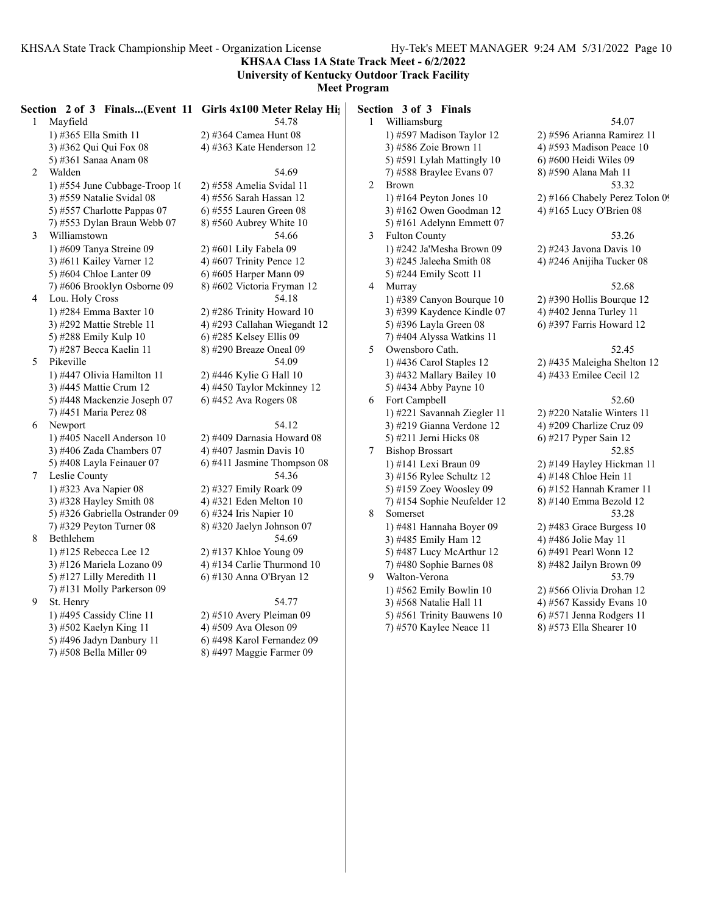**KHSAA Class 1A State Track Meet - 6/2/2022**

#### **University of Kentucky Outdoor Track Facility Meet Program**

| $\mathbf{1}$   | Section 2 of 3 Finals(Event 11 Girls 4x100 Meter Relay Hights)<br>Mayfield | 54.78                                              | $\mathbf{1}$   | Section 3 of 3 Finals<br>Williamsburg                   | 54.07                   |
|----------------|----------------------------------------------------------------------------|----------------------------------------------------|----------------|---------------------------------------------------------|-------------------------|
|                | 1) #365 Ella Smith 11                                                      | 2) #364 Camea Hunt 08                              |                | 1) #597 Madison Taylor 12                               | 2) #596 Arianna Ramir   |
|                | 3) #362 Qui Qui Fox 08                                                     | 4) #363 Kate Henderson 12                          |                | 3) #586 Zoie Brown 11                                   | 4) #593 Madison Peace   |
|                | 5) #361 Sanaa Anam 08                                                      |                                                    |                | 5) #591 Lylah Mattingly 10                              | 6) #600 Heidi Wiles 09  |
| $\overline{2}$ | Walden                                                                     | 54.69                                              |                | 7) #588 Braylee Evans $07$                              | 8) #590 Alana Mah 11    |
|                | 1) #554 June Cubbage-Troop 10                                              | 2) #558 Amelia Svidal 11                           | $\overline{2}$ | <b>Brown</b>                                            | 53.32                   |
|                | 3) #559 Natalie Svidal 08                                                  | 4) #556 Sarah Hassan 12                            |                | 1) #164 Peyton Jones 10                                 | 2) #166 Chabely Perez   |
|                | 5) #557 Charlotte Pappas 07                                                | $6$ ) #555 Lauren Green 08                         |                | 3) #162 Owen Goodman 12                                 | 4) #165 Lucy O'Brien (  |
|                | 7) #553 Dylan Braun Webb 07                                                | 8) #560 Aubrey White $10$                          |                | 5) #161 Adelynn Emmett 07                               |                         |
| 3              | Williamstown                                                               | 54.66                                              | $\mathfrak{Z}$ | <b>Fulton County</b>                                    | 53.26                   |
|                | 1) #609 Tanya Streine 09                                                   | 2) #601 Lily Fabela 09                             |                | 1) #242 Ja'Mesha Brown 09                               | 2) #243 Javona Davis 1  |
|                | 3) #611 Kailey Varner 12                                                   | 4) #607 Trinity Pence 12                           |                | $3)$ #245 Jaleeha Smith 08                              | 4) #246 Anijiha Tucker  |
|                | 5) #604 Chloe Lanter 09                                                    | 6) #605 Harper Mann 09                             |                | 5) #244 Emily Scott 11                                  |                         |
|                | 7) #606 Brooklyn Osborne 09                                                | 8) #602 Victoria Fryman 12                         | $\overline{4}$ | Murray                                                  | 52.68                   |
| 4              | Lou. Holy Cross                                                            | 54.18                                              |                |                                                         | 2) #390 Hollis Bourque  |
|                | 1) #284 Emma Baxter 10                                                     | 2) #286 Trinity Howard 10                          |                | 1) #389 Canyon Bourque 10<br>3) #399 Kaydence Kindle 07 | 4) #402 Jenna Turley 1  |
|                | 3) #292 Mattie Streble 11                                                  | 4) #293 Callahan Wiegandt 12                       |                | 5) #396 Layla Green 08                                  |                         |
|                |                                                                            |                                                    |                |                                                         | 6) #397 Farris Howard   |
|                | 5) #288 Emily Kulp 10<br>7) #287 Becca Kaelin 11                           | 6) #285 Kelsey Ellis 09<br>8) #290 Breaze Oneal 09 | 5              | 7) #404 Alyssa Watkins 11<br>Owensboro Cath.            | 52.45                   |
| 5              | Pikeville                                                                  | 54.09                                              |                |                                                         |                         |
|                |                                                                            |                                                    |                | 1) #436 Carol Staples 12                                | 2) #435 Maleigha Shelt  |
|                | 1) #447 Olivia Hamilton 11                                                 | 2) #446 Kylie G Hall 10                            |                | 3) #432 Mallary Bailey 10                               | 4) #433 Emilee Cecil 1  |
|                | 3) #445 Mattie Crum 12                                                     | 4) #450 Taylor Mckinney 12                         |                | 5) #434 Abby Payne 10                                   |                         |
|                | 5) #448 Mackenzie Joseph 07                                                | $6)$ #452 Ava Rogers 08                            | 6              | Fort Campbell                                           | 52.60                   |
|                | 7) #451 Maria Perez 08                                                     |                                                    |                | 1) #221 Savannah Ziegler 11                             | 2) #220 Natalie Winter  |
| 6              | Newport                                                                    | 54.12                                              |                | 3) #219 Gianna Verdone 12                               | 4) #209 Charlize Cruz   |
|                | 1) #405 Nacell Anderson 10                                                 | 2) #409 Darnasia Howard 08                         |                | 5) #211 Jerni Hicks 08                                  | 6) #217 Pyper Sain 12   |
|                | 3) #406 Zada Chambers $07$                                                 | 4) #407 Jasmin Davis 10                            | 7              | <b>Bishop Brossart</b>                                  | 52.85                   |
|                | 5) #408 Layla Feinauer 07                                                  | 6) #411 Jasmine Thompson 08                        |                | 1) #141 Lexi Braun 09                                   | 2) #149 Hayley Hickm    |
| $\tau$         | Leslie County                                                              | 54.36                                              |                | 3) #156 Rylee Schultz 12                                | 4) #148 Chloe Hein 11   |
|                | 1) #323 Ava Napier 08                                                      | 2) #327 Emily Roark 09                             |                | 5) #159 Zoey Woosley 09                                 | 6) #152 Hannah Krame    |
|                | 3) #328 Hayley Smith 08                                                    | 4) #321 Eden Melton 10                             |                | 7) #154 Sophie Neufelder 12                             | 8) #140 Emma Bezold     |
|                | 5) #326 Gabriella Ostrander 09                                             | 6) #324 Iris Napier $10$                           | 8              | Somerset                                                | 53.28                   |
|                | $(7)$ #329 Peyton Turner 08                                                | 8) #320 Jaelyn Johnson 07                          |                | 1) #481 Hannaha Boyer 09                                | 2) #483 Grace Burgess   |
| 8              | Bethlehem                                                                  | 54.69                                              |                | 3) #485 Emily Ham 12                                    | 4) #486 Jolie May 11    |
|                | 1) #125 Rebecca Lee 12                                                     | 2) #137 Khloe Young 09                             |                | 5) #487 Lucy McArthur 12                                | 6) #491 Pearl Wonn 12   |
|                | 3) #126 Mariela Lozano 09                                                  | 4) #134 Carlie Thurmond 10                         |                | 7) #480 Sophie Barnes 08                                | 8) #482 Jailyn Brown (  |
|                | 5) #127 Lilly Meredith 11                                                  | 6) #130 Anna O'Bryan 12                            | 9              | Walton-Verona                                           | 53.79                   |
|                | 7) #131 Molly Parkerson 09                                                 |                                                    |                | 1) #562 Emily Bowlin 10                                 | 2) #566 Olivia Drohan   |
| 9              | St. Henry                                                                  | 54.77                                              |                | 3) #568 Natalie Hall 11                                 | 4) #567 Kassidy Evans   |
|                | 1) #495 Cassidy Cline 11                                                   | 2) #510 Avery Pleiman 09                           |                | 5) #561 Trinity Bauwens 10                              | 6) #571 Jenna Rodgers   |
|                | 3) #502 Kaelyn King 11                                                     | 4) #509 Ava Oleson 09                              |                | 7) #570 Kaylee Neace 11                                 | 8) #573 Ella Shearer 10 |
|                | 5) #496 Jadyn Danbury 11                                                   | 6) #498 Karol Fernandez 09                         |                |                                                         |                         |
|                | 7) #508 Bella Miller 09                                                    | 8) #497 Maggie Farmer 09                           |                |                                                         |                         |

12 2) #596 Arianna Ramirez 11 4) #593 Madison Peace  $10$  $5(9 + 600$  Heidi Wiles 09 07 8) #590 Alana Mah 11  $10^{10}$   $2)$  #166 Chabely Perez Tolon 09  $n 12$  4) #165 Lucy O'Brien 08

n 09 2) #243 Javona Davis 10 3) 4) #246 Anijiha Tucker 08

 $10 \qquad 2)$  #390 Hollis Bourque 12  $3 \times 4$ ) #402 Jenna Turley 11 6) #397 Farris Howard 12

# $2 \quad 2)$  #435 Maleigha Shelton 12

#### 10 4) #433 Emilee Cecil 12 6 Fort Campbell 52.60 er 11  $2)$  #220 Natalie Winters 11  $\frac{3}{2}$  12 4) #209 Charlize Cruz 09 6) #217 Pyper Sain 12 7 Bishop Brossart 52.85 2) #149 Hayley Hickman 11<br>
12 4) #148 Chloe Hein 11 4) #148 Chloe Hein 11 09 6) #152 Hannah Kramer 11  $\text{er } 12 \qquad \qquad 8)$  #140 Emma Bezold 12 8 Somerset 53.28 09 2) #483 Grace Burgess 10 4) #486 Jolie May 11 12 6) #491 Pearl Wonn 12 08 8) #482 Jailyn Brown 09 9 Walton-Verona 53.79 10 2) #566 Olivia Drohan 12 4) #567 Kassidy Evans 10 1s 10 6) #571 Jenna Rodgers 11  $(1 \t 8)$  #573 Ella Shearer 10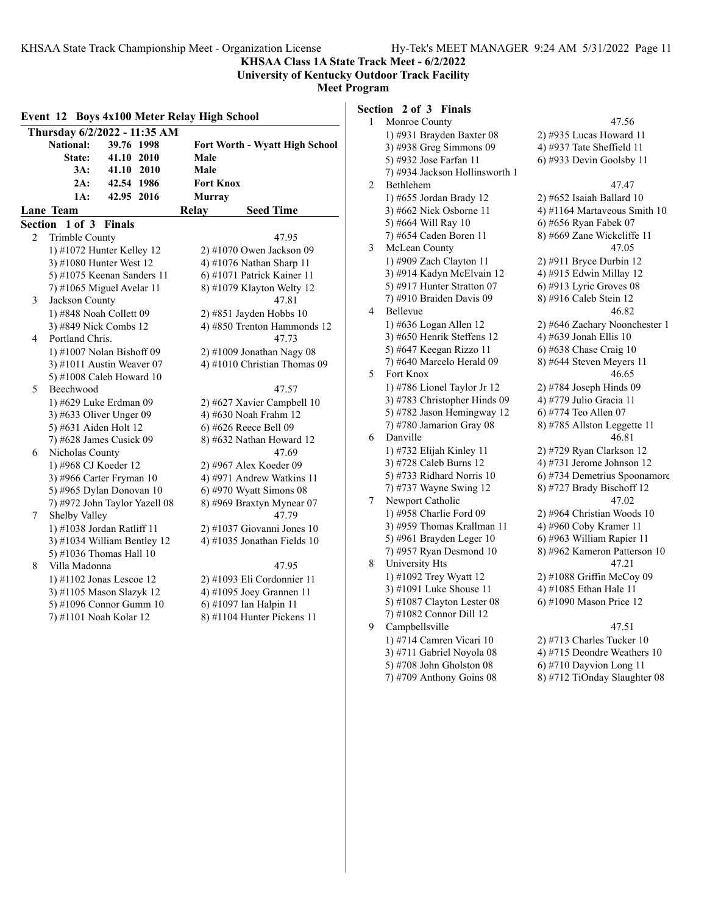**KHSAA Class 1A State Track Meet - 6/2/2022**

**University of Kentucky Outdoor Track Facility Meet Program**

|                | Event 12 Boys 4x100 Meter Relay High School |                                       |  |  |  |
|----------------|---------------------------------------------|---------------------------------------|--|--|--|
|                | Thursday 6/2/2022 - 11:35 AM                |                                       |  |  |  |
|                | <b>National:</b><br>39.76 1998              | <b>Fort Worth - Wyatt High School</b> |  |  |  |
|                | State:<br>41.10 2010                        | Male                                  |  |  |  |
|                | 3A:<br>41.10 2010                           | Male                                  |  |  |  |
|                | 2A:<br>42.54 1986                           | <b>Fort Knox</b>                      |  |  |  |
|                | 1A:<br>42.95 2016                           | <b>Murray</b>                         |  |  |  |
|                | Lane Team                                   | <b>Seed Time</b><br>Relay             |  |  |  |
| <b>Section</b> | 1 of 3<br><b>Finals</b>                     |                                       |  |  |  |
| 2              | Trimble County                              | 47.95                                 |  |  |  |
|                | 1) #1072 Hunter Kelley 12                   | 2) #1070 Owen Jackson 09              |  |  |  |
|                | 3) #1080 Hunter West 12                     | 4) #1076 Nathan Sharp 11              |  |  |  |
|                | 5) #1075 Keenan Sanders 11                  | 6) #1071 Patrick Kainer 11            |  |  |  |
|                | 7) #1065 Miguel Avelar 11                   | 8) #1079 Klayton Welty 12             |  |  |  |
| 3              | Jackson County                              | 47.81                                 |  |  |  |
|                | 1) #848 Noah Collett 09                     | 2) #851 Jayden Hobbs 10               |  |  |  |
|                | 3) #849 Nick Combs 12                       | 4) #850 Trenton Hammonds 12           |  |  |  |
| 4              | Portland Chris.                             | 47.73                                 |  |  |  |
|                | 1) #1007 Nolan Bishoff 09                   | 2) #1009 Jonathan Nagy 08             |  |  |  |
|                | 3) #1011 Austin Weaver 07                   | 4) #1010 Christian Thomas 09          |  |  |  |
|                | 5) #1008 Caleb Howard 10                    |                                       |  |  |  |
| 5              | Beechwood                                   | 47.57                                 |  |  |  |
|                | 1) #629 Luke Erdman 09                      | 2) #627 Xavier Campbell 10            |  |  |  |
|                | 3) #633 Oliver Unger 09                     | 4) #630 Noah Frahm 12                 |  |  |  |
|                | 5) #631 Aiden Holt 12                       | 6) #626 Reece Bell 09                 |  |  |  |
|                | 7) #628 James Cusick 09                     | 8) #632 Nathan Howard 12              |  |  |  |
| 6              | Nicholas County                             | 47.69                                 |  |  |  |
|                | 1) #968 CJ Koeder 12                        | 2) #967 Alex Koeder 09                |  |  |  |
|                | 3) #966 Carter Fryman 10                    | 4) #971 Andrew Watkins 11             |  |  |  |
|                | 5) #965 Dylan Donovan 10                    | $6$ ) #970 Wyatt Simons 08            |  |  |  |
|                | 7) #972 John Taylor Yazell 08               | 8) #969 Braxtyn Mynear 07             |  |  |  |
| 7              | Shelby Valley                               | 47.79                                 |  |  |  |
|                | 1) #1038 Jordan Ratliff 11                  | $2)$ #1037 Giovanni Jones 10          |  |  |  |
|                | 3) #1034 William Bentley 12                 | 4) #1035 Jonathan Fields 10           |  |  |  |
|                | 5) #1036 Thomas Hall 10                     |                                       |  |  |  |
| 8              | Villa Madonna                               | 47.95                                 |  |  |  |
|                | 1) #1102 Jonas Lescoe 12                    | 2) #1093 Eli Cordonnier 11            |  |  |  |
|                | 3) #1105 Mason Slazyk 12                    | 4) #1095 Joey Grannen 11              |  |  |  |
|                | 5) #1096 Connor Gumm 10                     | 6) #1097 Ian Halpin 11                |  |  |  |
|                | 7) #1101 Noah Kolar 12                      | 8) #1104 Hunter Pickens 11            |  |  |  |

**Section 2 of 3 Finals** 

| 1 | Monroe County                  | 47.56                         |
|---|--------------------------------|-------------------------------|
|   | 1) #931 Brayden Baxter 08      | 2) #935 Lucas Howard 11       |
|   | 3) #938 Greg Simmons 09        | 4) #937 Tate Sheffield $11$   |
|   | 5) #932 Jose Farfan 11         | 6) #933 Devin Goolsby 11      |
|   | 7) #934 Jackson Hollinsworth 1 |                               |
| 2 | Bethlehem                      | 47.47                         |
|   | 1) #655 Jordan Brady 12        | 2) #652 Isaiah Ballard 10     |
|   | 3) #662 Nick Osborne 11        | 4) #1164 Martaveous Smith 10  |
|   | 5) #664 Will Ray 10            | 6) #656 Ryan Fabek 07         |
|   | 7) #654 Caden Boren 11         | 8) #669 Zane Wickcliffe 11    |
| 3 | McLean County                  | 47.05                         |
|   | 1) #909 Zach Clayton 11        | 2) #911 Bryce Durbin 12       |
|   | 3) #914 Kadyn McElvain 12      | 4) #915 Edwin Millay 12       |
|   | 5) #917 Hunter Stratton 07     | 6) #913 Lyric Groves $08$     |
|   | 7) #910 Braiden Davis 09       | 8) #916 Caleb Stein 12        |
| 4 | Bellevue                       | 46.82                         |
|   | 1) #636 Logan Allen 12         | 2) #646 Zachary Noonchester 1 |
|   | 3) #650 Henrik Steffens 12     | 4) #639 Jonah Ellis 10        |
|   | 5) #647 Keegan Rizzo 11        | 6) #638 Chase Craig 10        |
|   | 7) #640 Marcelo Herald 09      | 8) #644 Steven Meyers 11      |
| 5 | Fort Knox                      | 46.65                         |
|   | 1) #786 Lionel Taylor Jr 12    | 2) #784 Joseph Hinds 09       |
|   | 3) #783 Christopher Hinds 09   | 4) #779 Julio Gracia 11       |
|   | 5) #782 Jason Hemingway 12     | 6) #774 Teo Allen 07          |
|   | 7) #780 Jamarion Gray 08       | 8) #785 Allston Leggette 11   |
| 6 | Danville                       | 46.81                         |
|   | 1) #732 Elijah Kinley 11       | 2) #729 Ryan Clarkson 12      |
|   | 3) #728 Caleb Burns 12         | 4) #731 Jerome Johnson 12     |
|   | 5) #733 Ridhard Norris 10      | 6) #734 Demetrius Spoonamore  |
|   | 7) #737 Wayne Swing 12         | 8) #727 Brady Bischoff 12     |
| 7 | Newport Catholic               | 47.02                         |
|   | 1) #958 Charlie Ford 09        | 2) #964 Christian Woods 10    |
|   | 3) #959 Thomas Krallman 11     | 4) #960 Coby Kramer 11        |
|   | 5) #961 Brayden Leger 10       | 6) #963 William Rapier 11     |
|   | 7) #957 Ryan Desmond 10        | 8) #962 Kameron Patterson 10  |
| 8 | University Hts                 | 47.21                         |
|   | 1) #1092 Trey Wyatt 12         | 2) #1088 Griffin McCoy 09     |
|   | 3) #1091 Luke Shouse 11        | 4) #1085 Ethan Hale 11        |
|   | 5) #1087 Clayton Lester 08     | 6) #1090 Mason Price 12       |
|   | 7) #1082 Connor Dill 12        |                               |
| 9 | Campbellsville                 | 47.51                         |
|   | 1) #714 Camren Vicari 10       | 2) #713 Charles Tucker 10     |
|   | 3) #711 Gabriel Noyola 08      | 4) #715 Deondre Weathers 10   |
|   | 5) #708 John Gholston 08       | 6) #710 Dayvion Long 11       |
|   | 7) #709 Anthony Goins 08       | 8) #712 TiOnday Slaughter 08  |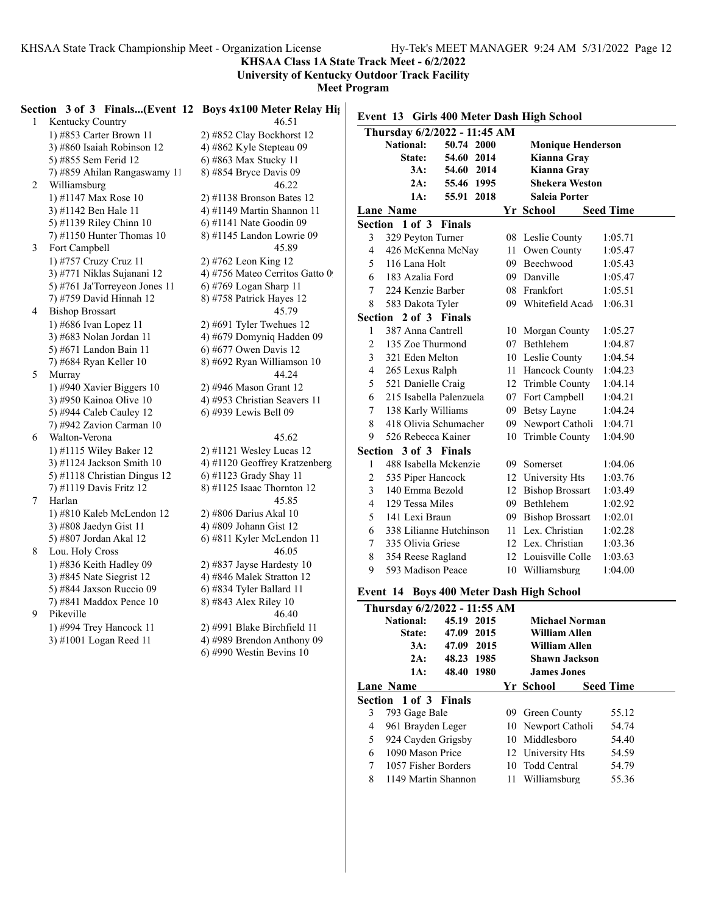**KHSAA Class 1A State Track Meet - 6/2/2022**

**University of Kentucky Outdoor Track Facility**

**Meet Program**

#### **Section 3 of 3 Finals...(Event 12 Boys 4x100 Meter Relay Hig**

1 Kentucky Country 46.51 1) #853 Carter Brown 11 2) #852 Clay Bockhorst 12 3) #860 Isaiah Robinson 12  $\qquad$  4) #862 Kyle Stepteau 09 5) #855 Sem Ferid 12 6) #863 Max Stucky 11 7) #859 Ahilan Rangaswamy 11 8) #854 Bryce Davis 09 2 Williamsburg 46.22 1) #1147 Max Rose 10 2) #1138 Bronson Bates 12 3)  $\#1142$  Ben Hale 11  $\qquad \qquad$  4)  $\#1149$  Martin Shannon 11 5) #1139 Riley Chinn 10 6) #1141 Nate Goodin 09 7) #1150 Hunter Thomas 10 8) #1145 Landon Lowrie 09 3 Fort Campbell 45.89 1) #757 Cruzy Cruz 11 2) #762 Leon King 12 3) #771 Niklas Sujanani 12 4) #756 Mateo Cerritos Gatto 0 5) #761 Ja'Torreyeon Jones 11  $\qquad$  6) #769 Logan Sharp 11 7) #759 David Hinnah 12 8) #758 Patrick Hayes 12 4 Bishop Brossart 45.79 1) #686 Ivan Lopez 11 2) #691 Tyler Twehues 12 3) #683 Nolan Jordan 11 4) #679 Domyniq Hadden 09 5) #671 Landon Bain 11 6) #677 Owen Davis 12 7) #684 Ryan Keller 10 8) #692 Ryan Williamson 10 5 Murray 44.24 1) #940 Xavier Biggers 10 2) #946 Mason Grant 12 3) #950 Kainoa Olive 10 4) #953 Christian Seavers 11 5) #944 Caleb Cauley 12 6) #939 Lewis Bell 09 7) #942 Zavion Carman 10 6 Walton-Verona 45.62 1) #1115 Wiley Baker 12 2) #1121 Wesley Lucas 12 3) #1124 Jackson Smith 10 4) #1120 Geoffrey Kratzenberg 5) #1118 Christian Dingus 12 6) #1123 Grady Shay 11 7) #1119 Davis Fritz 12 8) #1125 Isaac Thornton 12 7 Harlan 45.85 1) #810 Kaleb McLendon 12 2) #806 Darius Akal 10 3)  $\#808$  Jaedyn Gist 11 4)  $\#809$  Johann Gist 12 5) #807 Jordan Akal 12 6) #811 Kyler McLendon 11 8 Lou. Holy Cross 46.05 1) #836 Keith Hadley 09 2) #837 Jayse Hardesty 10 3) #845 Nate Siegrist 12 4) #846 Malek Stratton 12 5) #844 Jaxson Ruccio 09 6) #834 Tyler Ballard 11 7) #841 Maddox Pence 10 8) #843 Alex Riley 10

9 Pikeville 46.40 1) #994 Trey Hancock 11 2) #991 Blake Birchfield 11 3) #1001 Logan Reed 11 4) #989 Brendon Anthony 09 6) #990 Westin Bevins 10

#### **Event 13 Girls 400 Meter Dash High School Thursday 6/2/2022 - 11:45 AM National: 50.74 2000 Monique Henderson State: 54.60 2014 Kianna Gray 3A: 54.60 2014 Kianna Gray 2A: 55.46 1995 Shekera Weston 1A: 55.91 2018 Saleia Porter Lane School Name Seed Time Yr Section 1 of 3 Finals** 3 329 Peyton Turner 08 Leslie County 1:05.71 4 426 McKenna McNay 11 Owen County 1:05.47 5 116 Lana Holt 09 Beechwood 1:05.43 6 183 Azalia Ford 09 Danville 1:05.47 7 224 Kenzie Barber 08 Frankfort 1:05.51 8 583 Dakota Tyler 09 Whitefield Acade 1:06.31 **Section 2 of 3 Finals** 1 387 Anna Cantrell 10 Morgan County 1:05.27 2 135 Zoe Thurmond 07 Bethlehem 1:04.87 3 321 Eden Melton 10 Leslie County 1:04.54 4 265 Lexus Ralph 11 Hancock County 1:04.23 5 521 Danielle Craig 12 Trimble County 1:04.14 6 215 Isabella Palenzuela 07 Fort Campbell 1:04.21 7 138 Karly Williams 09 Betsy Layne 1:04.24 8 418 Olivia Schumacher 09 Newport Catholi 1:04.71 9 526 Rebecca Kainer 10 Trimble County 1:04.90 **Section 3 of 3 Finals** 1 488 Isabella Mckenzie 09 Somerset 1:04.06 2 535 Piper Hancock 12 University Hts 1:03.76 3 140 Emma Bezold 12 Bishop Brossart 1:03.49 4 129 Tessa Miles 09 Bethlehem 1:02.92 5 141 Lexi Braun 09 Bishop Brossart 1:02.01 6 338 Lilianne Hutchinson 11 Lex. Christian 1:02.28 7 335 Olivia Griese 12 Lex. Christian 1:03.36 8 354 Reese Ragland 12 Louisville Colle 1:03.63 9 593 Madison Peace 10 Williamsburg 1:04.00

#### **Event 14 Boys 400 Meter Dash High School**

| Thursday 6/2/2022 - 11:55 AM |                     |            |  |                      |                      |  |                  |
|------------------------------|---------------------|------------|--|----------------------|----------------------|--|------------------|
|                              | <b>National:</b>    | 45.19 2015 |  |                      | Michael Norman       |  |                  |
|                              | State:              | 47.09 2015 |  |                      | William Allen        |  |                  |
|                              | 3A:                 | 47.09 2015 |  | <b>William Allen</b> |                      |  |                  |
|                              | 2A:                 | 48.23 1985 |  |                      | <b>Shawn Jackson</b> |  |                  |
|                              | 1A:                 | 48.40 1980 |  |                      | <b>James Jones</b>   |  |                  |
|                              | Lane Name           |            |  |                      | Yr School            |  | <b>Seed Time</b> |
| Section 1 of 3 Finals        |                     |            |  |                      |                      |  |                  |
| 3                            | 793 Gage Bale       |            |  |                      | 09 Green County      |  | 55.12            |
| 4                            | 961 Brayden Leger   |            |  |                      | 10 Newport Catholi   |  | 54.74            |
| 5                            | 924 Cayden Grigsby  |            |  |                      | 10 Middlesboro       |  | 54.40            |
| 6                            | 1090 Mason Price    |            |  |                      | 12 University Hts    |  | 54.59            |
| $\tau$                       | 1057 Fisher Borders |            |  |                      | 10 Todd Central      |  | 54.79            |
| 8                            | 1149 Martin Shannon |            |  |                      | 11 Williamsburg      |  | 55.36            |
|                              |                     |            |  |                      |                      |  |                  |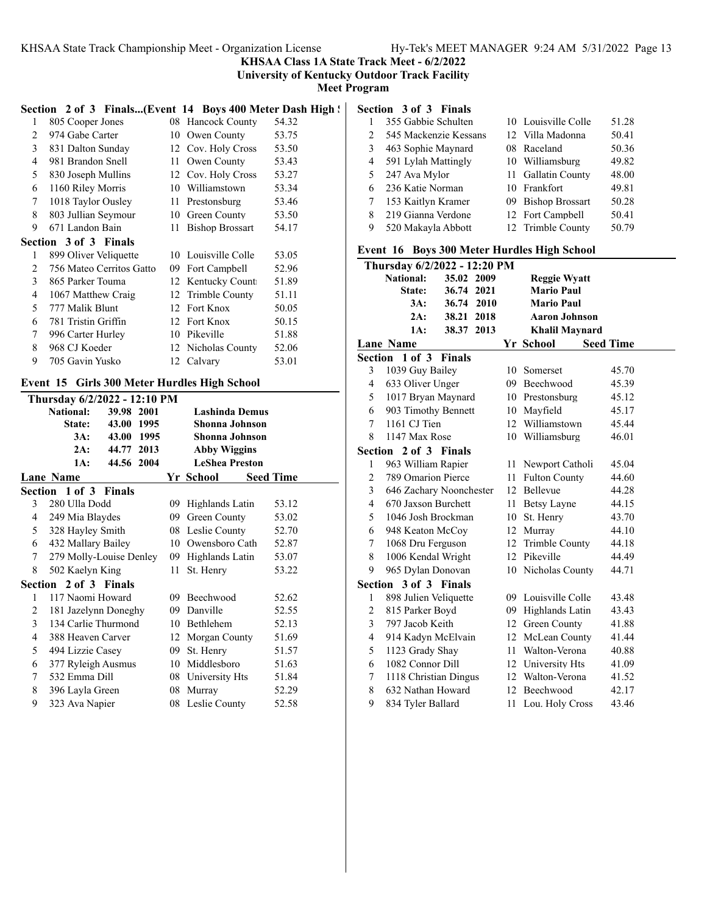**KHSAA Class 1A State Track Meet - 6/2/2022**

**University of Kentucky Outdoor Track Facility**

**Meet Program**

#### Section 2 of 3 Finals...(Event 14 Boys 400 Meter Dash High ! **Section 3 of 3 Finals**

| 1 | 805 Cooper Jones             | 08 | <b>Hancock County</b>  | 54.32 |
|---|------------------------------|----|------------------------|-------|
| 2 | 974 Gabe Carter              | 10 | Owen County            | 53.75 |
| 3 | 831 Dalton Sunday            | 12 | Cov. Holy Cross        | 53.50 |
| 4 | 981 Brandon Snell            | 11 | Owen County            | 53.43 |
| 5 | 830 Joseph Mullins           | 12 | Cov. Holy Cross        | 53.27 |
| 6 | 1160 Riley Morris            | 10 | Williamstown           | 53.34 |
| 7 | 1018 Taylor Ousley           | 11 | Prestonsburg           | 53.46 |
| 8 | 803 Jullian Seymour          | 10 | Green County           | 53.50 |
| 9 | 671 Landon Bain              | 11 | <b>Bishop Brossart</b> | 54.17 |
|   | <b>Section 3 of 3 Finals</b> |    |                        |       |
| 1 | 899 Oliver Veliquette        | 10 | Louisville Colle       | 53.05 |
| 2 | 756 Mateo Cerritos Gatto     | 09 | Fort Campbell          | 52.96 |
| 3 | 865 Parker Touma             | 12 | Kentucky Count         | 51.89 |
| 4 | 1067 Matthew Craig           | 12 | Trimble County         | 51.11 |
| 5 | 777 Malik Blunt              | 12 | Fort Knox              | 50.05 |
| 6 | 781 Tristin Griffin          | 12 | Fort Knox              | 50.15 |
| 7 | 996 Carter Hurley            | 10 | Pikeville              | 51.88 |
| 8 | 968 CJ Koeder                |    | 12 Nicholas County     | 52.06 |
| 9 | 705 Gavin Yusko              |    | 12 Calvary             | 53.01 |
|   |                              |    |                        |       |

#### **Event 15 Girls 300 Meter Hurdles High School**

|   | Thursday 6/2/2022 - 12:10 PM |            |  |    |                       |                  |       |  |
|---|------------------------------|------------|--|----|-----------------------|------------------|-------|--|
|   | <b>National:</b>             | 39.98 2001 |  |    | <b>Lashinda Demus</b> |                  |       |  |
|   | <b>State:</b>                | 43.00 1995 |  |    | Shonna Johnson        |                  |       |  |
|   | 3A:                          | 43.00 1995 |  |    | <b>Shonna Johnson</b> |                  |       |  |
|   | 2A:                          | 44.77 2013 |  |    | <b>Abby Wiggins</b>   |                  |       |  |
|   | 1A:                          | 44.56 2004 |  |    | <b>LeShea Preston</b> |                  |       |  |
|   | Lane Name                    |            |  |    | Yr School             | <b>Seed Time</b> |       |  |
|   | Section 1 of 3 Finals        |            |  |    |                       |                  |       |  |
| 3 | 280 Ulla Dodd                |            |  | 09 | Highlands Latin       |                  | 53.12 |  |
| 4 | 249 Mia Blaydes              |            |  | 09 | Green County          |                  | 53.02 |  |
| 5 | 328 Hayley Smith             |            |  |    | 08 Leslie County      |                  | 52.70 |  |
| 6 | 432 Mallary Bailey           |            |  |    | 10 Owensboro Cath     |                  | 52.87 |  |
| 7 | 279 Molly-Louise Denley      |            |  |    | 09 Highlands Latin    |                  | 53.07 |  |
| 8 | 502 Kaelyn King              |            |  | 11 | St. Henry             |                  | 53.22 |  |
|   | Section 2 of 3 Finals        |            |  |    |                       |                  |       |  |
| 1 | 117 Naomi Howard             |            |  |    | 09 Beechwood          |                  | 52.62 |  |
| 2 | 181 Jazelynn Doneghy         |            |  | 09 | Danville              |                  | 52.55 |  |
| 3 | 134 Carlie Thurmond          |            |  |    | 10 Bethlehem          |                  | 52.13 |  |
| 4 | 388 Heaven Carver            |            |  |    | 12 Morgan County      |                  | 51.69 |  |
| 5 | 494 Lizzie Casey             |            |  | 09 | St. Henry             |                  | 51.57 |  |
| 6 | 377 Ryleigh Ausmus           |            |  | 10 | Middlesboro           |                  | 51.63 |  |
| 7 | 532 Emma Dill                |            |  |    | 08 University Hts     |                  | 51.84 |  |
| 8 | 396 Layla Green              |            |  | 08 | Murray                |                  | 52.29 |  |
| 9 | 323 Ava Napier               |            |  |    | 08 Leslie County      |                  | 52.58 |  |
|   |                              |            |  |    |                       |                  |       |  |

|                               | силл эмэ гшав         |                     |       |
|-------------------------------|-----------------------|---------------------|-------|
|                               | 355 Gabbie Schulten   | 10 Louisville Colle | 51.28 |
| $\mathfrak{D}_{\mathfrak{p}}$ | 545 Mackenzie Kessans | 12 Villa Madonna    | 50.41 |
| 3                             | 463 Sophie Maynard    | 08 Raceland         | 50.36 |
| 4                             | 591 Lylah Mattingly   | 10 Williamsburg     | 49.82 |
| 5                             | 247 Ava Mylor         | 11 Gallatin County  | 48.00 |
| 6                             | 236 Katie Norman      | 10 Frankfort        | 49.81 |
|                               | 153 Kaitlyn Kramer    | 09 Bishop Brossart  | 50.28 |
| 8                             | 219 Gianna Verdone    | 12 Fort Campbell    | 50.41 |
| 9                             | 520 Makayla Abbott    | 12 Trimble County   | 50.79 |
|                               |                       |                     |       |

#### **Event 16 Boys 300 Meter Hurdles High School**

|                | Thursday 6/2/2022 - 12:20 PM |               |             |     |                       |                  |
|----------------|------------------------------|---------------|-------------|-----|-----------------------|------------------|
|                | <b>National:</b>             | 35.02 2009    |             |     | <b>Reggie Wyatt</b>   |                  |
|                | State:                       | 36.74         | 2021        |     | <b>Mario Paul</b>     |                  |
|                | 3A:                          | 36.74         | <b>2010</b> |     | <b>Mario Paul</b>     |                  |
|                | 2A:                          | 38.21         | 2018        |     | <b>Aaron Johnson</b>  |                  |
|                | $1A$ :                       | 38.37 2013    |             |     | <b>Khalil Maynard</b> |                  |
|                | <b>Lane Name</b>             |               |             |     | Yr School             | <b>Seed Time</b> |
| Section        | 1 of 3                       | <b>Finals</b> |             |     |                       |                  |
| 3              | 1039 Guy Bailey              |               |             | 10  | Somerset              | 45.70            |
| 4              | 633 Oliver Unger             |               |             |     | 09 Beechwood          | 45.39            |
| 5              | 1017 Bryan Maynard           |               |             |     | 10 Prestonsburg       | 45.12            |
| 6              | 903 Timothy Bennett          |               |             |     | 10 Mayfield           | 45.17            |
| 7              | 1161 CJ Tien                 |               |             |     | 12 Williamstown       | 45.44            |
| 8              | 1147 Max Rose                |               |             |     | 10 Williamsburg       | 46.01            |
|                | Section 2 of 3 Finals        |               |             |     |                       |                  |
| $\mathbf{1}$   | 963 William Rapier           |               |             |     | 11 Newport Catholi    | 45.04            |
| $\overline{c}$ | 789 Omarion Pierce           |               |             | 11. | <b>Fulton County</b>  | 44.60            |
| 3              | 646 Zachary Noonchester      |               |             |     | 12 Bellevue           | 44.28            |
| 4              | 670 Jaxson Burchett          |               |             |     | 11 Betsy Layne        | 44.15            |
| 5              | 1046 Josh Brockman           |               |             | 10  | St. Henry             | 43.70            |
| 6              | 948 Keaton McCoy             |               |             |     | 12 Murray             | 44.10            |
| 7              | 1068 Dru Ferguson            |               |             | 12  | Trimble County        | 44.18            |
| 8              | 1006 Kendal Wright           |               |             |     | 12 Pikeville          | 44.49            |
| 9              | 965 Dylan Donovan            |               |             |     | 10 Nicholas County    | 44.71            |
|                | Section 3 of 3 Finals        |               |             |     |                       |                  |
| 1              | 898 Julien Veliquette        |               |             |     | 09 Louisville Colle   | 43.48            |
| 2              | 815 Parker Boyd              |               |             |     | 09 Highlands Latin    | 43.43            |
| 3              | 797 Jacob Keith              |               |             |     | 12 Green County       | 41.88            |
| 4              | 914 Kadyn McElvain           |               |             |     | 12 McLean County      | 41.44            |
| 5              | 1123 Grady Shay              |               |             |     | 11 Walton-Verona      | 40.88            |
| 6              | 1082 Connor Dill             |               |             | 12  | University Hts        | 41.09            |
| 7              | 1118 Christian Dingus        |               |             |     | 12 Walton-Verona      | 41.52            |
| 8              | 632 Nathan Howard            |               |             |     | 12 Beechwood          | 42.17            |
| 9              | 834 Tyler Ballard            |               |             | 11  | Lou. Holy Cross       | 43.46            |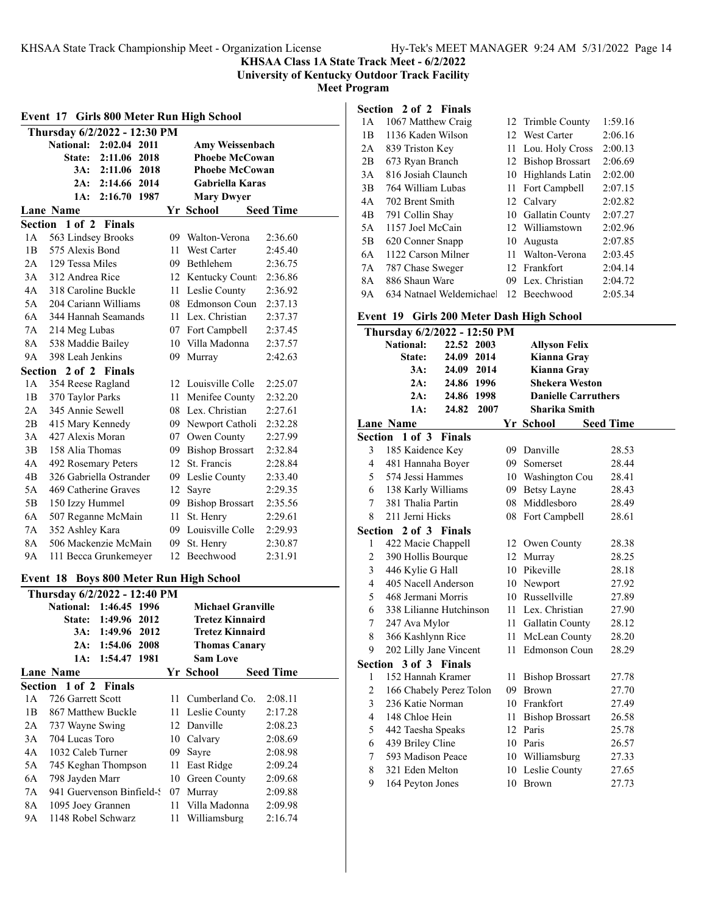**KHSAA Class 1A State Track Meet - 6/2/2022**

**University of Kentucky Outdoor Track Facility**

**Meet Program**

| Event 17 Girls 800 Meter Run High School |                                       |                                                                       |      |                                    |                  |  |  |  |
|------------------------------------------|---------------------------------------|-----------------------------------------------------------------------|------|------------------------------------|------------------|--|--|--|
|                                          | Thursday 6/2/2022 - 12:30 PM          |                                                                       |      |                                    |                  |  |  |  |
|                                          |                                       | National: 2:02.04 2011                                                |      | Amy Weissenbach                    |                  |  |  |  |
|                                          |                                       | State: 2:11.06 2018                                                   |      | <b>Phoebe McCowan</b>              |                  |  |  |  |
|                                          |                                       | 3A: 2:11.06 2018                                                      |      | <b>Phoebe McCowan</b>              |                  |  |  |  |
|                                          |                                       | 2A: 2:14.66 2014                                                      |      | <b>Gabriella Karas</b>             |                  |  |  |  |
|                                          | 1A:                                   | 2:16.70 1987                                                          |      | <b>Mary Dwyer</b>                  |                  |  |  |  |
|                                          | <b>Lane Name</b>                      |                                                                       |      | Yr School                          | <b>Seed Time</b> |  |  |  |
| 1 A                                      | Section 1 of 2 Finals                 |                                                                       |      |                                    | 2:36.60          |  |  |  |
|                                          | 563 Lindsey Brooks<br>575 Alexis Bond |                                                                       |      | 09 Walton-Verona<br>11 West Carter | 2:45.40          |  |  |  |
| 1B                                       | 2A 129 Tessa Miles                    |                                                                       |      | 09 Bethlehem                       | 2:36.75          |  |  |  |
|                                          | 3A 312 Andrea Rice                    |                                                                       |      | 12 Kentucky Count                  | 2:36.86          |  |  |  |
|                                          | 4A 318 Caroline Buckle                |                                                                       |      | 11 Leslie County                   | 2:36.92          |  |  |  |
| 5A                                       | 204 Cariann Williams                  |                                                                       |      | 08 Edmonson Coun                   | 2:37.13          |  |  |  |
| 6A                                       |                                       | 344 Hannah Seamands                                                   |      | 11 Lex. Christian                  | 2:37.37          |  |  |  |
| 7A                                       |                                       |                                                                       |      | 07 Fort Campbell                   | 2:37.45          |  |  |  |
| 8A                                       | 214 Meg Lubas<br>538 Maddie Bailey    |                                                                       |      | 10 Villa Madonna                   | 2:37.57          |  |  |  |
| 9A                                       | 398 Leah Jenkins                      |                                                                       | 09.  | Murray                             | 2:42.63          |  |  |  |
|                                          | Section 2 of 2 Finals                 |                                                                       |      |                                    |                  |  |  |  |
| 1А                                       | 354 Reese Ragland                     |                                                                       |      | 12 Louisville Colle                | 2:25.07          |  |  |  |
| 1B                                       | 370 Taylor Parks                      |                                                                       |      | 11 Menifee County                  | 2:32.20          |  |  |  |
| 2A                                       | 345 Annie Sewell                      |                                                                       |      | 08 Lex. Christian                  | 2:27.61          |  |  |  |
| 2В                                       | 415 Mary Kennedy                      |                                                                       |      | 09 Newport Catholi                 | 2:32.28          |  |  |  |
| 3A                                       | 427 Alexis Moran                      |                                                                       |      | 07 Owen County                     | 2:27.99          |  |  |  |
| 3B                                       | 158 Alia Thomas                       |                                                                       |      | 09 Bishop Brossart                 | 2:32.84          |  |  |  |
| 4Α                                       | 492 Rosemary Peters                   |                                                                       |      | 12 St. Francis                     | 2:28.84          |  |  |  |
| 4B                                       |                                       | 326 Gabriella Ostrander                                               |      | 09 Leslie County                   | 2:33.40          |  |  |  |
| 5Α                                       |                                       | 469 Catherine Graves                                                  |      | 12 Sayre                           | 2:29.35          |  |  |  |
| 5В                                       | 150 Izzy Hummel                       |                                                                       |      | 09 Bishop Brossart                 | 2:35.56          |  |  |  |
| 6A                                       |                                       | 507 Reganne McMain                                                    | 11 - | St. Henry                          | 2:29.61          |  |  |  |
| 7Α                                       | 352 Ashley Kara                       |                                                                       |      | 09 Louisville Colle                | 2:29.93          |  |  |  |
| 8A                                       |                                       | 506 Mackenzie McMain                                                  |      | 09 St. Henry                       | 2:30.87          |  |  |  |
| 9Α                                       |                                       | 111 Becca Grunkemeyer                                                 |      | 12 Beechwood                       | 2:31.91          |  |  |  |
|                                          |                                       |                                                                       |      |                                    |                  |  |  |  |
| Event 18                                 |                                       | <b>Boys 800 Meter Run High School</b><br>Thursday 6/2/2022 - 12:40 PM |      |                                    |                  |  |  |  |
|                                          | <b>National:</b>                      | 1:46.45 1996                                                          |      | <b>Michael Granville</b>           |                  |  |  |  |
|                                          | State:                                | 2012<br>1:49.96                                                       |      | <b>Tretez Kinnaird</b>             |                  |  |  |  |
|                                          | $3A$ :                                | 1:49.96<br>2012                                                       |      | <b>Tretez Kinnaird</b>             |                  |  |  |  |
|                                          | 2A:                                   | 1:54.06<br>2008                                                       |      | <b>Thomas Canary</b>               |                  |  |  |  |
|                                          | 1A:                                   | 1:54.47<br>1981                                                       |      | <b>Sam Love</b>                    |                  |  |  |  |
|                                          | <b>Lane Name</b>                      |                                                                       |      | Yr School                          | <b>Seed Time</b> |  |  |  |
|                                          | Section 1 of 2 Finals                 |                                                                       |      |                                    |                  |  |  |  |
| 1А                                       | 726 Garrett Scott                     |                                                                       | 11   | Cumberland Co.                     | 2:08.11          |  |  |  |
| 1B                                       | 867 Matthew Buckle                    |                                                                       | 11 - | Leslie County                      | 2:17.28          |  |  |  |
| 2A                                       | 737 Wayne Swing                       |                                                                       |      | 12 Danville                        | 2:08.23          |  |  |  |
| 3A                                       | 704 Lucas Toro                        |                                                                       |      | 10 Calvary                         | 2:08.69          |  |  |  |
| 4A                                       | 1032 Caleb Turner                     |                                                                       |      | 09 Sayre                           | 2:08.98          |  |  |  |
| 5A                                       |                                       | 745 Keghan Thompson                                                   | 11   | East Ridge                         | 2:09.24          |  |  |  |
| 6A                                       | 798 Jayden Marr                       |                                                                       |      | 10 Green County                    | 2:09.68          |  |  |  |
| 7A                                       |                                       | 941 Guervenson Binfield-?                                             |      | 07 Murray                          | 2:09.88          |  |  |  |
| 8A                                       | 1095 Joey Grannen                     |                                                                       |      | 11 Villa Madonna                   | 2:09.98          |  |  |  |
| 9Α                                       | 1148 Robel Schwarz                    |                                                                       | 11   | Williamsburg                       | 2:16.74          |  |  |  |

### **Section 2 of 2 Finals**

| 1 A            | 1067 Matthew Craig       |     | 12 Trimble County  | 1:59.16 |
|----------------|--------------------------|-----|--------------------|---------|
| 1B             | 1136 Kaden Wilson        |     | 12 West Carter     | 2:06.16 |
| 2A             | 839 Triston Key          |     | 11 Lou. Holy Cross | 2:00.13 |
| 2B             | 673 Ryan Branch          |     | 12 Bishop Brossart | 2:06.69 |
| 3A             | 816 Josiah Claunch       | 10  | Highlands Latin    | 2:02.00 |
| 3B             | 764 William Lubas        |     | 11 Fort Campbell   | 2:07.15 |
| 4A             | 702 Brent Smith          |     | 12 Calvary         | 2:02.82 |
| 4 <sub>B</sub> | 791 Collin Shay          |     | 10 Gallatin County | 2:07.27 |
| 5A             | 1157 Joel McCain         |     | 12 Williamstown    | 2:02.96 |
| 5B             | 620 Conner Snapp         | 10  | Augusta            | 2:07.85 |
| 6A             | 1122 Carson Milner       | 11  | Walton-Verona      | 2:03.45 |
| 7A             | 787 Chase Sweger         |     | 12 Frankfort       | 2:04.14 |
| 8A             | 886 Shaun Ware           | 09. | Lex. Christian     | 2:04.72 |
| 9A             | 634 Natnael Weldemichael |     | 12 Beechwood       | 2:05.34 |
|                |                          |     |                    |         |

#### **Event 19 Girls 200 Meter Dash High School**

|                               | Thursday 6/2/2022 - 12:50 PM |               |      |    |                            |                  |
|-------------------------------|------------------------------|---------------|------|----|----------------------------|------------------|
|                               | National:                    | 22.52 2003    |      |    | <b>Allyson Felix</b>       |                  |
|                               | State:                       | 24.09 2014    |      |    | Kianna Gray                |                  |
|                               | 3A:                          | 24.09 2014    |      |    | Kianna Gray                |                  |
|                               | $2A$ :                       | 24.86 1996    |      |    | <b>Shekera Weston</b>      |                  |
|                               | 2A:                          | 24.86 1998    |      |    | <b>Danielle Carruthers</b> |                  |
|                               | 1A:                          | 24.82         | 2007 |    | <b>Sharika Smith</b>       |                  |
| <b>Lane Name</b><br>Yr School |                              |               |      |    |                            | <b>Seed Time</b> |
|                               | Section 1 of 3               | <b>Finals</b> |      |    |                            |                  |
| 3                             | 185 Kaidence Key             |               |      |    | 09 Danville                | 28.53            |
| 4                             | 481 Hannaha Boyer            |               |      |    | 09 Somerset                | 28.44            |
| 5                             | 574 Jessi Hammes             |               |      |    | 10 Washington Cou          | 28.41            |
| 6                             | 138 Karly Williams           |               |      |    | 09 Betsy Layne             | 28.43            |
| $\tau$                        | 381 Thalia Partin            |               |      | 08 | Middlesboro                | 28.49            |
| 8                             | 211 Jerni Hicks              |               |      | 08 | Fort Campbell              | 28.61            |
| Section                       |                              | 2 of 3 Finals |      |    |                            |                  |
| 1                             | 422 Macie Chappell           |               |      |    | 12 Owen County             | 28.38            |
| 2                             | 390 Hollis Bourque           |               |      |    | 12 Murray                  | 28.25            |
| 3                             | 446 Kylie G Hall             |               |      |    | 10 Pikeville               | 28.18            |
| $\overline{4}$                | 405 Nacell Anderson          |               |      |    | 10 Newport                 | 27.92            |
| 5                             | 468 Jermani Morris           |               |      |    | 10 Russellville            | 27.89            |
| 6                             | 338 Lilianne Hutchinson      |               |      |    | 11 Lex. Christian          | 27.90            |
| 7                             | 247 Ava Mylor                |               |      |    | 11 Gallatin County         | 28.12            |
| 8                             | 366 Kashlynn Rice            |               |      |    | 11 McLean County           | 28.20            |
| 9                             | 202 Lilly Jane Vincent       |               |      |    | 11 Edmonson Coun           | 28.29            |
|                               | Section 3 of 3 Finals        |               |      |    |                            |                  |
| 1                             | 152 Hannah Kramer            |               |      |    | 11 Bishop Brossart         | 27.78            |
| 2                             | 166 Chabely Perez Tolon      |               |      | 09 | <b>Brown</b>               | 27.70            |
| 3                             | 236 Katie Norman             |               |      |    | 10 Frankfort               | 27.49            |
| 4                             | 148 Chloe Hein               |               |      | 11 | <b>Bishop Brossart</b>     | 26.58            |
| 5                             | 442 Taesha Speaks            |               |      |    | 12 Paris                   | 25.78            |
| 6                             | 439 Briley Cline             |               |      |    | 10 Paris                   | 26.57            |
| 7                             | 593 Madison Peace            |               |      |    | 10 Williamsburg            | 27.33            |
| 8                             | 321 Eden Melton              |               |      |    | 10 Leslie County           | 27.65            |
| 9                             | 164 Peyton Jones             |               |      | 10 | Brown                      | 27.73            |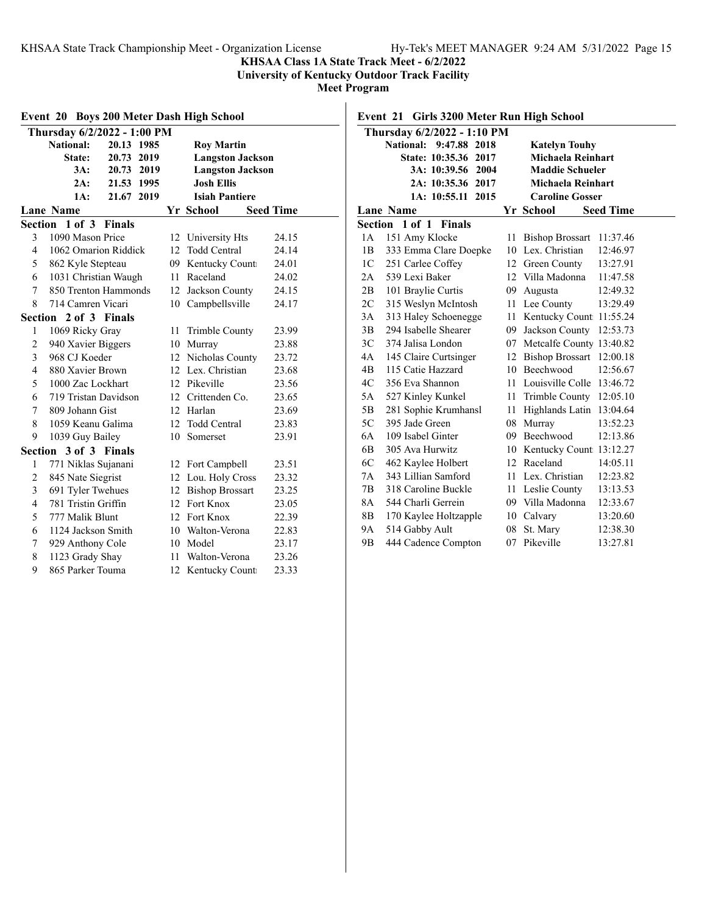### **KHSAA Class 1A State Track Meet - 6/2/2022**

**University of Kentucky Outdoor Track Facility**

**Meet Program**

| <b>Boys 200 Meter Dash High School</b><br>Event 20 |                       |                             |    |                         |                  |
|----------------------------------------------------|-----------------------|-----------------------------|----|-------------------------|------------------|
|                                                    |                       | Thursday 6/2/2022 - 1:00 PM |    |                         |                  |
|                                                    | <b>National:</b>      | 20.13 1985                  |    | <b>Roy Martin</b>       |                  |
|                                                    | State:                | 20.73<br>2019               |    | <b>Langston Jackson</b> |                  |
|                                                    | 3A:                   | 20.73<br>2019               |    | <b>Langston Jackson</b> |                  |
|                                                    | 2A:                   | 21.53 1995                  |    | <b>Josh Ellis</b>       |                  |
|                                                    | 1A:                   | 21.67 2019                  |    | <b>Isiah Pantiere</b>   |                  |
|                                                    | <b>Lane Name</b>      |                             |    | Yr School               | <b>Seed Time</b> |
|                                                    | Section 1 of 3        | <b>Finals</b>               |    |                         |                  |
| 3                                                  | 1090 Mason Price      |                             |    | 12 University Hts       | 24.15            |
| 4                                                  | 1062 Omarion Riddick  |                             | 12 | <b>Todd Central</b>     | 24.14            |
| 5                                                  | 862 Kyle Stepteau     |                             | 09 | Kentucky Count          | 24.01            |
| 6                                                  | 1031 Christian Waugh  |                             | 11 | Raceland                | 24.02            |
| 7                                                  | 850 Trenton Hammonds  |                             |    | 12 Jackson County       | 24.15            |
| 8                                                  | 714 Camren Vicari     |                             |    | 10 Campbellsville       | 24.17            |
|                                                    | Section 2 of 3 Finals |                             |    |                         |                  |
| 1                                                  | 1069 Ricky Gray       |                             | 11 | Trimble County          | 23.99            |
| $\overline{c}$                                     | 940 Xavier Biggers    |                             |    | 10 Murray               | 23.88            |
| 3                                                  | 968 CJ Koeder         |                             |    | 12 Nicholas County      | 23.72            |
| $\overline{4}$                                     | 880 Xavier Brown      |                             |    | 12 Lex. Christian       | 23.68            |
| 5                                                  | 1000 Zac Lockhart     |                             |    | 12 Pikeville            | 23.56            |
| 6                                                  | 719 Tristan Davidson  |                             |    | 12 Crittenden Co.       | 23.65            |
| 7                                                  | 809 Johann Gist       |                             |    | 12 Harlan               | 23.69            |
| 8                                                  | 1059 Keanu Galima     |                             |    | 12 Todd Central         | 23.83            |
| 9                                                  | 1039 Guy Bailey       |                             | 10 | Somerset                | 23.91            |
|                                                    | Section 3 of 3 Finals |                             |    |                         |                  |
| 1                                                  | 771 Niklas Sujanani   |                             | 12 | Fort Campbell           | 23.51            |
| $\overline{c}$                                     | 845 Nate Siegrist     |                             |    | 12 Lou. Holy Cross      | 23.32            |
| 3                                                  | 691 Tyler Twehues     |                             |    | 12 Bishop Brossart      | 23.25            |
| $\overline{4}$                                     | 781 Tristin Griffin   |                             |    | 12 Fort Knox            | 23.05            |
| 5                                                  | 777 Malik Blunt       |                             |    | 12 Fort Knox            | 22.39            |
| 6                                                  | 1124 Jackson Smith    |                             |    | 10 Walton-Verona        | 22.83            |
| 7                                                  | 929 Anthony Cole      |                             |    | 10 Model                | 23.17            |
| 8                                                  | 1123 Grady Shay       |                             | 11 | Walton-Verona           | 23.26            |
| 9                                                  | 865 Parker Touma      |                             |    | 12 Kentucky Count       | 23.33            |

### **Event 21 Girls 3200 Meter Run High School**

|                | Thursday 6/2/2022 - 1:10 PM      |                  |                              |                  |  |  |
|----------------|----------------------------------|------------------|------------------------------|------------------|--|--|
|                | <b>National:</b><br>9:47.88 2018 |                  | <b>Katelyn Touhy</b>         |                  |  |  |
|                | State: 10:35.36 2017             |                  | Michaela Reinhart            |                  |  |  |
|                | 3A: 10:39.56 2004                |                  | <b>Maddie Schueler</b>       |                  |  |  |
|                | 2A: 10:35.36 2017                |                  | Michaela Reinhart            |                  |  |  |
|                | 2015<br>1A: 10:55.11             |                  | <b>Caroline Gosser</b>       |                  |  |  |
|                | Lane Name                        |                  | Yr School                    | <b>Seed Time</b> |  |  |
|                | Section 1 of 1<br><b>Finals</b>  |                  |                              |                  |  |  |
| 1A             | 151 Amy Klocke                   | 11               | <b>Bishop Brossart</b>       | 11:37.46         |  |  |
| 1B             | 333 Emma Clare Doepke            | 10               | Lex. Christian               | 12:46.97         |  |  |
| 1 <sup>C</sup> | 251 Carlee Coffey                | 12 <sup>12</sup> | Green County                 | 13:27.91         |  |  |
| 2A             | 539 Lexi Baker                   |                  | 12 Villa Madonna             | 11:47.58         |  |  |
| 2B             | 101 Braylie Curtis               | 09               | Augusta                      | 12:49.32         |  |  |
| 2C             | 315 Weslyn McIntosh              | 11               | Lee County                   | 13:29.49         |  |  |
| 3A             | 313 Haley Schoenegge             |                  | 11 Kentucky Count 11:55.24   |                  |  |  |
| 3B             | 294 Isabelle Shearer             | 09.              | Jackson County               | 12:53.73         |  |  |
| 3 <sup>C</sup> | 374 Jalisa London                | 07               | Metcalfe County 13:40.82     |                  |  |  |
| 4A             | 145 Claire Curtsinger            | 12               | <b>Bishop Brossart</b>       | 12:00.18         |  |  |
| 4B             | 115 Catie Hazzard                | 10               | Beechwood                    | 12:56.67         |  |  |
| 4C             | 356 Eva Shannon                  |                  | 11 Louisville Colle 13:46.72 |                  |  |  |
| 5A             | 527 Kinley Kunkel                |                  | 11 Trimble County 12:05.10   |                  |  |  |
| 5B             | 281 Sophie Krumhansl             | 11               | Highlands Latin              | 13:04.64         |  |  |
| 5C             | 395 Jade Green                   | 08               | Murray                       | 13:52.23         |  |  |
| 6A             | 109 Isabel Ginter                | 09               | Beechwood                    | 12:13.86         |  |  |
| 6B             | 305 Ava Hurwitz                  | 10               | Kentucky Count: 13:12.27     |                  |  |  |
| 6C             | 462 Kaylee Holbert               | 12               | Raceland                     | 14:05.11         |  |  |
| 7A             | 343 Lillian Samford              | 11               | Lex. Christian               | 12:23.82         |  |  |
| 7B             | 318 Caroline Buckle              | 11               | Leslie County                | 13:13.53         |  |  |
| 8A             | 544 Charli Gerrein               |                  | 09 Villa Madonna             | 12:33.67         |  |  |
| 8B             | 170 Kaylee Holtzapple            | 10               | Calvary                      | 13:20.60         |  |  |
| <b>9A</b>      | 514 Gabby Ault                   | 08               | St. Mary                     | 12:38.30         |  |  |
| 9Β             | 444 Cadence Compton              | 07               | Pikeville                    | 13:27.81         |  |  |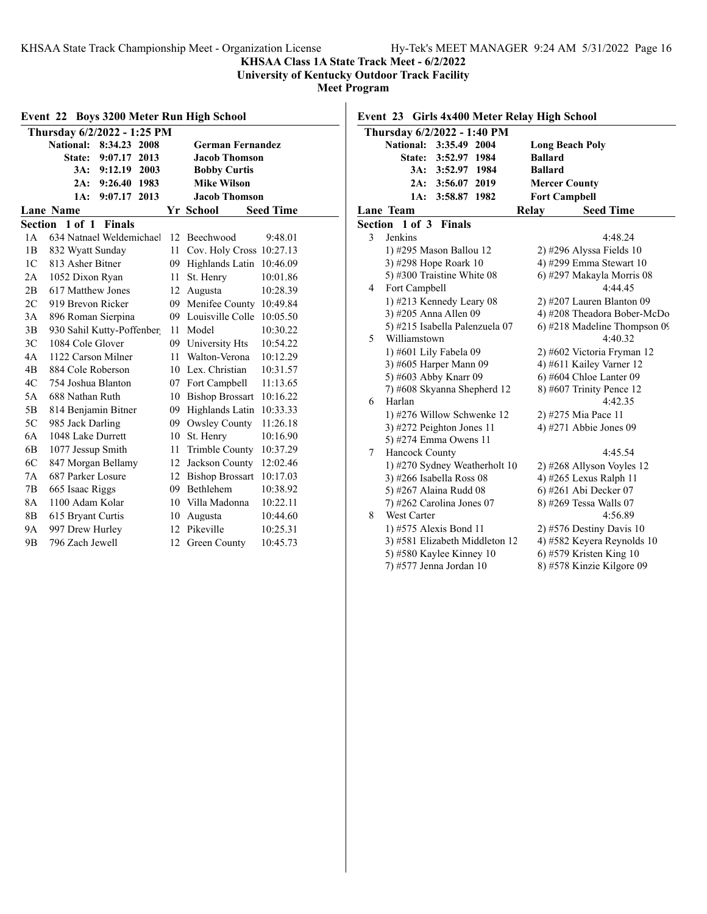### **KHSAA Class 1A State Track Meet - 6/2/2022**

**University of Kentucky Outdoor Track Facility**

**Meet Program**

| Event 22 Boys 3200 Meter Run High School       |                              |    |                          |                  |  |  |  |
|------------------------------------------------|------------------------------|----|--------------------------|------------------|--|--|--|
|                                                | Thursday 6/2/2022 - 1:25 PM  |    |                          |                  |  |  |  |
|                                                | National:<br>8:34.23<br>2008 |    | <b>German Fernandez</b>  |                  |  |  |  |
|                                                | 9:07.17<br>State:<br>2013    |    | <b>Jacob Thomson</b>     |                  |  |  |  |
|                                                | 9:12.19<br>2003<br>3A:       |    | <b>Bobby Curtis</b>      |                  |  |  |  |
|                                                | 9:26.40<br>1983<br>2A:       |    | <b>Mike Wilson</b>       |                  |  |  |  |
| 1A:<br>2013<br><b>Jacob Thomson</b><br>9:07.17 |                              |    |                          |                  |  |  |  |
|                                                | <b>Lane Name</b>             |    | Yr School                | <b>Seed Time</b> |  |  |  |
| Section                                        | 1 of 1<br><b>Finals</b>      |    |                          |                  |  |  |  |
| 1A                                             | 634 Natnael Weldemichael     | 12 | Beechwood                | 9:48.01          |  |  |  |
| 1B                                             | 832 Wyatt Sunday             | 11 | Cov. Holy Cross 10:27.13 |                  |  |  |  |
| 1 <sup>C</sup>                                 | 813 Asher Bitner             | 09 | Highlands Latin          | 10:46.09         |  |  |  |
| 2A                                             | 1052 Dixon Ryan              | 11 | St. Henry                | 10:01.86         |  |  |  |
| 2B                                             | 617 Matthew Jones            | 12 | Augusta                  | 10:28.39         |  |  |  |
| 2C                                             | 919 Brevon Ricker            | 09 | Menifee County           | 10:49.84         |  |  |  |
| 3A                                             | 896 Roman Sierpina           |    | 09 Louisville Colle      | 10:05.50         |  |  |  |
| 3B                                             | 930 Sahil Kutty-Poffenber    | 11 | Model                    | 10:30.22         |  |  |  |
| 3C                                             | 1084 Cole Glover             | 09 | University Hts           | 10:54.22         |  |  |  |
| 4A                                             | 1122 Carson Milner           | 11 | Walton-Verona            | 10:12.29         |  |  |  |
| 4B                                             | 884 Cole Roberson            | 10 | Lex. Christian           | 10:31.57         |  |  |  |
| 4C                                             | 754 Joshua Blanton           |    | 07 Fort Campbell         | 11:13.65         |  |  |  |
| 5A                                             | 688 Nathan Ruth              | 10 | <b>Bishop Brossart</b>   | 10:16.22         |  |  |  |
| 5B                                             | 814 Benjamin Bitner          | 09 | Highlands Latin          | 10:33.33         |  |  |  |
| 5C                                             | 985 Jack Darling             |    | 09 Owsley County         | 11:26.18         |  |  |  |
| 6A                                             | 1048 Lake Durrett            | 10 | St. Henry                | 10:16.90         |  |  |  |
| 6B                                             | 1077 Jessup Smith            | 11 | <b>Trimble County</b>    | 10:37.29         |  |  |  |
| 6C                                             | 847 Morgan Bellamy           | 12 | Jackson County           | 12:02.46         |  |  |  |
| 7A                                             | 687 Parker Losure            | 12 | <b>Bishop Brossart</b>   | 10:17.03         |  |  |  |
| 7В                                             | 665 Isaac Riggs              | 09 | <b>Bethlehem</b>         | 10:38.92         |  |  |  |
| 8A                                             | 1100 Adam Kolar              | 10 | Villa Madonna            | 10:22.11         |  |  |  |
| 8B                                             | 615 Bryant Curtis            | 10 | Augusta                  | 10:44.60         |  |  |  |
| 9Α                                             | 997 Drew Hurley              | 12 | Pikeville                | 10:25.31         |  |  |  |
| 9 <sub>B</sub>                                 | 796 Zach Jewell              | 12 | <b>Green County</b>      | 10:45.73         |  |  |  |

# **Event 23 Girls 4x400 Meter Relay High School**

|   | Thursday 6/2/2022 - 1:40 PM      |                              |
|---|----------------------------------|------------------------------|
|   | <b>National:</b><br>3:35.49 2004 | <b>Long Beach Poly</b>       |
|   | 3:52.97 1984<br><b>State:</b>    | <b>Ballard</b>               |
|   | 3A: 3:52.97 1984                 | <b>Ballard</b>               |
|   | 2A: 3:56.07 2019                 | <b>Mercer County</b>         |
|   | 1A:<br>3:58.87 1982              | <b>Fort Campbell</b>         |
|   | Lane Team                        | <b>Seed Time</b><br>Relay    |
|   | Section 1 of 3<br><b>Finals</b>  |                              |
| 3 | Jenkins                          | 4:48.24                      |
|   | 1) #295 Mason Ballou 12          | $2)$ #296 Alyssa Fields 10   |
|   | 3) #298 Hope Roark 10            | 4) #299 Emma Stewart 10      |
|   | 5) #300 Traistine White 08       | 6) #297 Makayla Morris 08    |
| 4 | Fort Campbell                    | 4:44.45                      |
|   | 1) #213 Kennedy Leary 08         | $2)$ #207 Lauren Blanton 09  |
|   | 3) #205 Anna Allen 09            | 4) #208 Theadora Bober-McDo  |
|   | 5) #215 Isabella Palenzuela 07   | 6) #218 Madeline Thompson 09 |
| 5 | Williamstown                     | 4:40.32                      |
|   | 1) #601 Lily Fabela 09           | 2) #602 Victoria Fryman 12   |
|   | 3) #605 Harper Mann 09           | 4) #611 Kailey Varner 12     |
|   | 5) #603 Abby Knarr 09            | 6) #604 Chloe Lanter 09      |
|   | 7) #608 Skyanna Shepherd 12      | 8) #607 Trinity Pence 12     |
| 6 | Harlan                           | 4:42.35                      |
|   | 1) #276 Willow Schwenke 12       | 2) #275 Mia Pace 11          |
|   | 3) #272 Peighton Jones 11        | 4) #271 Abbie Jones 09       |
|   | 5) #274 Emma Owens 11            |                              |
| 7 | Hancock County                   | 4:45.54                      |
|   | 1) #270 Sydney Weatherholt 10    | 2) #268 Allyson Voyles 12    |
|   | 3) #266 Isabella Ross 08         | 4) #265 Lexus Ralph 11       |
|   | 5) #267 Alaina Rudd 08           | 6) #261 Abi Decker 07        |
|   | $(7)$ #262 Carolina Jones 07     | 8) #269 Tessa Walls 07       |
| 8 | <b>West Carter</b>               | 4:56.89                      |
|   | 1) #575 Alexis Bond 11           | $2)$ #576 Destiny Davis 10   |
|   | 3) #581 Elizabeth Middleton 12   | 4) #582 Keyera Reynolds 10   |
|   | 5) #580 Kaylee Kinney 10         | 6) #579 Kristen King $10$    |
|   | 7) #577 Jenna Jordan 10          | 8) #578 Kinzie Kilgore 09    |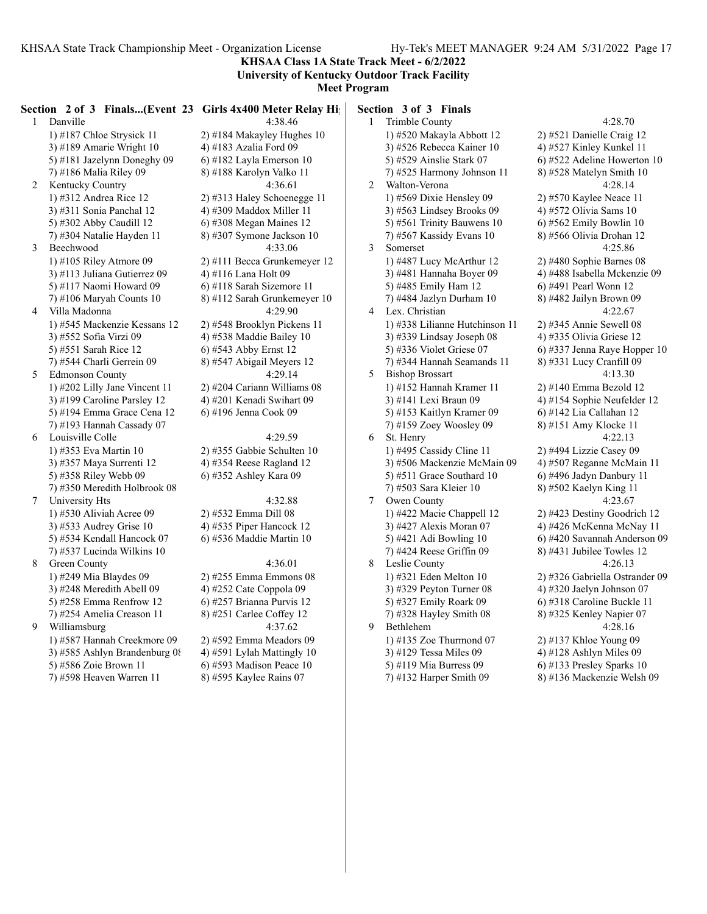**KHSAA Class 1A State Track Meet - 6/2/2022 University of Kentucky Outdoor Track Facility**

**Meet Program**

|   | Section 2 of 3 Finals(Event 23 Girls 4x400 Meter Relay High |                                | Section 3 of 3 Finals          |                       |
|---|-------------------------------------------------------------|--------------------------------|--------------------------------|-----------------------|
|   | 1 Danville                                                  | 4:38.46                        | $\mathbf{1}$<br>Trimble County |                       |
|   | 1) #187 Chloe Strysick 11                                   | 2) #184 Makayley Hughes $10$   | 1) #520 Makayla Abbott 12      | $2)$ #52              |
|   | 3) #189 Amarie Wright $10$                                  | 4) #183 Azalia Ford 09         | 3) #526 Rebecca Kainer 10      | 4) #52                |
|   | 5) #181 Jazelynn Doneghy 09                                 | $(6)$ #182 Layla Emerson 10    | 5) #529 Ainslie Stark 07       | $6)$ #522             |
|   | 7) #186 Malia Riley 09                                      | 8) #188 Karolyn Valko 11       | 7) #525 Harmony Johnson 11     | 8) #52                |
| 2 | Kentucky Country                                            | 4:36.61                        | 2<br>Walton-Verona             |                       |
|   | 1) #312 Andrea Rice 12                                      | $(2)$ #313 Haley Schoenegge 11 | 1) #569 Dixie Hensley 09       | 2) #57(               |
|   | 3) #311 Sonia Panchal 12                                    | 4) #309 Maddox Miller 11       | 3) #563 Lindsey Brooks 09      | 4) #572               |
|   | 5) #302 Abby Caudill 12                                     | $6$ ) #308 Megan Maines 12     | 5) #561 Trinity Bauwens 10     | $6)$ #562             |
|   | 7) #304 Natalie Hayden 11                                   | 8) #307 Symone Jackson 10      | 7) #567 Kassidy Evans 10       | 8) #56                |
| 3 | Beechwood                                                   | 4:33.06                        | 3<br>Somerset                  |                       |
|   | 1) #105 Riley Atmore 09                                     | 2) #111 Becca Grunkemeyer 12   | 1) #487 Lucy McArthur 12       | 2) #48(               |
|   | 3) #113 Juliana Gutierrez 09                                | 4) #116 Lana Holt 09           | 3) #481 Hannaha Boyer 09       | 4) #48:               |
|   | 5) #117 Naomi Howard 09                                     | 6) #118 Sarah Sizemore 11      | 5) #485 Emily Ham 12           | 6) #49.               |
|   | 7) #106 Maryah Counts 10                                    | 8) #112 Sarah Grunkemeyer 10   | 7) #484 Jazlyn Durham 10       | $8)$ #482             |
| 4 | Villa Madonna                                               | 4:29.90                        | Lex. Christian<br>4            |                       |
|   | 1) #545 Mackenzie Kessans 12                                | 2) #548 Brooklyn Pickens 11    | 1) #338 Lilianne Hutchinson 11 | $2)$ #34:             |
|   | 3) #552 Sofia Virzi 09                                      | 4) #538 Maddie Bailey $10$     | 3) #339 Lindsay Joseph 08      | 4) #33:               |
|   | 5) #551 Sarah Rice 12                                       | 6) #543 Abby Ernst 12          | 5) #336 Violet Griese 07       | $6)$ #33 <sup>2</sup> |
|   | 7) #544 Charli Gerrein 09                                   | 8) #547 Abigail Meyers 12      | 7) #344 Hannah Seamands 11     | 8) #33                |
| 5 | <b>Edmonson County</b>                                      | 4:29.14                        | <b>Bishop Brossart</b><br>5    |                       |
|   | 1) #202 Lilly Jane Vincent 11                               | 2) #204 Cariann Williams 08    | 1) #152 Hannah Kramer 11       | $2)$ #14              |
|   | 3) #199 Caroline Parsley 12                                 | 4) #201 Kenadi Swihart 09      | 3) #141 Lexi Braun 09          | 4) #15                |
|   | 5) #194 Emma Grace Cena 12                                  | 6) #196 Jenna Cook 09          | 5) #153 Kaitlyn Kramer 09      | $6)$ #142             |
|   | 7) #193 Hannah Cassady 07                                   |                                | 7) #159 Zoey Woosley 09        | $8)$ #15              |
| 6 | Louisville Colle                                            | 4:29.59                        | St. Henry<br>6                 |                       |
|   | 1) #353 Eva Martin 10                                       | 2) #355 Gabbie Schulten 10     | 1) #495 Cassidy Cline 11       | $2)$ #49.             |
|   | 3) #357 Maya Surrenti 12                                    | 4) #354 Reese Ragland 12       | 3) #506 Mackenzie McMain 09    | 4) #50′               |
|   | 5) #358 Riley Webb 09                                       | 6) #352 Ashley Kara 09         | 5) #511 Grace Southard $10$    | $6)$ #49              |
|   | 7) #350 Meredith Holbrook 08                                |                                | 7) #503 Sara Kleier 10         | 8) #502               |
| 7 | University Hts                                              | 4:32.88                        | Owen County<br>7               |                       |
|   | 1) #530 Aliviah Acree 09                                    | 2) #532 Emma Dill 08           | 1) #422 Macie Chappell 12      | 2) #42.               |
|   | 3) #533 Audrey Grise 10                                     | 4) #535 Piper Hancock $12$     | 3) #427 Alexis Moran 07        | 4) #42(               |
|   | 5) #534 Kendall Hancock 07                                  | $(6)$ #536 Maddie Martin 10    | 5) #421 Adi Bowling 10         | $6)$ #42              |
|   | 7) #537 Lucinda Wilkins 10                                  |                                | 7) #424 Reese Griffin 09       | $8)$ #43              |
| 8 | Green County                                                | 4:36.01                        | Leslie County<br>8             |                       |
|   | 1) #249 Mia Blaydes 09                                      | 2) #255 Emma Emmons 08         | 1) #321 Eden Melton 10         | $2)$ #32 $($          |
|   | 3) #248 Meredith Abell 09                                   | 4) #252 Cate Coppola 09        | 3) #329 Peyton Turner 08       | 4) #32                |
|   | 5) #258 Emma Renfrow 12                                     | 6) #257 Brianna Purvis 12      | 5) #327 Emily Roark 09         | 6) #31                |
|   | 7) #254 Amelia Creason 11                                   | 8) #251 Carlee Coffey 12       | 7) #328 Hayley Smith 08        | $8)$ #32:             |
| 9 | Williamsburg                                                | 4:37.62                        | 9<br>Bethlehem                 |                       |
|   | 1) #587 Hannah Creekmore 09                                 | 2) #592 Emma Meadors 09        | 1) #135 Zoe Thurmond $07$      | $2)$ #13 <sup>'</sup> |
|   | 3) #585 Ashlyn Brandenburg 08                               | 4) #591 Lylah Mattingly 10     | 3) #129 Tessa Miles 09         | 4) #12                |
|   | 5) #586 Zoie Brown 11                                       | 6) #593 Madison Peace $10$     | 5) #119 Mia Burress 09         | $6)$ #13.             |
|   | 7) #598 Heaven Warren 11                                    | 8) #595 Kaylee Rains 07        | $(7)$ #132 Harper Smith 09     | $8)$ #13              |
|   |                                                             |                                |                                |                       |

4:28.70 1 Danielle Craig 12 7 Kinley Kunkel 11 2 Adeline Howerton 10 8 Matelyn Smith 10 4:28.14 0 Kaylee Neace 11 2 Olivia Sams 10 2 Emily Bowlin 10 6 Olivia Drohan 12 4:25.86 0 Sophie Barnes 08 8 Isabella Mckenzie 09 1 Pearl Wonn 12 2 Jailyn Brown 09  $4:22.67$ 5 Annie Sewell 08 5 Olivia Griese 12 7 Jenna Raye Hopper 10 1 Lucy Cranfill 09  $4:13.30$ 0 Emma Bezold 12 4 Sophie Neufelder 12 2 Lia Callahan 12 1 Amy Klocke 11  $4:22.13$ 4 Lizzie Casey 09 7 Reganne McMain 11 6 Jadyn Danbury 11 2 Kaelyn King 11 4:23.67 3 Destiny Goodrich 12 6 McKenna McNay 11 0 Savannah Anderson 09 1 Jubilee Towles 12  $4:26.13$ 6 Gabriella Ostrander 09 0 Jaelyn Johnson 07 8 Caroline Buckle 11 5 Kenley Napier 07 4:28.16 7 Khloe Young 09 8 Ashlyn Miles 09 3 Presley Sparks 10 7) #132 Harper Smith 09 8) #136 Mackenzie Welsh 09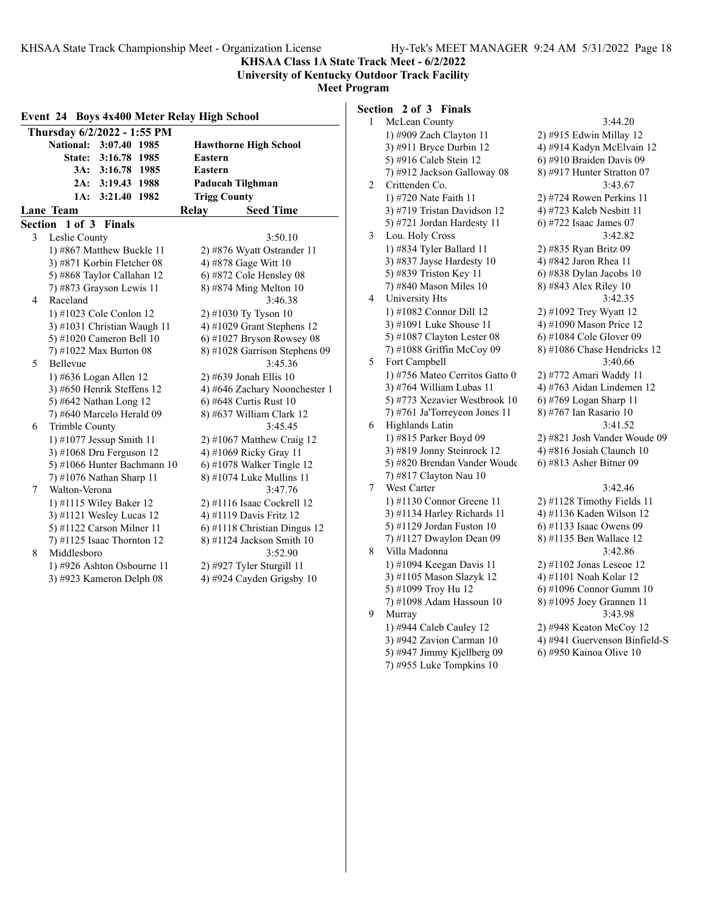**KHSAA Class 1A State Track Meet - 6/2/2022 University of Kentucky Outdoor Track Facility**

#### **Meet Program**

|   | Thursday 6/2/2022 - 1:55 PM                                                 |                                                           |
|---|-----------------------------------------------------------------------------|-----------------------------------------------------------|
|   | National: 3:07.40 1985<br><b>State:</b><br>3:16.78 1985<br>3A: 3:16.78 1985 | <b>Hawthorne High School</b><br><b>Eastern</b><br>Eastern |
|   | 2A: 3:19.43 1988                                                            | Paducah Tilghman                                          |
|   | 1A:<br>3:21.40 1982                                                         | <b>Trigg County</b>                                       |
|   | <b>Lane</b> Team                                                            | Relay<br><b>Seed Time</b>                                 |
|   | Section 1 of 3<br><b>Finals</b>                                             |                                                           |
| 3 | Leslie County                                                               | 3:50.10                                                   |
|   | 1) #867 Matthew Buckle 11                                                   | 2) #876 Wyatt Ostrander 11                                |
|   | 3) #871 Korbin Fletcher 08                                                  | 4) #878 Gage Witt 10                                      |
|   | 5) #868 Taylor Callahan 12                                                  | 6) #872 Cole Hensley 08                                   |
|   | 7) #873 Grayson Lewis 11                                                    | 8) #874 Ming Melton 10                                    |
| 4 | Raceland                                                                    | 3:46.38                                                   |
|   | 1) #1023 Cole Conlon 12                                                     | 2) #1030 Ty Tyson 10                                      |
|   | 3) #1031 Christian Waugh 11                                                 | 4) #1029 Grant Stephens 12                                |
|   | 5) #1020 Cameron Bell 10                                                    | 6) #1027 Bryson Rowsey 08                                 |
|   | 7) #1022 Max Burton 08                                                      | 8) #1028 Garrison Stephens 09                             |
| 5 | Bellevue                                                                    | 3:45.36                                                   |
|   | 1) #636 Logan Allen 12                                                      | 2) #639 Jonah Ellis 10                                    |
|   | 3) #650 Henrik Steffens 12                                                  | 4) #646 Zachary Noonchester 1                             |
|   | 5) #642 Nathan Long 12                                                      | 6) #648 Curtis Rust 10                                    |
|   | 7) #640 Marcelo Herald 09                                                   | 8) #637 William Clark 12                                  |
| 6 | Trimble County                                                              | 3:45.45                                                   |
|   | 1) #1077 Jessup Smith 11                                                    | $2)$ #1067 Matthew Craig 12                               |
|   | 3) #1068 Dru Ferguson 12                                                    | 4) #1069 Ricky Gray 11                                    |
|   | 5) #1066 Hunter Bachmann 10                                                 | 6) #1078 Walker Tingle $12$                               |
|   | 7) #1076 Nathan Sharp 11                                                    | 8) #1074 Luke Mullins 11                                  |
| 7 | Walton-Verona                                                               | 3:47.76                                                   |
|   | 1) #1115 Wiley Baker 12                                                     | 2) #1116 Isaac Cockrell 12                                |
|   | 3) #1121 Wesley Lucas 12                                                    | 4) #1119 Davis Fritz 12                                   |
|   | 5) #1122 Carson Milner 11                                                   | 6) #1118 Christian Dingus 12                              |
|   | 7) #1125 Isaac Thornton $12$                                                | 8) #1124 Jackson Smith 10                                 |
| 8 | Middlesboro                                                                 | 3:52.90                                                   |
|   | 1) #926 Ashton Osbourne 11                                                  | 2) #927 Tyler Sturgill 11                                 |
|   | 3) #923 Kameron Delph 08                                                    | 4) #924 Cayden Grigsby 10                                 |

# **Section 2 of 3 Finals**

| 1 | McLean County                  | 3:44.20                        |
|---|--------------------------------|--------------------------------|
|   | 1) #909 Zach Clayton 11        | 2) #915 Edwin Millay 12        |
|   | 3) #911 Bryce Durbin 12        | 4) #914 Kadyn McElvain 12      |
|   | 5) #916 Caleb Stein 12         | 6) #910 Braiden Davis 09       |
|   | 7) #912 Jackson Galloway 08    | 8) #917 Hunter Stratton 07     |
| 2 | Crittenden Co.                 | 3:43.67                        |
|   | 1) #720 Nate Faith 11          | 2) #724 Rowen Perkins 11       |
|   | 3) #719 Tristan Davidson 12    | 4) #723 Kaleb Nesbitt 11       |
|   | 5) #721 Jordan Hardesty 11     | 6) #722 Isaac James 07         |
| 3 | Lou. Holy Cross                | 3:42.82                        |
|   | 1) #834 Tyler Ballard 11       | 2) #835 Ryan Britz 09          |
|   | 3) #837 Jayse Hardesty 10      | 4) #842 Jaron Rhea 11          |
|   | 5) #839 Triston Key 11         | 6) #838 Dylan Jacobs 10        |
|   | 7) #840 Mason Miles 10         | 8) #843 Alex Riley 10          |
| 4 | University Hts                 | 3:42.35                        |
|   | 1) #1082 Connor Dill 12        | 2) #1092 Trey Wyatt 12         |
|   | 3) #1091 Luke Shouse 11        | 4) #1090 Mason Price 12        |
|   | 5) #1087 Clayton Lester 08     | 6) #1084 Cole Glover 09        |
|   | 7) #1088 Griffin McCoy 09      | 8) #1086 Chase Hendricks 12    |
| 5 | Fort Campbell                  | 3:40.66                        |
|   | 1) #756 Mateo Cerritos Gatto 0 | 2) #772 Amari Waddy 11         |
|   | 3) #764 William Lubas 11       | 4) #763 Aidan Lindemen 12      |
|   | 5) #773 Xezavier Westbrook 10  | 6) #769 Logan Sharp 11         |
|   | 7) #761 Ja'Torreyeon Jones 11  | 8) #767 Ian Rasario 10         |
| 6 | Highlands Latin                | 3:41.52                        |
|   | 1) #815 Parker Boyd 09         | 2) #821 Josh Vander Woude 09   |
|   | 3) #819 Jonny Steinrock 12     | 4) #816 Josiah Claunch 10      |
|   | 5) #820 Brendan Vander Woude   | 6) #813 Asher Bitner 09        |
|   | 7) #817 Clayton Nau 10         |                                |
| 7 | West Carter                    | 3:42.46                        |
|   | 1) #1130 Connor Greene 11      | 2) #1128 Timothy Fields 11     |
|   | 3) #1134 Harley Richards 11    | 4) #1136 Kaden Wilson 12       |
|   | 5) #1129 Jordan Fuston 10      | 6) #1133 Isaac Owens 09        |
|   | 7) #1127 Dwaylon Dean 09       | 8) #1135 Ben Wallace 12        |
| 8 | Villa Madonna                  | 3:42.86                        |
|   | 1) #1094 Keegan Davis 11       | 2) #1102 Jonas Lescoe 12       |
|   | 3) #1105 Mason Slazyk 12       | 4) #1101 Noah Kolar 12         |
|   | 5) #1099 Troy Hu 12            | 6) #1096 Connor Gumm 10        |
|   | 7) #1098 Adam Hassoun 10       | 8) #1095 Joey Grannen 11       |
| 9 | Murray                         | 3:43.98                        |
|   | 1) #944 Caleb Cauley 12        | 2) #948 Keaton McCoy 12        |
|   | 3) #942 Zavion Carman 10       | 4) #941 Guervenson Binfield-S: |
|   | 5) #947 Jimmy Kjellberg 09     | 6) #950 Kainoa Olive 10        |
|   | 7) #955 Luke Tompkins 10       |                                |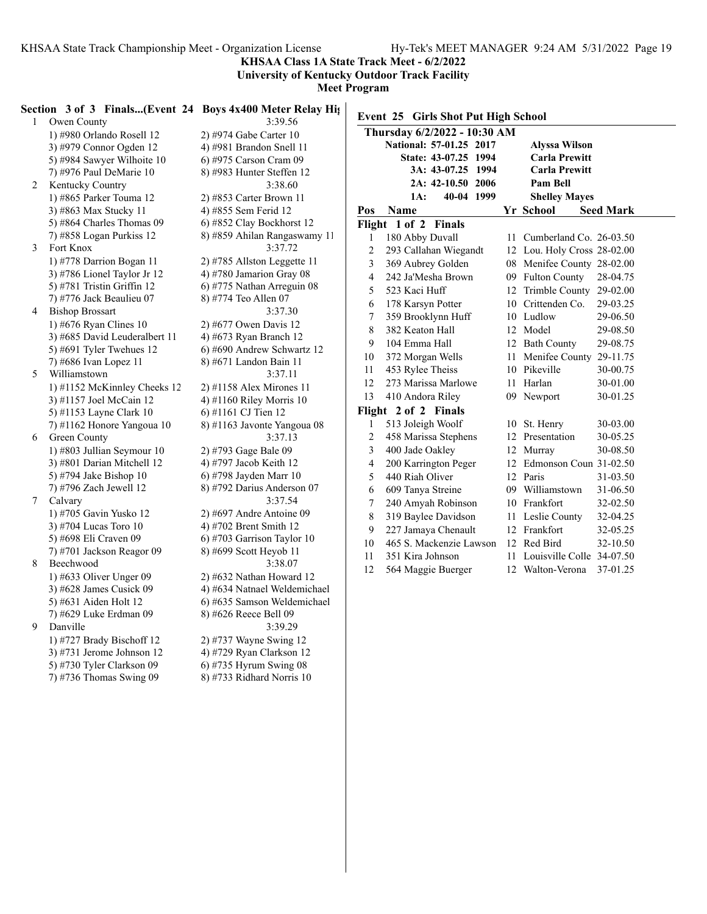**KHSAA Class 1A State Track Meet - 6/2/2022**

**University of Kentucky Outdoor Track Facility**

**Meet Program**

|   | Section 3 of 3 Finals(Event 24 Boys 4x400 Meter Relay Hights) |                              |                  |                                     |                              |                  |
|---|---------------------------------------------------------------|------------------------------|------------------|-------------------------------------|------------------------------|------------------|
|   | Owen County<br>$\mathbf{1}$                                   | 3:39.56                      |                  | Event 25 Girls Shot Put High School |                              |                  |
|   | 1) #980 Orlando Rosell 12                                     | 2) #974 Gabe Carter 10       |                  | Thursday 6/2/2022 - 10:30 AM        |                              |                  |
|   | 3) #979 Connor Ogden 12                                       | 4) #981 Brandon Snell 11     |                  | National: 57-01.25 2017             | <b>Alyssa Wilson</b>         |                  |
|   | 5) #984 Sawyer Wilhoite 10                                    | 6) #975 Carson Cram 09       |                  | State: 43-07.25 1994                | <b>Carla Prewitt</b>         |                  |
|   | 7) #976 Paul DeMarie 10                                       | 8) #983 Hunter Steffen 12    |                  | 3A: 43-07.25 1994                   | <b>Carla Prewitt</b>         |                  |
|   | 2<br>Kentucky Country                                         | 3:38.60                      |                  | 2A: 42-10.50 2006                   | Pam Bell                     |                  |
|   | 1) #865 Parker Touma 12                                       | 2) #853 Carter Brown 11      |                  | 40-04 1999<br>1A:                   | <b>Shelley Mayes</b>         |                  |
|   | 3) #863 Max Stucky 11                                         | 4) #855 Sem Ferid 12         | Pos              | <b>Name</b>                         | Yr School                    | <b>Seed Mark</b> |
|   | 5) #864 Charles Thomas 09                                     | 6) #852 Clay Bockhorst 12    |                  | Flight 1 of 2 Finals                |                              |                  |
|   | 7) #858 Logan Purkiss 12                                      | 8) #859 Ahilan Rangaswamy 11 | 1                | 180 Abby Duvall                     | 11 Cumberland Co. 26-03.50   |                  |
| 3 | Fort Knox                                                     | 3:37.72                      | $\overline{c}$   | 293 Callahan Wiegandt               | 12 Lou. Holy Cross 28-02.00  |                  |
|   | 1) #778 Darrion Bogan 11                                      | 2) #785 Allston Leggette 11  | 3                | 369 Aubrey Golden                   | 08 Menifee County 28-02.00   |                  |
|   | 3) #786 Lionel Taylor Jr 12                                   | 4) #780 Jamarion Gray 08     | 4                | 242 Ja'Mesha Brown                  | 09 Fulton County             | 28-04.75         |
|   | 5) #781 Tristin Griffin 12                                    | 6) #775 Nathan Arreguin 08   | 5                | 523 Kaci Huff                       | 12 Trimble County 29-02.00   |                  |
|   | 7) #776 Jack Beaulieu 07                                      | 8) #774 Teo Allen 07         | 6                | 178 Karsyn Potter                   | 10 Crittenden Co.            | 29-03.25         |
|   | <b>Bishop Brossart</b><br>4                                   | 3:37.30                      | 7                | 359 Brooklynn Huff                  | 10 Ludlow                    | 29-06.50         |
|   | 1) #676 Ryan Clines $10$                                      | 2) #677 Owen Davis 12        | 8                | 382 Keaton Hall                     | 12 Model                     | 29-08.50         |
|   | 3) #685 David Leuderalbert 11                                 | 4) #673 Ryan Branch 12       | 9                | 104 Emma Hall                       | 12 Bath County               | 29-08.75         |
|   | 5) #691 Tyler Twehues $12$                                    | 6) #690 Andrew Schwartz 12   | 10               | 372 Morgan Wells                    | 11 Menifee County 29-11.75   |                  |
|   | 7) #686 Ivan Lopez 11                                         | 8) #671 Landon Bain 11       | 11               | 453 Rylee Theiss                    | 10 Pikeville                 | 30-00.75         |
| 5 | Williamstown                                                  | 3:37.11                      | 12               | 273 Marissa Marlowe                 | 11 Harlan                    | 30-01.00         |
|   | 1) #1152 McKinnley Cheeks 12                                  | 2) #1158 Alex Mirones 11     | 13               | 410 Andora Riley                    | 09 Newport                   | 30-01.25         |
|   | 3) #1157 Joel McCain 12                                       | 4) #1160 Riley Morris 10     |                  |                                     |                              |                  |
|   | 5) #1153 Layne Clark 10                                       | 6) #1161 CJ Tien 12          |                  | Flight 2 of 2 Finals                |                              |                  |
|   | 7) #1162 Honore Yangoua 10                                    | 8) #1163 Javonte Yangoua 08  | 1                | 513 Joleigh Woolf                   | 10 St. Henry                 | 30-03.00         |
| 6 | Green County                                                  | 3:37.13                      | 2                | 458 Marissa Stephens                | 12 Presentation              | 30-05.25         |
|   | 1) #803 Jullian Seymour 10                                    | 2) #793 Gage Bale 09         | 3                | 400 Jade Oakley                     | 12 Murray                    | 30-08.50         |
|   | 3) #801 Darian Mitchell 12                                    | 4) #797 Jacob Keith 12       | 4                | 200 Karrington Peger                | 12 Edmonson Coun 31-02.50    |                  |
|   | 5) #794 Jake Bishop 10                                        | 6) #798 Jayden Marr 10       | 5                | 440 Riah Oliver                     | 12 Paris                     | 31-03.50         |
|   | 7) #796 Zach Jewell 12                                        | 8) #792 Darius Anderson 07   | 6                | 609 Tanya Streine                   | 09 Williamstown              | 31-06.50         |
|   | Calvary<br>7                                                  | 3:37.54                      | $\boldsymbol{7}$ | 240 Amyah Robinson                  | 10 Frankfort                 | 32-02.50         |
|   | 1) #705 Gavin Yusko 12                                        | 2) #697 Andre Antoine 09     | 8                | 319 Baylee Davidson                 | 11 Leslie County             | 32-04.25         |
|   | 3) #704 Lucas Toro 10                                         | 4) #702 Brent Smith 12       | 9                | 227 Jamaya Chenault                 | 12 Frankfort                 | 32-05.25         |
|   | 5) #698 Eli Craven 09                                         | 6) #703 Garrison Taylor 10   | 10               | 465 S. Mackenzie Lawson             | 12 Red Bird                  | 32-10.50         |
|   | 7) #701 Jackson Reagor 09                                     | 8) #699 Scott Heyob 11       | 11               | 351 Kira Johnson                    | 11 Louisville Colle 34-07.50 |                  |
|   | 8<br>Beechwood                                                | 3:38.07                      | 12               | 564 Maggie Buerger                  | 12 Walton-Verona 37-01.25    |                  |
|   | 1) #633 Oliver Unger 09                                       | $2)$ #632 Nathan Howard 12   |                  |                                     |                              |                  |
|   | 3) #628 James Cusick 09                                       | 4) #634 Natnael Weldemichael |                  |                                     |                              |                  |
|   | 5) #631 Aiden Holt 12                                         | 6) #635 Samson Weldemichael  |                  |                                     |                              |                  |
| 9 | 7) #629 Luke Erdman 09                                        | 8) #626 Reece Bell 09        |                  |                                     |                              |                  |
|   | Danville                                                      | 3:39.29                      |                  |                                     |                              |                  |
|   | 1) #727 Brady Bischoff 12                                     | 2) #737 Wayne Swing 12       |                  |                                     |                              |                  |
|   | 3) #731 Jerome Johnson 12                                     | 4) #729 Ryan Clarkson 12     |                  |                                     |                              |                  |
|   | 5) #730 Tyler Clarkson 09                                     | $(6)$ #735 Hyrum Swing 08    |                  |                                     |                              |                  |

7) #736 Thomas Swing 09 8) #733 Ridhard Norris 10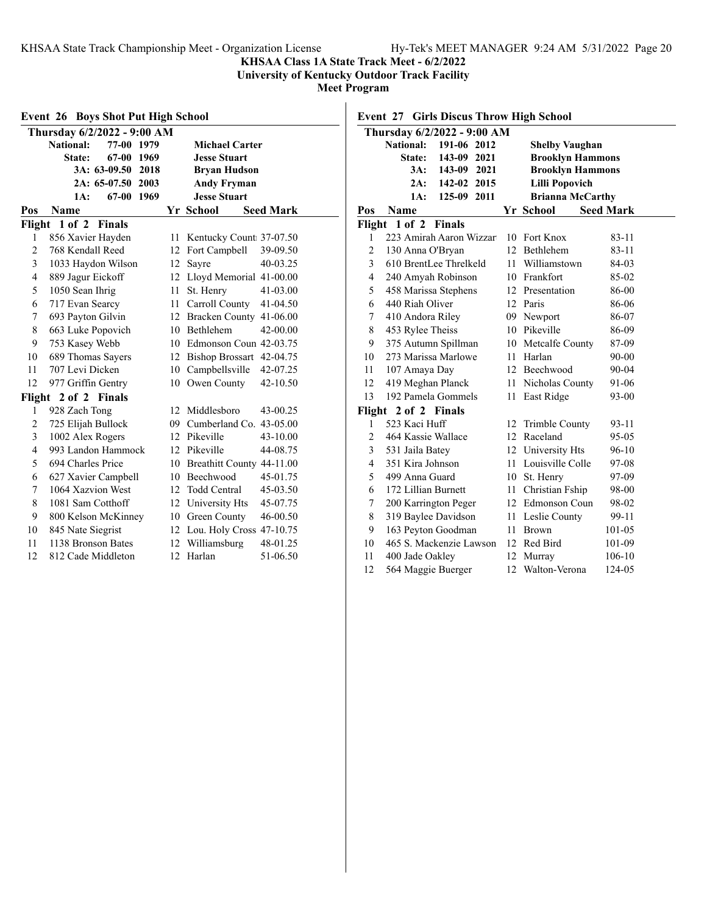### **KHSAA Class 1A State Track Meet - 6/2/2022**

**University of Kentucky Outdoor Track Facility**

**Meet Program**

|                | <b>Event 26 Boys Shot Put High School</b> |    |                              |                  |  |  |  |
|----------------|-------------------------------------------|----|------------------------------|------------------|--|--|--|
|                | Thursday 6/2/2022 - 9:00 AM               |    |                              |                  |  |  |  |
|                | <b>National:</b><br>77-00<br>1979         |    | <b>Michael Carter</b>        |                  |  |  |  |
|                | 67-00 1969<br>State:                      |    | <b>Jesse Stuart</b>          |                  |  |  |  |
|                | 3A: 63-09.50 2018                         |    | <b>Bryan Hudson</b>          |                  |  |  |  |
|                | 2A: 65-07.50 2003                         |    | <b>Andy Fryman</b>           |                  |  |  |  |
|                | 67-00 1969<br><b>Jesse Stuart</b><br>1A:  |    |                              |                  |  |  |  |
| Pos            | Name                                      |    | Yr School                    | <b>Seed Mark</b> |  |  |  |
|                | Flight 1 of 2 Finals                      |    |                              |                  |  |  |  |
| 1              | 856 Xavier Hayden                         | 11 | Kentucky Count 37-07.50      |                  |  |  |  |
| $\overline{2}$ | 768 Kendall Reed                          | 12 | Fort Campbell                | 39-09.50         |  |  |  |
| 3              | 1033 Haydon Wilson                        | 12 | Sayre                        | 40-03.25         |  |  |  |
| $\overline{4}$ | 889 Jagur Eickoff                         |    | 12 Lloyd Memorial 41-00.00   |                  |  |  |  |
| 5              | 1050 Sean Ihrig                           | 11 | St. Henry                    | $41 - 03.00$     |  |  |  |
| 6              | 717 Evan Searcy                           |    | 11 Carroll County            | 41-04.50         |  |  |  |
| 7              | 693 Payton Gilvin                         |    | 12 Bracken County 41-06.00   |                  |  |  |  |
| 8              | 663 Luke Popovich                         |    | 10 Bethlehem                 | 42-00.00         |  |  |  |
| 9              | 753 Kasey Webb                            |    | 10 Edmonson Coun 42-03.75    |                  |  |  |  |
| 10             | 689 Thomas Sayers                         |    | 12 Bishop Brossart 42-04.75  |                  |  |  |  |
| 11             | 707 Levi Dicken                           | 10 | Campbellsville               | 42-07.25         |  |  |  |
| 12             | 977 Griffin Gentry                        |    | 10 Owen County               | 42-10.50         |  |  |  |
|                | Flight 2 of 2 Finals                      |    |                              |                  |  |  |  |
| 1              | 928 Zach Tong                             | 12 | Middlesboro                  | 43-00.25         |  |  |  |
| $\overline{2}$ | 725 Elijah Bullock                        |    | 09 Cumberland Co. 43-05.00   |                  |  |  |  |
| 3              | 1002 Alex Rogers                          | 12 | Pikeville                    | 43-10.00         |  |  |  |
| $\overline{4}$ | 993 Landon Hammock                        |    | 12 Pikeville                 | 44-08.75         |  |  |  |
| 5              | 694 Charles Price                         |    | 10 Breathitt County 44-11.00 |                  |  |  |  |
| 6              | 627 Xavier Campbell                       |    | 10 Beechwood                 | 45-01.75         |  |  |  |
| 7              | 1064 Xazvion West                         |    | 12 Todd Central              | 45-03.50         |  |  |  |
| 8              | 1081 Sam Cotthoff                         |    | 12 University Hts            | 45-07.75         |  |  |  |
| 9              | 800 Kelson McKinney                       |    | 10 Green County              | 46-00.50         |  |  |  |
| 10             | 845 Nate Siegrist                         |    | 12 Lou. Holy Cross 47-10.75  |                  |  |  |  |
| 11             | 1138 Bronson Bates                        |    | 12 Williamsburg              | 48-01.25         |  |  |  |
| 12             | 812 Cade Middleton                        |    | 12 Harlan                    | 51-06.50         |  |  |  |

### **Event 27 Girls Discus Throw High School**

|                | Thursday 6/2/2022 - 9:00 AM     |      |                         |                  |  |  |
|----------------|---------------------------------|------|-------------------------|------------------|--|--|
|                | <b>National:</b><br>191-06 2012 |      | <b>Shelby Vaughan</b>   |                  |  |  |
|                | 143-09<br>2021<br>State:        |      | <b>Brooklyn Hammons</b> |                  |  |  |
|                | 3A:<br>143-09<br>2021           |      | <b>Brooklyn Hammons</b> |                  |  |  |
|                | 142-02 2015<br>2A:              |      | <b>Lilli Popovich</b>   |                  |  |  |
|                | 125-09 2011<br>1A:              |      | <b>Brianna McCarthy</b> |                  |  |  |
| Pos            | Name                            |      | Yr School               | <b>Seed Mark</b> |  |  |
| Flight         | 1 of 2 Finals                   |      |                         |                  |  |  |
| 1              | 223 Amirah Aaron Wizzart        | 10   | Fort Knox               | $83 - 11$        |  |  |
| 2              | 130 Anna O'Bryan                |      | 12 Bethlehem            | $83 - 11$        |  |  |
| 3              | 610 BrentLee Threlkeld          | 11.  | Williamstown            | 84-03            |  |  |
| $\overline{4}$ | 240 Amyah Robinson              |      | 10 Frankfort            | 85-02            |  |  |
| 5              | 458 Marissa Stephens            |      | 12 Presentation         | 86-00            |  |  |
| 6              | 440 Riah Oliver                 |      | 12 Paris                | 86-06            |  |  |
| 7              | 410 Andora Riley                |      | 09 Newport              | 86-07            |  |  |
| 8              | 453 Rylee Theiss                |      | 10 Pikeville            | 86-09            |  |  |
| 9              | 375 Autumn Spillman             |      | 10 Metcalfe County      | 87-09            |  |  |
| 10             | 273 Marissa Marlowe             | 11   | Harlan                  | 90-00            |  |  |
| 11             | 107 Amaya Day                   |      | 12 Beechwood            | $90 - 04$        |  |  |
| 12             | 419 Meghan Planck               |      | 11 Nicholas County      | 91-06            |  |  |
| 13             | 192 Pamela Gommels              | 11   | East Ridge              | 93-00            |  |  |
| Flight         | 2 of 2 Finals                   |      |                         |                  |  |  |
| 1              | 523 Kaci Huff                   | 12   | Trimble County          | $93 - 11$        |  |  |
| $\overline{2}$ | 464 Kassie Wallace              |      | 12 Raceland             | $95 - 05$        |  |  |
| 3              | 531 Jaila Batey                 |      | 12 University Hts       | 96-10            |  |  |
| $\overline{4}$ | 351 Kira Johnson                | 11   | Louisville Colle        | 97-08            |  |  |
| 5              | 499 Anna Guard                  | 10   | St. Henry               | 97-09            |  |  |
| 6              | 172 Lillian Burnett             | 11 - | Christian Fship         | 98-00            |  |  |
| 7              | 200 Karrington Peger            |      | 12 Edmonson Coun        | 98-02            |  |  |
| 8              | 319 Baylee Davidson             |      | 11 Leslie County        | 99-11            |  |  |
| 9              | 163 Peyton Goodman              | 11   | <b>Brown</b>            | 101-05           |  |  |
| 10             | 465 S. Mackenzie Lawson         | 12   | Red Bird                | 101-09           |  |  |
| 11             | 400 Jade Oakley                 |      | 12 Murray               | 106-10           |  |  |
| 12             | 564 Maggie Buerger              | 12   | Walton-Verona           | 124-05           |  |  |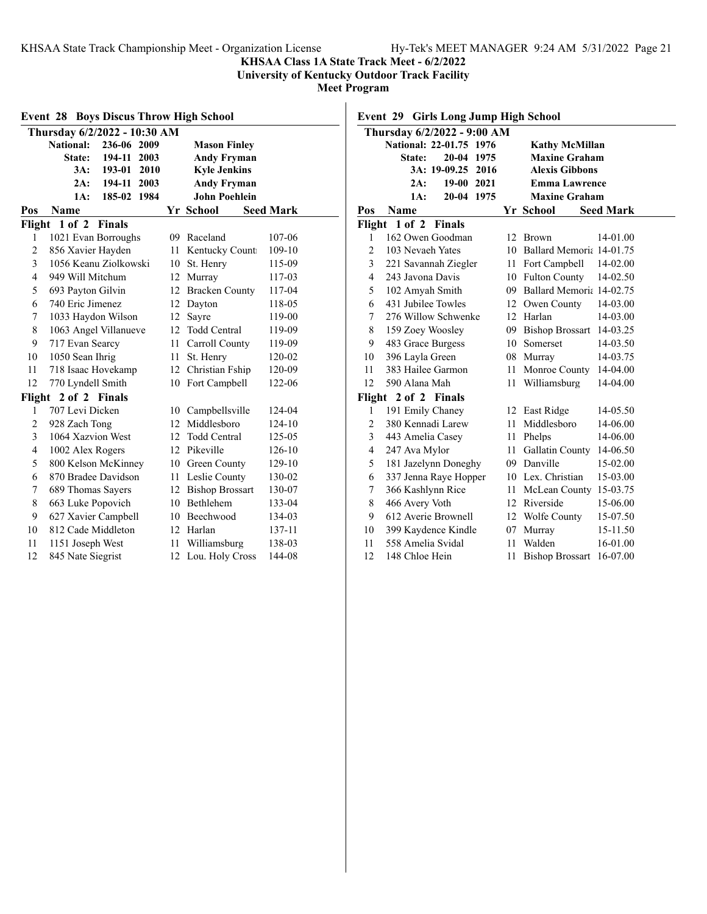**KHSAA Class 1A State Track Meet - 6/2/2022**

**University of Kentucky Outdoor Track Facility**

**Meet Program**

| <b>Event 28 Boys Discus Throw High School</b> |                                 |    |                      |                  |  |  |  |
|-----------------------------------------------|---------------------------------|----|----------------------|------------------|--|--|--|
|                                               | Thursday 6/2/2022 - 10:30 AM    |    |                      |                  |  |  |  |
|                                               | 236-06 2009<br><b>National:</b> |    | <b>Mason Finley</b>  |                  |  |  |  |
|                                               | 2003<br>State:<br>194-11        |    | <b>Andy Fryman</b>   |                  |  |  |  |
|                                               | 193-01<br>2010<br>3A:           |    | <b>Kyle Jenkins</b>  |                  |  |  |  |
|                                               | 2A:<br>194-11 2003              |    | <b>Andy Fryman</b>   |                  |  |  |  |
|                                               | 185-02<br>1984<br>1A:           |    | <b>John Poehlein</b> |                  |  |  |  |
| Pos                                           | Name                            |    | Yr School            | <b>Seed Mark</b> |  |  |  |
|                                               | Flight 1 of 2 Finals            |    |                      |                  |  |  |  |
| 1                                             | 1021 Evan Borroughs             |    | 09 Raceland          | 107-06           |  |  |  |
| $\overline{2}$                                | 856 Xavier Hayden               | 11 | Kentucky Count       | 109-10           |  |  |  |
| 3                                             | 1056 Keanu Ziolkowski           | 10 | St. Henry            | 115-09           |  |  |  |
| $\overline{4}$                                | 949 Will Mitchum                |    | 12 Murray            | 117-03           |  |  |  |
| 5                                             | 693 Payton Gilvin               |    | 12 Bracken County    | 117-04           |  |  |  |
| 6                                             | 740 Eric Jimenez                |    | 12 Dayton            | 118-05           |  |  |  |
| 7                                             | 1033 Haydon Wilson              |    | Sayre                | 119-00           |  |  |  |
| 8                                             | 1063 Angel Villanueve           | 12 | <b>Todd Central</b>  | 119-09           |  |  |  |
| 9                                             | 717 Evan Searcy                 |    | Carroll County<br>11 | 119-09           |  |  |  |
| 10                                            | 1050 Sean Ihrig                 | 11 | St. Henry            | 120-02           |  |  |  |
| 11                                            | 718 Isaac Hovekamp              |    | 12 Christian Fship   | 120-09           |  |  |  |
| 12                                            | 770 Lyndell Smith               | 10 | Fort Campbell        | 122-06           |  |  |  |
| Flight                                        | 2 of 2 Finals                   |    |                      |                  |  |  |  |
| 1                                             | 707 Levi Dicken                 |    | 10 Campbellsville    | 124-04           |  |  |  |
| $\overline{c}$                                | 928 Zach Tong                   |    | 12 Middlesboro       | 124-10           |  |  |  |
| 3                                             | 1064 Xazvion West               | 12 | <b>Todd Central</b>  | 125-05           |  |  |  |
| $\overline{4}$                                | 1002 Alex Rogers                | 12 | Pikeville            | 126-10           |  |  |  |
| 5                                             | 800 Kelson McKinney             |    | 10 Green County      | 129-10           |  |  |  |
| 6                                             | 870 Bradee Davidson             |    | 11 Leslie County     | 130-02           |  |  |  |
| 7                                             | 689 Thomas Sayers               |    | 12 Bishop Brossart   | 130-07           |  |  |  |
| 8                                             | 663 Luke Popovich               |    | 10 Bethlehem         | 133-04           |  |  |  |
| 9                                             | 627 Xavier Campbell             |    | 10 Beechwood         | 134-03           |  |  |  |
| 10                                            | 812 Cade Middleton              |    | 12 Harlan            | 137-11           |  |  |  |
| 11                                            | 1151 Joseph West                | 11 | Williamsburg         | 138-03           |  |  |  |
| 12                                            | 845 Nate Siegrist               | 12 | Lou. Holy Cross      | 144-08           |  |  |  |

**Event 29 Girls Long Jump High School**

|                | Thursday 6/2/2022 - 9:00 AM |    |                             |                  |
|----------------|-----------------------------|----|-----------------------------|------------------|
|                | National: 22-01.75 1976     |    | <b>Kathy McMillan</b>       |                  |
|                | 20-04 1975<br><b>State:</b> |    | <b>Maxine Graham</b>        |                  |
|                | 3A: 19-09.25 2016           |    | <b>Alexis Gibbons</b>       |                  |
|                | 2A:<br>19-00 2021           |    | <b>Emma Lawrence</b>        |                  |
|                | 1A:<br>20-04 1975           |    | <b>Maxine Graham</b>        |                  |
| Pos            | Name                        |    | Yr School                   | <b>Seed Mark</b> |
|                | Flight 1 of 2 Finals        |    |                             |                  |
| 1              | 162 Owen Goodman            | 12 | <b>Brown</b>                | 14-01.00         |
| 2              | 103 Nevaeh Yates            |    | 10 Ballard Memoria 14-01.75 |                  |
| 3              | 221 Savannah Ziegler        |    | 11 Fort Campbell            | 14-02.00         |
| $\overline{4}$ | 243 Javona Davis            |    | 10 Fulton County            | 14-02.50         |
| 5              | 102 Amyah Smith             |    | 09 Ballard Memoria 14-02.75 |                  |
| 6              | 431 Jubilee Towles          | 12 | Owen County                 | 14-03.00         |
| 7              | 276 Willow Schwenke         |    | 12 Harlan                   | 14-03.00         |
| 8              | 159 Zoey Woosley            |    | 09 Bishop Brossart          | 14-03.25         |
| 9              | 483 Grace Burgess           |    | 10 Somerset                 | 14-03.50         |
| 10             | 396 Layla Green             |    | 08 Murray                   | 14-03.75         |
| 11             | 383 Hailee Garmon           |    | 11 Monroe County            | 14-04.00         |
| 12             | 590 Alana Mah               | 11 | Williamsburg                | 14-04.00         |
|                | Flight 2 of 2 Finals        |    |                             |                  |
| 1              | 191 Emily Chaney            |    | 12 East Ridge               | 14-05.50         |
| $\overline{2}$ | 380 Kennadi Larew           | 11 | Middlesboro                 | 14-06.00         |
| 3              | 443 Amelia Casey            |    | 11 Phelps                   | 14-06.00         |
| $\overline{4}$ | 247 Ava Mylor               | 11 | Gallatin County             | 14-06.50         |
| 5              | 181 Jazelynn Doneghy        |    | 09 Danville                 | 15-02.00         |
| 6              | 337 Jenna Raye Hopper       |    | 10 Lex. Christian           | 15-03.00         |
| 7              | 366 Kashlynn Rice           |    | 11 McLean County            | 15-03.75         |
| 8              | 466 Avery Voth              |    | 12 Riverside                | 15-06.00         |
| 9              | 612 Averie Brownell         |    | 12 Wolfe County             | 15-07.50         |
| 10             | 399 Kaydence Kindle         | 07 | Murray                      | 15-11.50         |
| 11             | 558 Amelia Svidal           | 11 | Walden                      | 16-01.00         |
| 12             | 148 Chloe Hein              | 11 | Bishop Brossart 16-07.00    |                  |
|                |                             |    |                             |                  |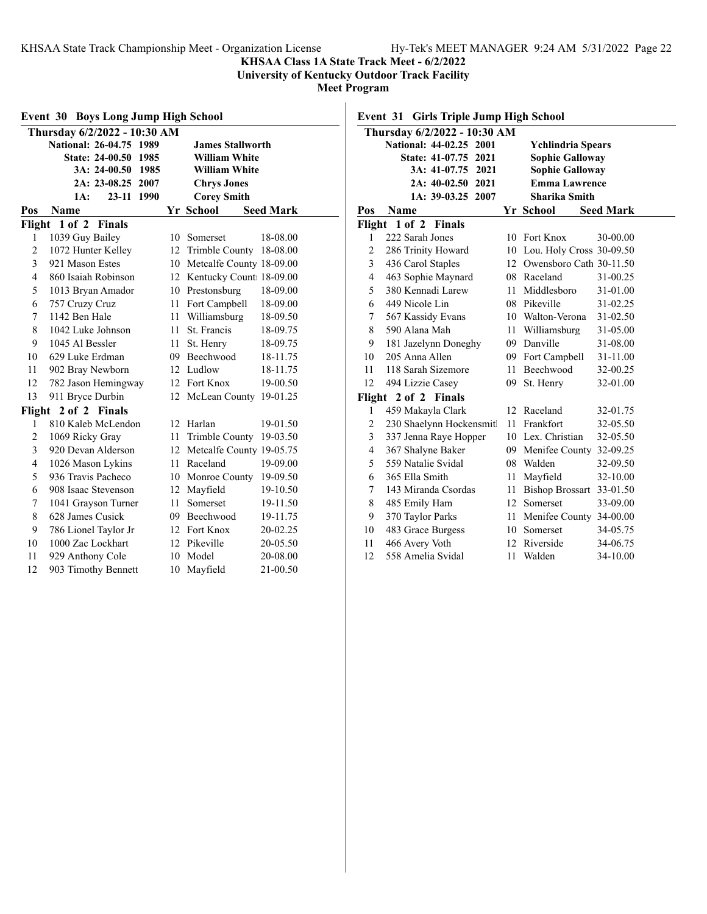**KHSAA Class 1A State Track Meet - 6/2/2022**

**University of Kentucky Outdoor Track Facility**

**Meet Program**

| Event 30<br><b>Boys Long Jump High School</b> |                                         |    |                             |                  |  |  |  |  |
|-----------------------------------------------|-----------------------------------------|----|-----------------------------|------------------|--|--|--|--|
|                                               | Thursday 6/2/2022 - 10:30 AM            |    |                             |                  |  |  |  |  |
|                                               | National: 26-04.75 1989                 |    | <b>James Stallworth</b>     |                  |  |  |  |  |
|                                               | <b>State: 24-00.50</b><br>1985          |    | <b>William White</b>        |                  |  |  |  |  |
|                                               | 3A: 24-00.50<br>1985                    |    | <b>William White</b>        |                  |  |  |  |  |
|                                               | 2A: 23-08.25 2007<br><b>Chrys Jones</b> |    |                             |                  |  |  |  |  |
|                                               | 23-11 1990<br>1A:                       |    | <b>Corey Smith</b>          |                  |  |  |  |  |
| Pos                                           | Name                                    |    | Yr School                   | <b>Seed Mark</b> |  |  |  |  |
| Flight                                        | $1$ of $2$<br><b>Finals</b>             |    |                             |                  |  |  |  |  |
| 1                                             | 1039 Guy Bailey                         | 10 | Somerset                    | 18-08.00         |  |  |  |  |
| $\overline{2}$                                | 1072 Hunter Kelley                      | 12 | Trimble County              | 18-08.00         |  |  |  |  |
| 3                                             | 921 Mason Estes                         |    | 10 Metcalfe County 18-09.00 |                  |  |  |  |  |
| $\overline{4}$                                | 860 Isaiah Robinson                     |    | 12 Kentucky Count 18-09.00  |                  |  |  |  |  |
| 5                                             | 1013 Bryan Amador                       |    | 10 Prestonsburg             | 18-09.00         |  |  |  |  |
| 6                                             | 757 Cruzy Cruz                          | 11 | Fort Campbell               | 18-09.00         |  |  |  |  |
| 7                                             | 1142 Ben Hale                           | 11 | Williamsburg                | 18-09.50         |  |  |  |  |
| 8                                             | 1042 Luke Johnson                       | 11 | St. Francis                 | 18-09.75         |  |  |  |  |
| 9                                             | 1045 Al Bessler                         | 11 | St. Henry                   | 18-09.75         |  |  |  |  |
| 10                                            | 629 Luke Erdman                         |    | 09 Beechwood                | 18-11.75         |  |  |  |  |
| 11                                            | 902 Bray Newborn                        |    | 12 Ludlow                   | 18-11.75         |  |  |  |  |
| 12                                            | 782 Jason Hemingway                     |    | 12 Fort Knox                | 19-00.50         |  |  |  |  |
| 13                                            | 911 Bryce Durbin                        | 12 | McLean County               | 19-01.25         |  |  |  |  |
| Flight                                        | 2 of 2 Finals                           |    |                             |                  |  |  |  |  |
| 1                                             | 810 Kaleb McLendon                      | 12 | Harlan                      | 19-01.50         |  |  |  |  |
| $\overline{c}$                                | 1069 Ricky Gray                         | 11 | Trimble County              | 19-03.50         |  |  |  |  |
| 3                                             | 920 Devan Alderson                      |    | 12 Metcalfe County 19-05.75 |                  |  |  |  |  |
| $\overline{4}$                                | 1026 Mason Lykins                       | 11 | Raceland                    | 19-09.00         |  |  |  |  |
| 5                                             | 936 Travis Pacheco                      |    | 10 Monroe County            | 19-09.50         |  |  |  |  |
| 6                                             | 908 Isaac Stevenson                     | 12 | Mayfield                    | 19-10.50         |  |  |  |  |
| 7                                             | 1041 Grayson Turner                     | 11 | Somerset                    | 19-11.50         |  |  |  |  |
| 8                                             | 628 James Cusick                        |    | 09 Beechwood                | 19-11.75         |  |  |  |  |
| 9                                             | 786 Lionel Taylor Jr                    |    | 12 Fort Knox                | 20-02.25         |  |  |  |  |
| 10                                            | 1000 Zac Lockhart                       |    | 12 Pikeville                | 20-05.50         |  |  |  |  |
| 11                                            | 929 Anthony Cole                        | 10 | Model                       | 20-08.00         |  |  |  |  |
| 12                                            | 903 Timothy Bennett                     | 10 | Mayfield                    | 21-00.50         |  |  |  |  |

**Event 31 Girls Triple Jump High School**

|                | Thursday 6/2/2022 - 10:30 AM |        |                             |                  |  |
|----------------|------------------------------|--------|-----------------------------|------------------|--|
|                | National: 44-02.25 2001      |        | <b>Ychlindria Spears</b>    |                  |  |
|                | State: 41-07.75 2021         |        | <b>Sophie Galloway</b>      |                  |  |
|                | 3A: 41-07.75 2021            |        | <b>Sophie Galloway</b>      |                  |  |
|                | 2A: 40-02.50 2021            |        | <b>Emma Lawrence</b>        |                  |  |
|                | 1A: 39-03.25 2007            |        | Sharika Smith               |                  |  |
| Pos            | Name                         |        | Yr School                   | <b>Seed Mark</b> |  |
|                | Flight 1 of 2 Finals         |        |                             |                  |  |
| 1              | 222 Sarah Jones              |        | 10 Fort Knox                | 30-00.00         |  |
| $\overline{c}$ | 286 Trinity Howard           |        | 10 Lou. Holy Cross 30-09.50 |                  |  |
| 3              | 436 Carol Staples            |        | 12 Owensboro Cath 30-11.50  |                  |  |
| 4              | 463 Sophie Maynard           |        | 08 Raceland                 | 31-00.25         |  |
| 5              | 380 Kennadi Larew            | $11 -$ | Middlesboro                 | 31-01.00         |  |
| 6              | 449 Nicole Lin               |        | 08 Pikeville                | 31-02.25         |  |
| 7              | 567 Kassidy Evans            |        | 10 Walton-Verona            | 31-02.50         |  |
| 8              | 590 Alana Mah                |        | 11 Williamsburg             | 31-05.00         |  |
| 9              | 181 Jazelynn Doneghy         |        | 09 Danville                 | 31-08.00         |  |
| 10             | 205 Anna Allen               |        | 09 Fort Campbell            | 31-11.00         |  |
| 11             | 118 Sarah Sizemore           |        | 11 Beechwood                | 32-00.25         |  |
| 12             | 494 Lizzie Casey             | 09     | St. Henry                   | 32-01.00         |  |
| Flight         | 2 of 2 Finals                |        |                             |                  |  |
| 1              | 459 Makayla Clark            | 12     | Raceland                    | 32-01.75         |  |
| 2              | 230 Shaelynn Hockensmitl     | 11     | Frankfort                   | 32-05.50         |  |
| 3              | 337 Jenna Raye Hopper        |        | 10 Lex. Christian           | 32-05.50         |  |
| $\overline{4}$ | 367 Shalyne Baker            |        | 09 Menifee County 32-09.25  |                  |  |
| 5              | 559 Natalie Svidal           |        | 08 Walden                   | 32-09.50         |  |
| 6              | 365 Ella Smith               | 11     | Mayfield                    | 32-10.00         |  |
| 7              | 143 Miranda Csordas          |        | 11 Bishop Brossart 33-01.50 |                  |  |
| 8              | 485 Emily Ham                | 12     | Somerset                    | 33-09.00         |  |
| 9              | 370 Taylor Parks             | 11 -   | Menifee County 34-00.00     |                  |  |
| 10             | 483 Grace Burgess            |        | 10 Somerset                 | 34-05.75         |  |
| 11             | 466 Avery Voth               |        | 12 Riverside                | 34-06.75         |  |
| 12             | 558 Amelia Svidal            | 11     | Walden                      | 34-10.00         |  |
|                |                              |        |                             |                  |  |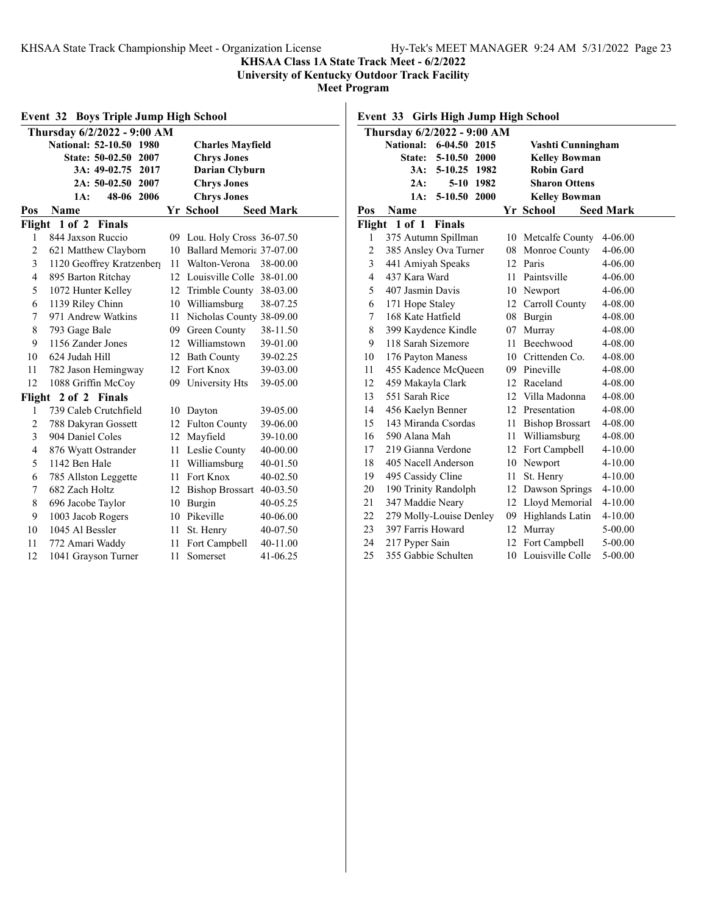**KHSAA Class 1A State Track Meet - 6/2/2022**

**University of Kentucky Outdoor Track Facility**

**Meet Program**

| <b>Event 32 Boys Triple Jump High School</b> |                                        |    |                              |                  |  |  |  |
|----------------------------------------------|----------------------------------------|----|------------------------------|------------------|--|--|--|
|                                              | Thursday 6/2/2022 - 9:00 AM            |    |                              |                  |  |  |  |
|                                              | National: 52-10.50 1980                |    | <b>Charles Mayfield</b>      |                  |  |  |  |
|                                              | <b>State: 50-02.50</b><br>2007         |    | <b>Chrys Jones</b>           |                  |  |  |  |
|                                              | 3A: 49-02.75<br>2017<br>Darian Clyburn |    |                              |                  |  |  |  |
|                                              | $2A: 50-02.50$<br>2007                 |    | <b>Chrys Jones</b>           |                  |  |  |  |
| <b>Chrys Jones</b><br>48-06<br>2006<br>1A:   |                                        |    |                              |                  |  |  |  |
| Pos                                          | Name                                   |    | Yr School                    | <b>Seed Mark</b> |  |  |  |
| Flight                                       | $1$ of $2$<br><b>Finals</b>            |    |                              |                  |  |  |  |
| 1                                            | 844 Jaxson Ruccio                      | 09 | Lou. Holy Cross 36-07.50     |                  |  |  |  |
| $\overline{c}$                               | 621 Matthew Clayborn                   | 10 | Ballard Memoria 37-07.00     |                  |  |  |  |
| 3                                            | 1120 Geoffrey Kratzenber;              | 11 | Walton-Verona                | 38-00.00         |  |  |  |
| 4                                            | 895 Barton Ritchay                     |    | 12 Louisville Colle 38-01.00 |                  |  |  |  |
| 5                                            | 1072 Hunter Kelley                     |    | 12 Trimble County            | 38-03.00         |  |  |  |
| 6                                            | 1139 Riley Chinn                       |    | 10 Williamsburg              | 38-07.25         |  |  |  |
| 7                                            | 971 Andrew Watkins                     | 11 | Nicholas County 38-09.00     |                  |  |  |  |
| 8                                            | 793 Gage Bale                          |    | 09 Green County              | 38-11.50         |  |  |  |
| 9                                            | 1156 Zander Jones                      |    | 12 Williamstown              | 39-01.00         |  |  |  |
| 10                                           | 624 Judah Hill                         |    | 12 Bath County               | 39-02.25         |  |  |  |
| 11                                           | 782 Jason Hemingway                    | 12 | Fort Knox                    | 39-03.00         |  |  |  |
| 12                                           | 1088 Griffin McCoy                     | 09 | University Hts               | 39-05.00         |  |  |  |
| Flight                                       | 2 of 2 Finals                          |    |                              |                  |  |  |  |
| 1                                            | 739 Caleb Crutchfield                  |    | 10 Dayton                    | 39-05.00         |  |  |  |
| 2                                            | 788 Dakyran Gossett                    |    | 12 Fulton County             | 39-06.00         |  |  |  |
| 3                                            | 904 Daniel Coles                       | 12 | Mayfield                     | 39-10.00         |  |  |  |
| $\overline{4}$                               | 876 Wyatt Ostrander                    | 11 | Leslie County                | 40-00.00         |  |  |  |
| 5                                            | 1142 Ben Hale                          | 11 | Williamsburg                 | 40-01.50         |  |  |  |
| 6                                            | 785 Allston Leggette                   | 11 | Fort Knox                    | 40-02.50         |  |  |  |
| 7                                            | 682 Zach Holtz                         |    | 12 Bishop Brossart           | 40-03.50         |  |  |  |
| 8                                            | 696 Jacobe Taylor                      |    | 10 Burgin                    | 40-05.25         |  |  |  |
| 9                                            | 1003 Jacob Rogers                      |    | 10 Pikeville                 | 40-06.00         |  |  |  |
| 10                                           | 1045 Al Bessler                        | 11 | St. Henry                    | 40-07.50         |  |  |  |
| 11                                           | 772 Amari Waddy                        | 11 | Fort Campbell                | 40-11.00         |  |  |  |
| 12                                           | 1041 Grayson Turner                    | 11 | Somerset                     | 41-06.25         |  |  |  |

# **Event 33 Girls High Jump High School**

| Thursday 6/2/2022 - 9:00 AM |                         |              |           |    |                      |                  |
|-----------------------------|-------------------------|--------------|-----------|----|----------------------|------------------|
|                             | <b>National:</b>        | 6-04.50 2015 |           |    | Vashti Cunningham    |                  |
|                             | State:                  | $5 - 10.50$  | 2000      |    | <b>Kelley Bowman</b> |                  |
|                             | 3A:                     | $5-10.25$    | 1982      |    | <b>Robin Gard</b>    |                  |
|                             | 2A:                     |              | 5-10 1982 |    | <b>Sharon Ottens</b> |                  |
|                             | 1A:                     | 5-10.50 2000 |           |    | <b>Kelley Bowman</b> |                  |
| Pos                         | Name                    |              |           |    | Yr School            | <b>Seed Mark</b> |
|                             | Flight 1 of 1 Finals    |              |           |    |                      |                  |
| 1                           | 375 Autumn Spillman     |              |           |    | 10 Metcalfe County   | 4-06.00          |
| 2                           | 385 Ansley Ova Turner   |              |           |    | 08 Monroe County     | 4-06.00          |
| 3                           | 441 Amiyah Speaks       |              |           |    | 12 Paris             | 4-06.00          |
| 4                           | 437 Kara Ward           |              |           |    | 11 Paintsville       | 4-06.00          |
| 5                           | 407 Jasmin Davis        |              |           |    | 10 Newport           | 4-06.00          |
| 6                           | 171 Hope Staley         |              |           |    | 12 Carroll County    | 4-08.00          |
| 7                           | 168 Kate Hatfield       |              |           |    | 08 Burgin            | 4-08.00          |
| 8                           | 399 Kaydence Kindle     |              |           |    | 07 Murray            | 4-08.00          |
| 9                           | 118 Sarah Sizemore      |              |           | 11 | Beechwood            | 4-08.00          |
| 10                          | 176 Payton Maness       |              |           |    | 10 Crittenden Co.    | 4-08.00          |
| 11                          | 455 Kadence McQueen     |              |           |    | 09 Pineville         | 4-08.00          |
| 12                          | 459 Makayla Clark       |              |           | 12 | Raceland             | 4-08.00          |
| 13                          | 551 Sarah Rice          |              |           |    | 12 Villa Madonna     | 4-08.00          |
| 14                          | 456 Kaelyn Benner       |              |           |    | 12 Presentation      | 4-08.00          |
| 15                          | 143 Miranda Csordas     |              |           |    | 11 Bishop Brossart   | 4-08.00          |
| 16                          | 590 Alana Mah           |              |           |    | 11 Williamsburg      | 4-08.00          |
| 17                          | 219 Gianna Verdone      |              |           |    | 12 Fort Campbell     | 4-10.00          |
| 18                          | 405 Nacell Anderson     |              |           |    | 10 Newport           | 4-10.00          |
| 19                          | 495 Cassidy Cline       |              |           | 11 | St. Henry            | $4 - 10.00$      |
| 20                          | 190 Trinity Randolph    |              |           | 12 | Dawson Springs       | $4 - 10.00$      |
| 21                          | 347 Maddie Neary        |              |           |    | 12 Lloyd Memorial    | $4 - 10.00$      |
| 22                          | 279 Molly-Louise Denley |              |           |    | 09 Highlands Latin   | $4 - 10.00$      |
| 23                          | 397 Farris Howard       |              |           | 12 | Murray               | 5-00.00          |
| 24                          | 217 Pyper Sain          |              |           | 12 | Fort Campbell        | 5-00.00          |
| 25                          | 355 Gabbie Schulten     |              |           | 10 | Louisville Colle     | 5-00.00          |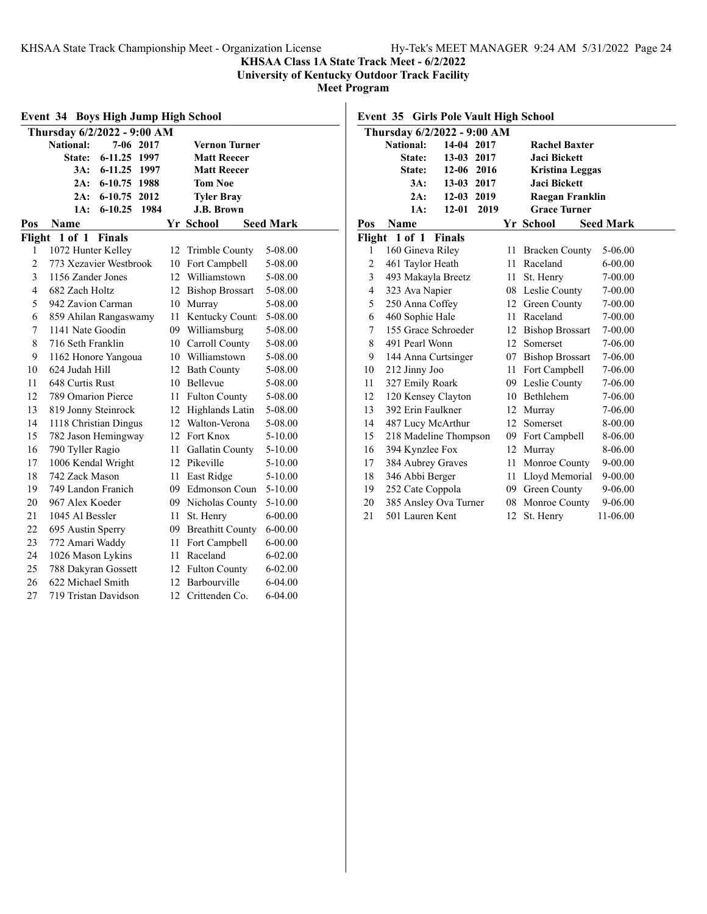**KHSAA Class 1A State Track Meet - 6/2/2022**

**University of Kentucky Outdoor Track Facility**

**Meet Program**

| <b>Boys High Jump High School</b><br>Event 34 |                               |     |                         |                  |
|-----------------------------------------------|-------------------------------|-----|-------------------------|------------------|
|                                               | Thursday 6/2/2022 - 9:00 AM   |     |                         |                  |
|                                               | National:<br>7-06 2017        |     | <b>Vernon Turner</b>    |                  |
|                                               | $6 - 11.25$<br>State:<br>1997 |     | <b>Matt Reecer</b>      |                  |
|                                               | 3A:<br>$6 - 11.25$<br>1997    |     | <b>Matt Reecer</b>      |                  |
|                                               | 2A:<br>$6 - 10.75$<br>1988    |     | <b>Tom Noe</b>          |                  |
|                                               | 2012<br>2A:<br>$6 - 10.75$    |     | <b>Tyler Bray</b>       |                  |
|                                               | 1984<br>1A:<br>$6 - 10.25$    |     | <b>J.B. Brown</b>       |                  |
| Pos                                           | Name                          |     | Yr School               | <b>Seed Mark</b> |
| Flight                                        | 1 of 1<br><b>Finals</b>       |     |                         |                  |
| 1                                             | 1072 Hunter Kelley            | 12  | Trimble County          | 5-08.00          |
| $\overline{c}$                                | 773 Xezavier Westbrook        | 10  | Fort Campbell           | 5-08.00          |
| 3                                             | 1156 Zander Jones             | 12. | Williamstown            | 5-08.00          |
| 4                                             | 682 Zach Holtz                | 12  | <b>Bishop Brossart</b>  | 5-08.00          |
| 5                                             | 942 Zavion Carman             | 10  | Murray                  | 5-08.00          |
| 6                                             | 859 Ahilan Rangaswamy         | 11  | Kentucky Count          | 5-08.00          |
| 7                                             | 1141 Nate Goodin              |     | 09 Williamsburg         | 5-08.00          |
| 8                                             | 716 Seth Franklin             | 10  | Carroll County          | 5-08.00          |
| 9                                             | 1162 Honore Yangoua           |     | 10 Williamstown         | 5-08.00          |
| 10                                            | 624 Judah Hill                |     | 12 Bath County          | 5-08.00          |
| 11                                            | 648 Curtis Rust               |     | 10 Bellevue             | 5-08.00          |
| 12                                            | 789 Omarion Pierce            | 11  | <b>Fulton County</b>    | 5-08.00          |
| 13                                            | 819 Jonny Steinrock           |     | 12 Highlands Latin      | 5-08.00          |
| 14                                            | 1118 Christian Dingus         |     | 12 Walton-Verona        | 5-08.00          |
| 15                                            | 782 Jason Hemingway           |     | 12 Fort Knox            | 5-10.00          |
| 16                                            | 790 Tyller Ragio              | 11  | Gallatin County         | 5-10.00          |
| 17                                            | 1006 Kendal Wright            |     | 12 Pikeville            | 5-10.00          |
| 18                                            | 742 Zack Mason                | 11  | East Ridge              | 5-10.00          |
| 19                                            | 749 Landon Franich            |     | 09 Edmonson Coun        | 5-10.00          |
| 20                                            | 967 Alex Koeder               |     | 09 Nicholas County      | $5 - 10.00$      |
| 21                                            | 1045 Al Bessler               | 11  | St. Henry               | $6 - 00.00$      |
| 22                                            | 695 Austin Sperry             | 09  | <b>Breathitt County</b> | $6 - 00.00$      |
| 23                                            | 772 Amari Waddy               | 11  | Fort Campbell           | $6 - 00.00$      |
| 24                                            | 1026 Mason Lykins             | 11  | Raceland                | $6 - 02.00$      |
| 25                                            | 788 Dakyran Gossett           |     | 12 Fulton County        | $6 - 02.00$      |
| 26                                            | 622 Michael Smith             | 12  | Barbourville            | 6-04.00          |
| 27                                            | 719 Tristan Davidson          | 12  | Crittenden Co.          | $6 - 04.00$      |

**Event 35 Girls Pole Vault High School**

|     | Thursday 6/2/2022 - 9:00 AM |               |      |                 |                        |                  |
|-----|-----------------------------|---------------|------|-----------------|------------------------|------------------|
|     | <b>National:</b>            | 14-04 2017    |      |                 | <b>Rachel Baxter</b>   |                  |
|     | State:                      | 13-03 2017    |      |                 | <b>Jaci Bickett</b>    |                  |
|     | State:                      | $12 - 06$     | 2016 |                 | <b>Kristina Leggas</b> |                  |
|     | 3A:                         | 13-03 2017    |      |                 | Jaci Bickett           |                  |
|     | 2A:                         | $12 - 03$     | 2019 |                 | Raegan Franklin        |                  |
|     | 1A:                         | $12 - 01$     | 2019 |                 | <b>Grace Turner</b>    |                  |
| Pos | Name                        |               |      |                 | Yr School              | <b>Seed Mark</b> |
|     | Flight 1 of 1               | <b>Finals</b> |      |                 |                        |                  |
| 1   | 160 Gineva Riley            |               |      | 11              | <b>Bracken County</b>  | 5-06.00          |
| 2   | 461 Taylor Heath            |               |      | 11              | Raceland               | $6 - 00.00$      |
| 3   | 493 Makayla Breetz          |               |      | 11              | St. Henry              | 7-00.00          |
| 4   | 323 Ava Napier              |               |      |                 | 08 Leslie County       | 7-00.00          |
| 5   | 250 Anna Coffey             |               |      |                 | 12 Green County        | 7-00.00          |
| 6   | 460 Sophie Hale             |               |      | 11              | Raceland               | 7-00.00          |
| 7   | 155 Grace Schroeder         |               |      | 12              | <b>Bishop Brossart</b> | 7-00.00          |
| 8   | 491 Pearl Wonn              |               |      | 12 <sup>1</sup> | Somerset               | 7-06.00          |
| 9   | 144 Anna Curtsinger         |               |      |                 | 07 Bishop Brossart     | 7-06.00          |
| 10  | 212 Jinny Joo               |               |      |                 | 11 Fort Campbell       | 7-06.00          |
| 11  | 327 Emily Roark             |               |      | 09              | Leslie County          | 7-06.00          |
| 12  | 120 Kensey Clayton          |               |      |                 | 10 Bethlehem           | 7-06.00          |
| 13  | 392 Erin Faulkner           |               |      | 12              | Murray                 | 7-06.00          |
| 14  | 487 Lucy McArthur           |               |      | 12              | Somerset               | 8-00.00          |
| 15  | 218 Madeline Thompson       |               |      | 09              | Fort Campbell          | 8-06.00          |
| 16  | 394 Kynzlee Fox             |               |      | 12              | Murrav                 | 8-06.00          |
| 17  | 384 Aubrey Graves           |               |      | 11              | Monroe County          | 9-00.00          |
| 18  | 346 Abbi Berger             |               |      | 11              | Lloyd Memorial         | $9 - 00.00$      |
| 19  | 252 Cate Coppola            |               |      | 09              | Green County           | 9-06.00          |
| 20  | 385 Ansley Ova Turner       |               |      |                 | 08 Monroe County       | 9-06.00          |
| 21  | 501 Lauren Kent             |               |      | 12              | St. Henry              | 11-06.00         |